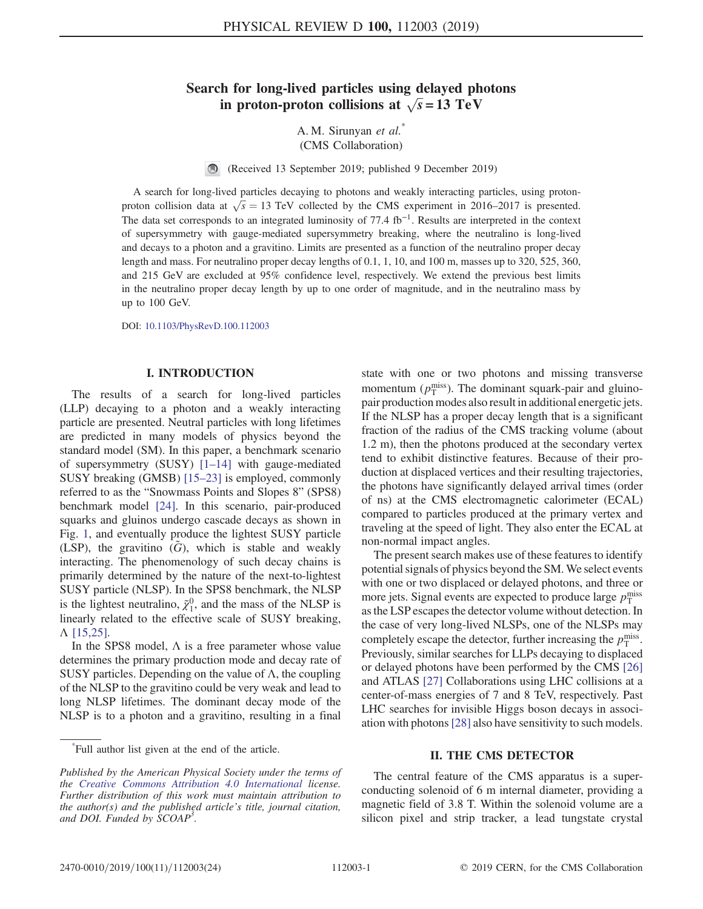# Search for long-lived particles using delayed photons in proton-proton collisions at  $\sqrt{s} = 13 \text{ TeV}$

A. M. Sirunyan et al.<sup>\*</sup> (CMS Collaboration)

(Received 13 September 2019; published 9 December 2019)

A search for long-lived particles decaying to photons and weakly interacting particles, using protonproton collision data at  $\sqrt{s} = 13$  TeV collected by the CMS experiment in 2016–2017 is presented. The data set corresponds to an integrated luminosity of 77.4 fb<sup>-1</sup>. Results are interpreted in the context of supersymmetry with gauge-mediated supersymmetry breaking, where the neutralino is long-lived and decays to a photon and a gravitino. Limits are presented as a function of the neutralino proper decay length and mass. For neutralino proper decay lengths of 0.1, 1, 10, and 100 m, masses up to 320, 525, 360, and 215 GeV are excluded at 95% confidence level, respectively. We extend the previous best limits in the neutralino proper decay length by up to one order of magnitude, and in the neutralino mass by up to 100 GeV.

DOI: [10.1103/PhysRevD.100.112003](https://doi.org/10.1103/PhysRevD.100.112003)

# I. INTRODUCTION

The results of a search for long-lived particles (LLP) decaying to a photon and a weakly interacting particle are presented. Neutral particles with long lifetimes are predicted in many models of physics beyond the standard model (SM). In this paper, a benchmark scenario of supersymmetry (SUSY) [1–[14\]](#page-10-0) with gauge-mediated SUSY breaking (GMSB) [\[15](#page-10-1)–23] is employed, commonly referred to as the "Snowmass Points and Slopes 8" (SPS8) benchmark model [\[24\].](#page-10-2) In this scenario, pair-produced squarks and gluinos undergo cascade decays as shown in Fig. [1](#page-1-0), and eventually produce the lightest SUSY particle (LSP), the gravitino  $(G)$ , which is stable and weakly interacting. The phenomenology of such decay chains is primarily determined by the nature of the next-to-lightest SUSY particle (NLSP). In the SPS8 benchmark, the NLSP is the lightest neutralino,  $\tilde{\chi}_1^0$ , and the mass of the NLSP is linearly related to the effective scale of SUSY breaking, Λ [\[15,25\]](#page-10-1).

In the SPS8 model,  $\Lambda$  is a free parameter whose value determines the primary production mode and decay rate of SUSY particles. Depending on the value of  $\Lambda$ , the coupling of the NLSP to the gravitino could be very weak and lead to long NLSP lifetimes. The dominant decay mode of the NLSP is to a photon and a gravitino, resulting in a final state with one or two photons and missing transverse momentum  $(p_T^{\text{miss}})$ . The dominant squark-pair and gluinopair production modes also result in additional energetic jets. If the NLSP has a proper decay length that is a significant fraction of the radius of the CMS tracking volume (about 1.2 m), then the photons produced at the secondary vertex tend to exhibit distinctive features. Because of their production at displaced vertices and their resulting trajectories, the photons have significantly delayed arrival times (order of ns) at the CMS electromagnetic calorimeter (ECAL) compared to particles produced at the primary vertex and traveling at the speed of light. They also enter the ECAL at non-normal impact angles.

The present search makes use of these features to identify potential signals of physics beyond the SM. We select events with one or two displaced or delayed photons, and three or more jets. Signal events are expected to produce large  $p_T^{\text{miss}}$ as the LSP escapes the detector volume without detection. In the case of very long-lived NLSPs, one of the NLSPs may completely escape the detector, further increasing the  $p_T^{\text{miss}}$ . Previously, similar searches for LLPs decaying to displaced or delayed photons have been performed by the CMS [\[26\]](#page-10-3) and ATLAS [\[27\]](#page-10-4) Collaborations using LHC collisions at a center-of-mass energies of 7 and 8 TeV, respectively. Past LHC searches for invisible Higgs boson decays in association with photons[\[28\]](#page-10-5) also have sensitivity to such models.

# II. THE CMS DETECTOR

The central feature of the CMS apparatus is a superconducting solenoid of 6 m internal diameter, providing a magnetic field of 3.8 T. Within the solenoid volume are a silicon pixel and strip tracker, a lead tungstate crystal

<sup>\*</sup> Full author list given at the end of the article.

Published by the American Physical Society under the terms of the [Creative Commons Attribution 4.0 International](https://creativecommons.org/licenses/by/4.0/) license. Further distribution of this work must maintain attribution to the author(s) and the published article's title, journal citation, and DOI. Funded by SCOAP<sup>3</sup>.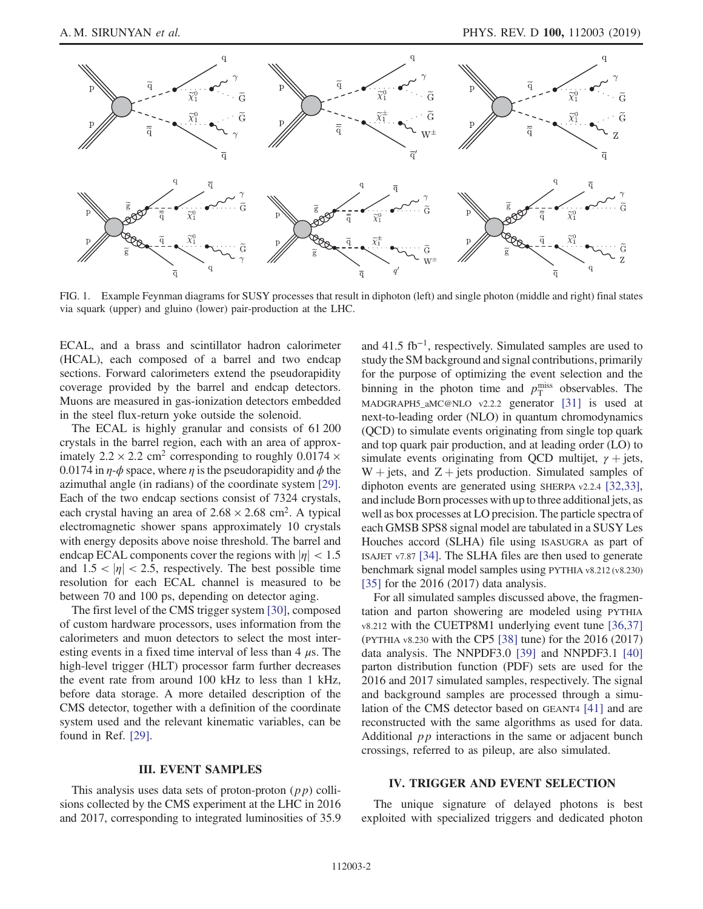<span id="page-1-0"></span>

FIG. 1. Example Feynman diagrams for SUSY processes that result in diphoton (left) and single photon (middle and right) final states via squark (upper) and gluino (lower) pair-production at the LHC.

ECAL, and a brass and scintillator hadron calorimeter (HCAL), each composed of a barrel and two endcap sections. Forward calorimeters extend the pseudorapidity coverage provided by the barrel and endcap detectors. Muons are measured in gas-ionization detectors embedded in the steel flux-return yoke outside the solenoid.

The ECAL is highly granular and consists of 61 200 crystals in the barrel region, each with an area of approximately  $2.2 \times 2.2$  cm<sup>2</sup> corresponding to roughly 0.0174  $\times$ 0.0174 in  $\eta$ - $\phi$  space, where  $\eta$  is the pseudorapidity and  $\phi$  the azimuthal angle (in radians) of the coordinate system [\[29\]](#page-10-6). Each of the two endcap sections consist of 7324 crystals, each crystal having an area of  $2.68 \times 2.68$  cm<sup>2</sup>. A typical electromagnetic shower spans approximately 10 crystals with energy deposits above noise threshold. The barrel and endcap ECAL components cover the regions with  $|\eta|$  < 1.5 and  $1.5 < |\eta| < 2.5$ , respectively. The best possible time resolution for each ECAL channel is measured to be between 70 and 100 ps, depending on detector aging.

The first level of the CMS trigger system [\[30\],](#page-10-7) composed of custom hardware processors, uses information from the calorimeters and muon detectors to select the most interesting events in a fixed time interval of less than  $4 \mu s$ . The high-level trigger (HLT) processor farm further decreases the event rate from around 100 kHz to less than 1 kHz, before data storage. A more detailed description of the CMS detector, together with a definition of the coordinate system used and the relevant kinematic variables, can be found in Ref. [\[29\]](#page-10-6).

# III. EVENT SAMPLES

This analysis uses data sets of proton-proton  $(p p)$  collisions collected by the CMS experiment at the LHC in 2016 and 2017, corresponding to integrated luminosities of 35.9 and 41.5 fb<sup>−</sup><sup>1</sup>, respectively. Simulated samples are used to study the SM background and signal contributions, primarily for the purpose of optimizing the event selection and the binning in the photon time and  $p_T^{\text{miss}}$  observables. The MADGRAPH5\_aMC@NLO v2.2.2 generator [\[31\]](#page-10-8) is used at next-to-leading order (NLO) in quantum chromodynamics (QCD) to simulate events originating from single top quark and top quark pair production, and at leading order (LO) to simulate events originating from QCD multijet,  $\gamma$  + jets,  $W + jets$ , and  $Z + jets$  production. Simulated samples of diphoton events are generated using SHERPA v2.2.4 [\[32,33\]](#page-10-9), and include Born processes with up to three additional jets, as well as box processes at LO precision. The particle spectra of each GMSB SPS8 signal model are tabulated in a SUSY Les Houches accord (SLHA) file using ISASUGRA as part of ISAJET v7.87 [\[34\]](#page-11-0). The SLHA files are then used to generate benchmark signal model samples using PYTHIA v8.212 (v8.230) [\[35\]](#page-11-1) for the 2016 (2017) data analysis.

For all simulated samples discussed above, the fragmentation and parton showering are modeled using PYTHIA v8.212 with the CUETP8M1 underlying event tune [\[36,37\]](#page-11-2) (PYTHIA v8.230 with the CP5 [\[38\]](#page-11-3) tune) for the 2016 (2017) data analysis. The NNPDF3.0 [\[39\]](#page-11-4) and NNPDF3.1 [\[40\]](#page-11-5) parton distribution function (PDF) sets are used for the 2016 and 2017 simulated samples, respectively. The signal and background samples are processed through a simulation of the CMS detector based on GEANT4 [\[41\]](#page-11-6) and are reconstructed with the same algorithms as used for data. Additional pp interactions in the same or adjacent bunch crossings, referred to as pileup, are also simulated.

# IV. TRIGGER AND EVENT SELECTION

The unique signature of delayed photons is best exploited with specialized triggers and dedicated photon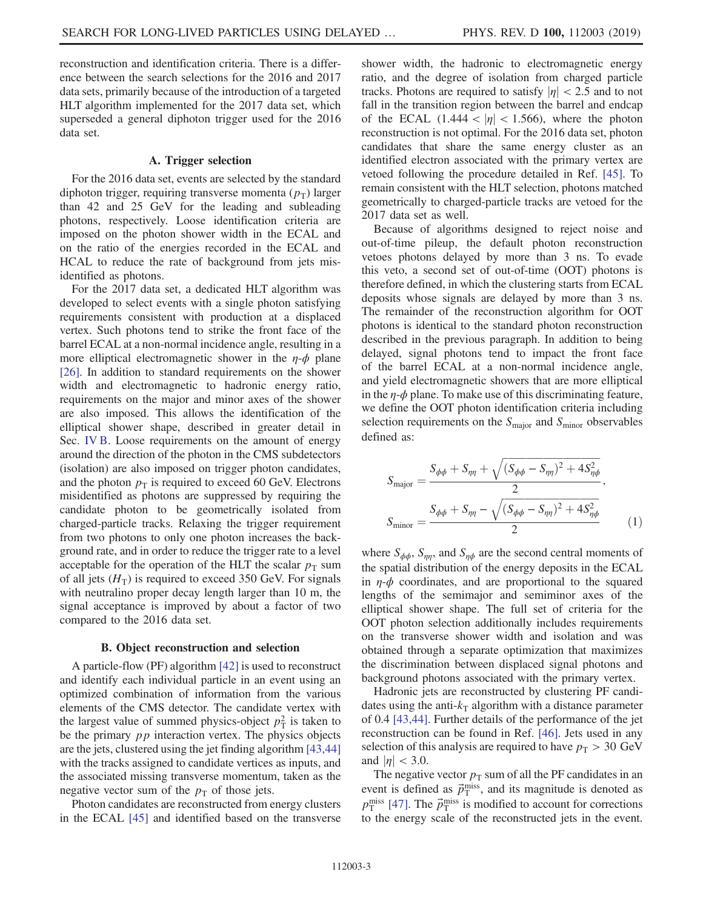reconstruction and identification criteria. There is a difference between the search selections for the 2016 and 2017 data sets, primarily because of the introduction of a targeted HLT algorithm implemented for the 2017 data set, which superseded a general diphoton trigger used for the 2016 data set.

# A. Trigger selection

For the 2016 data set, events are selected by the standard diphoton trigger, requiring transverse momenta  $(p_T)$  larger than 42 and 25 GeV for the leading and subleading photons, respectively. Loose identification criteria are imposed on the photon shower width in the ECAL and on the ratio of the energies recorded in the ECAL and HCAL to reduce the rate of background from jets misidentified as photons.

For the 2017 data set, a dedicated HLT algorithm was developed to select events with a single photon satisfying requirements consistent with production at a displaced vertex. Such photons tend to strike the front face of the barrel ECAL at a non-normal incidence angle, resulting in a more elliptical electromagnetic shower in the  $\eta$ - $\phi$  plane [\[26\]](#page-10-3). In addition to standard requirements on the shower width and electromagnetic to hadronic energy ratio, requirements on the major and minor axes of the shower are also imposed. This allows the identification of the elliptical shower shape, described in greater detail in Sec. [IV B.](#page-2-0) Loose requirements on the amount of energy around the direction of the photon in the CMS subdetectors (isolation) are also imposed on trigger photon candidates, and the photon  $p<sub>T</sub>$  is required to exceed 60 GeV. Electrons misidentified as photons are suppressed by requiring the candidate photon to be geometrically isolated from charged-particle tracks. Relaxing the trigger requirement from two photons to only one photon increases the background rate, and in order to reduce the trigger rate to a level acceptable for the operation of the HLT the scalar  $p_T$  sum of all jets  $(H_T)$  is required to exceed 350 GeV. For signals with neutralino proper decay length larger than 10 m, the signal acceptance is improved by about a factor of two compared to the 2016 data set.

#### B. Object reconstruction and selection

<span id="page-2-0"></span>A particle-flow (PF) algorithm [\[42\]](#page-11-7) is used to reconstruct and identify each individual particle in an event using an optimized combination of information from the various elements of the CMS detector. The candidate vertex with the largest value of summed physics-object  $p_T^2$  is taken to be the primary *pp* interaction vertex. The physics objects are the jets, clustered using the jet finding algorithm [\[43,44\]](#page-11-8) with the tracks assigned to candidate vertices as inputs, and the associated missing transverse momentum, taken as the negative vector sum of the  $p<sub>T</sub>$  of those jets.

Photon candidates are reconstructed from energy clusters in the ECAL [\[45\]](#page-11-9) and identified based on the transverse shower width, the hadronic to electromagnetic energy ratio, and the degree of isolation from charged particle tracks. Photons are required to satisfy  $|\eta| < 2.5$  and to not fall in the transition region between the barrel and endcap of the ECAL  $(1.444 < |\eta| < 1.566)$ , where the photon reconstruction is not optimal. For the 2016 data set, photon candidates that share the same energy cluster as an identified electron associated with the primary vertex are vetoed following the procedure detailed in Ref. [\[45\]](#page-11-9). To remain consistent with the HLT selection, photons matched geometrically to charged-particle tracks are vetoed for the 2017 data set as well.

Because of algorithms designed to reject noise and out-of-time pileup, the default photon reconstruction vetoes photons delayed by more than 3 ns. To evade this veto, a second set of out-of-time (OOT) photons is therefore defined, in which the clustering starts from ECAL deposits whose signals are delayed by more than 3 ns. The remainder of the reconstruction algorithm for OOT photons is identical to the standard photon reconstruction described in the previous paragraph. In addition to being delayed, signal photons tend to impact the front face of the barrel ECAL at a non-normal incidence angle, and yield electromagnetic showers that are more elliptical in the  $\eta$ - $\phi$  plane. To make use of this discriminating feature, we define the OOT photon identification criteria including selection requirements on the  $S_{\text{major}}$  and  $S_{\text{minor}}$  observables defined as:

$$
S_{\text{major}} = \frac{S_{\phi\phi} + S_{\eta\eta} + \sqrt{(S_{\phi\phi} - S_{\eta\eta})^2 + 4S_{\eta\phi}^2}}{2},
$$
  

$$
S_{\text{minor}} = \frac{S_{\phi\phi} + S_{\eta\eta} - \sqrt{(S_{\phi\phi} - S_{\eta\eta})^2 + 4S_{\eta\phi}^2}}{2} \tag{1}
$$

where  $S_{\phi\phi}$ ,  $S_{\eta\eta}$ , and  $S_{\eta\phi}$  are the second central moments of the spatial distribution of the energy deposits in the ECAL in  $\eta$ - $\phi$  coordinates, and are proportional to the squared lengths of the semimajor and semiminor axes of the elliptical shower shape. The full set of criteria for the OOT photon selection additionally includes requirements on the transverse shower width and isolation and was obtained through a separate optimization that maximizes the discrimination between displaced signal photons and background photons associated with the primary vertex.

Hadronic jets are reconstructed by clustering PF candidates using the anti- $k<sub>T</sub>$  algorithm with a distance parameter of 0.4 [\[43,44\].](#page-11-8) Further details of the performance of the jet reconstruction can be found in Ref. [\[46\]](#page-11-10). Jets used in any selection of this analysis are required to have  $p_T > 30 \text{ GeV}$ and  $|\eta| < 3.0$ .

The negative vector  $p_T$  sum of all the PF candidates in an event is defined as  $\vec{p}_{\rm T}^{\rm miss}$ , and its magnitude is denoted as  $p_{\rm T}^{\rm miss}$  [\[47\]](#page-11-11). The  $\vec{p}_{\rm T}^{\rm miss}$  is modified to account for corrections to the energy scale of the reconstructed jets in the event.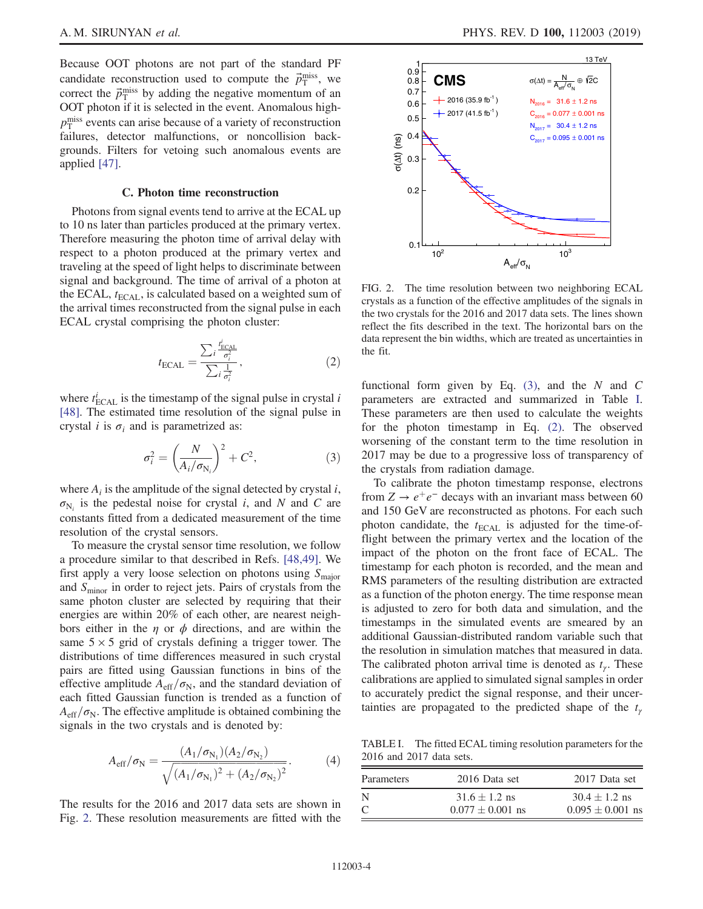Because OOT photons are not part of the standard PF candidate reconstruction used to compute the  $\vec{p}_{\text{T}}^{\text{miss}}$ , we correct the  $\vec{p}_{\rm T}^{\rm miss}$  by adding the negative momentum of an OOT photon if it is selected in the event. Anomalous high $p_{\rm T}^{\rm miss}$  events can arise because of a variety of reconstruction failures, detector malfunctions, or noncollision backgrounds. Filters for vetoing such anomalous events are applied [\[47\]](#page-11-11).

#### C. Photon time reconstruction

<span id="page-3-4"></span>Photons from signal events tend to arrive at the ECAL up to 10 ns later than particles produced at the primary vertex. Therefore measuring the photon time of arrival delay with respect to a photon produced at the primary vertex and traveling at the speed of light helps to discriminate between signal and background. The time of arrival of a photon at the ECAL,  $t_{\text{ECAL}}$ , is calculated based on a weighted sum of the arrival times reconstructed from the signal pulse in each ECAL crystal comprising the photon cluster:

$$
t_{\text{ECAL}} = \frac{\sum_{i} \frac{t_{\text{ECAL}}^i}{\sigma_i^2}}{\sum_{i} \frac{1}{\sigma_i^2}},\tag{2}
$$

<span id="page-3-3"></span><span id="page-3-1"></span>where  $t_{\text{ECAL}}^i$  is the timestamp of the signal pulse in crystal i [\[48\]](#page-11-12). The estimated time resolution of the signal pulse in crystal *i* is  $\sigma_i$  and is parametrized as:

$$
\sigma_i^2 = \left(\frac{N}{A_i/\sigma_{N_i}}\right)^2 + C^2,\tag{3}
$$

where  $A_i$  is the amplitude of the signal detected by crystal i,  $\sigma_{N_i}$  is the pedestal noise for crystal i, and N and C are constants fitted from a dedicated measurement of the time resolution of the crystal sensors.

To measure the crystal sensor time resolution, we follow a procedure similar to that described in Refs. [\[48,49\]](#page-11-12). We first apply a very loose selection on photons using  $S_{\text{major}}$ and  $S<sub>minor</sub>$  in order to reject jets. Pairs of crystals from the same photon cluster are selected by requiring that their energies are within 20% of each other, are nearest neighbors either in the  $\eta$  or  $\phi$  directions, and are within the same  $5 \times 5$  grid of crystals defining a trigger tower. The distributions of time differences measured in such crystal pairs are fitted using Gaussian functions in bins of the effective amplitude  $A_{\text{eff}}/\sigma_{\text{N}}$ , and the standard deviation of each fitted Gaussian function is trended as a function of  $A_{\text{eff}}/\sigma_{\text{N}}$ . The effective amplitude is obtained combining the signals in the two crystals and is denoted by:

$$
A_{\rm eff}/\sigma_{\rm N} = \frac{(A_1/\sigma_{\rm N_1})(A_2/\sigma_{\rm N_2})}{\sqrt{(A_1/\sigma_{\rm N_1})^2 + (A_2/\sigma_{\rm N_2})^2}}.\tag{4}
$$

The results for the 2016 and 2017 data sets are shown in Fig. [2](#page-3-0). These resolution measurements are fitted with the

<span id="page-3-0"></span>

FIG. 2. The time resolution between two neighboring ECAL crystals as a function of the effective amplitudes of the signals in the two crystals for the 2016 and 2017 data sets. The lines shown reflect the fits described in the text. The horizontal bars on the data represent the bin widths, which are treated as uncertainties in the fit.

functional form given by Eq.  $(3)$ , and the N and C parameters are extracted and summarized in Table [I](#page-3-2). These parameters are then used to calculate the weights for the photon timestamp in Eq. [\(2\)](#page-3-3). The observed worsening of the constant term to the time resolution in 2017 may be due to a progressive loss of transparency of the crystals from radiation damage.

To calibrate the photon timestamp response, electrons from  $Z \rightarrow e^+e^-$  decays with an invariant mass between 60 and 150 GeV are reconstructed as photons. For each such photon candidate, the  $t_{\text{ECAL}}$  is adjusted for the time-offlight between the primary vertex and the location of the impact of the photon on the front face of ECAL. The timestamp for each photon is recorded, and the mean and RMS parameters of the resulting distribution are extracted as a function of the photon energy. The time response mean is adjusted to zero for both data and simulation, and the timestamps in the simulated events are smeared by an additional Gaussian-distributed random variable such that the resolution in simulation matches that measured in data. The calibrated photon arrival time is denoted as  $t<sub>y</sub>$ . These calibrations are applied to simulated signal samples in order to accurately predict the signal response, and their uncertainties are propagated to the predicted shape of the  $t_{\gamma}$ 

<span id="page-3-2"></span>TABLE I. The fitted ECAL timing resolution parameters for the 2016 and 2017 data sets.

| Parameters | 2016 Data set        | 2017 Data set        |
|------------|----------------------|----------------------|
| N          | $31.6 \pm 1.2$ ns    | $30.4 \pm 1.2$ ns    |
| C          | $0.077 \pm 0.001$ ns | $0.095 \pm 0.001$ ns |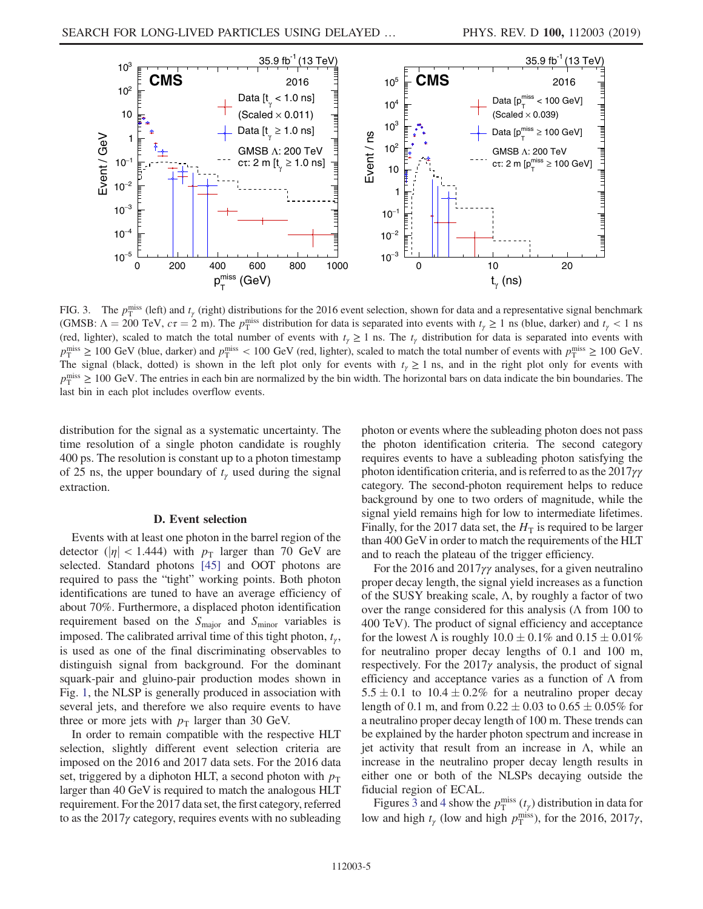<span id="page-4-0"></span>

FIG. 3. The  $p_T^{\text{miss}}$  (left) and  $t_\gamma$  (right) distributions for the 2016 event selection, shown for data and a representative signal benchmark (GMSB:  $\Lambda = 200 \text{ TeV}$ ,  $c\tau = 2 \text{ m}$ ). The  $p_T^{\text{miss}}$  distribution for data is separated into events with  $t_\gamma \ge 1$  ns (blue, darker) and  $t_\gamma < 1$  ns (red, lighter), scaled to match the total number of events with  $t<sub>y</sub> \ge 1$  ns. The  $t<sub>y</sub>$  distribution for data is separated into events with  $p_T^{\text{miss}} \ge 100 \text{ GeV}$  (blue, darker) and  $p_T^{\text{miss}} < 100 \text{ GeV}$  (red, lighter), scaled to match the total number of events with  $p_T^{\text{miss}} \ge 100 \text{ GeV}$ . The signal (black, dotted) is shown in the left plot only for events with  $t<sub>y</sub> \ge 1$  ns, and in the right plot only for events with  $p_T^{\text{miss}} \geq 100 \text{ GeV}$ . The entries in each bin are normalized by the bin width. The horizontal bars on data indicate the bin boundaries. The last bin in each plot includes overflow events.

distribution for the signal as a systematic uncertainty. The time resolution of a single photon candidate is roughly 400 ps. The resolution is constant up to a photon timestamp of 25 ns, the upper boundary of  $t_{\gamma}$  used during the signal extraction.

#### D. Event selection

Events with at least one photon in the barrel region of the detector ( $|\eta|$  < 1.444) with  $p_T$  larger than 70 GeV are selected. Standard photons [\[45\]](#page-11-9) and OOT photons are required to pass the "tight" working points. Both photon identifications are tuned to have an average efficiency of about 70%. Furthermore, a displaced photon identification requirement based on the  $S_{\text{major}}$  and  $S_{\text{minor}}$  variables is imposed. The calibrated arrival time of this tight photon,  $t_{\gamma}$ , is used as one of the final discriminating observables to distinguish signal from background. For the dominant squark-pair and gluino-pair production modes shown in Fig. [1,](#page-1-0) the NLSP is generally produced in association with several jets, and therefore we also require events to have three or more jets with  $p_T$  larger than 30 GeV.

In order to remain compatible with the respective HLT selection, slightly different event selection criteria are imposed on the 2016 and 2017 data sets. For the 2016 data set, triggered by a diphoton HLT, a second photon with  $p_T$ larger than 40 GeV is required to match the analogous HLT requirement. For the 2017 data set, the first category, referred to as the  $2017\gamma$  category, requires events with no subleading photon or events where the subleading photon does not pass the photon identification criteria. The second category requires events to have a subleading photon satisfying the photon identification criteria, and is referred to as the 2017γγ category. The second-photon requirement helps to reduce background by one to two orders of magnitude, while the signal yield remains high for low to intermediate lifetimes. Finally, for the 2017 data set, the  $H<sub>T</sub>$  is required to be larger than 400 GeV in order to match the requirements of the HLT and to reach the plateau of the trigger efficiency.

For the 2016 and 2017 $\gamma\gamma$  analyses, for a given neutralino proper decay length, the signal yield increases as a function of the SUSY breaking scale,  $\Lambda$ , by roughly a factor of two over the range considered for this analysis ( $\Lambda$  from 100 to 400 TeV). The product of signal efficiency and acceptance for the lowest  $\Lambda$  is roughly  $10.0 \pm 0.1\%$  and  $0.15 \pm 0.01\%$ for neutralino proper decay lengths of 0.1 and 100 m, respectively. For the  $2017\gamma$  analysis, the product of signal efficiency and acceptance varies as a function of  $\Lambda$  from  $5.5 \pm 0.1$  to  $10.4 \pm 0.2\%$  for a neutralino proper decay length of 0.1 m, and from  $0.22 \pm 0.03$  to  $0.65 \pm 0.05\%$  for a neutralino proper decay length of 100 m. These trends can be explained by the harder photon spectrum and increase in jet activity that result from an increase in  $\Lambda$ , while an increase in the neutralino proper decay length results in either one or both of the NLSPs decaying outside the fiducial region of ECAL.

Figures [3](#page-4-0) and [4](#page-5-0) show the  $p_T^{\text{miss}}(t_\gamma)$  distribution in data for low and high  $t_\gamma$  (low and high  $p_T^{\text{miss}}$ ), for the 2016, 2017 $\gamma$ ,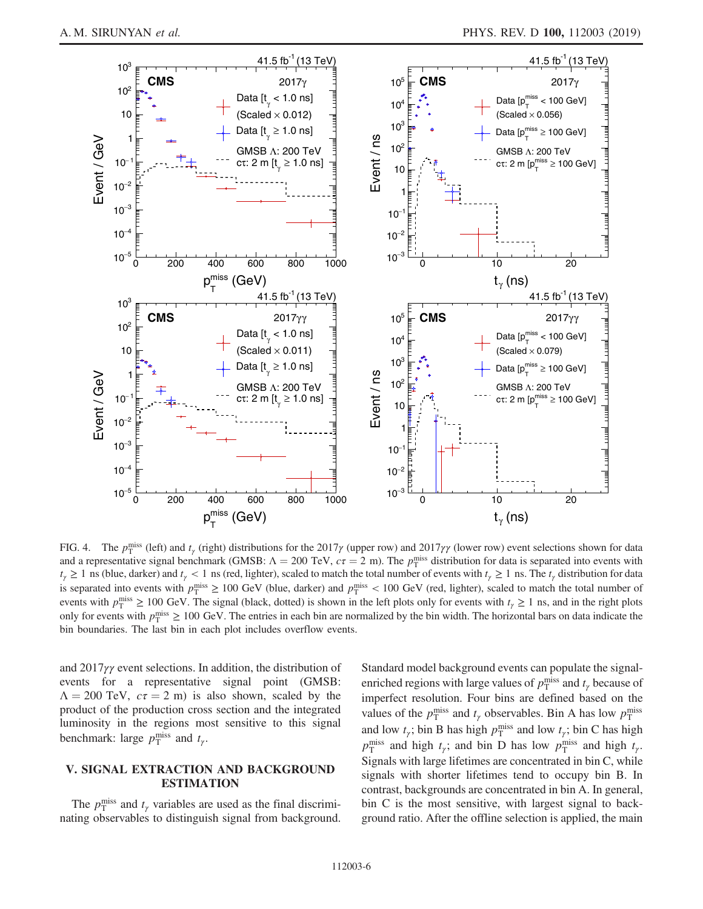<span id="page-5-0"></span>

FIG. 4. The  $p_T^{\text{miss}}$  (left) and  $t_\gamma$  (right) distributions for the 2017 $\gamma$  (upper row) and 2017 $\gamma\gamma$  (lower row) event selections shown for data and a representative signal benchmark (GMSB:  $\Lambda = 200$  TeV,  $c\tau = 2$  m). The  $p_T^{\text{miss}}$  distribution for data is separated into events with  $t<sub>y</sub> \ge 1$  ns (blue, darker) and  $t<sub>y</sub> < 1$  ns (red, lighter), scaled to match the total number of events with  $t<sub>y</sub> \ge 1$  ns. The  $t<sub>y</sub>$  distribution for data is separated into events with  $p_T^{\text{miss}} \ge 100 \text{ GeV}$  (blue, darker) and  $p_T^{\text{miss}} < 100 \text{ GeV}$  (red, lighter), scaled to match the total number of events with  $p_T^{\text{miss}} \ge 100 \text{ GeV}$ . The signal (black, dotted) is shown in the left plots only for events with  $t_\gamma \ge 1$  ns, and in the right plots only for events with  $p_T^{\text{miss}} \ge 100 \text{ GeV}$ . The entries in each bin are normalized by the bin width. The horizontal bars on data indicate the bin boundaries. The last bin in each plot includes overflow events.

and 2017γγ event selections. In addition, the distribution of events for a representative signal point (GMSB:  $\Lambda = 200$  TeV,  $c\tau = 2$  m) is also shown, scaled by the product of the production cross section and the integrated luminosity in the regions most sensitive to this signal benchmark: large  $p_T^{\text{miss}}$  and  $t_\gamma$ .

# V. SIGNAL EXTRACTION AND BACKGROUND ESTIMATION

The  $p_T^{\text{miss}}$  and  $t_\gamma$  variables are used as the final discriminating observables to distinguish signal from background. Standard model background events can populate the signalenriched regions with large values of  $p_T^{\text{miss}}$  and  $t_\gamma$  because of imperfect resolution. Four bins are defined based on the values of the  $p_T^{\text{miss}}$  and  $t_\gamma$  observables. Bin A has low  $p_T^{\text{miss}}$ and low  $t_{\gamma}$ ; bin B has high  $p_T^{\text{miss}}$  and low  $t_{\gamma}$ ; bin C has high  $p_{\rm T}^{\rm miss}$  and high  $t_{\gamma}$ ; and bin D has low  $p_{\rm T}^{\rm miss}$  and high  $t_{\gamma}$ . Signals with large lifetimes are concentrated in bin C, while signals with shorter lifetimes tend to occupy bin B. In contrast, backgrounds are concentrated in bin A. In general, bin C is the most sensitive, with largest signal to background ratio. After the offline selection is applied, the main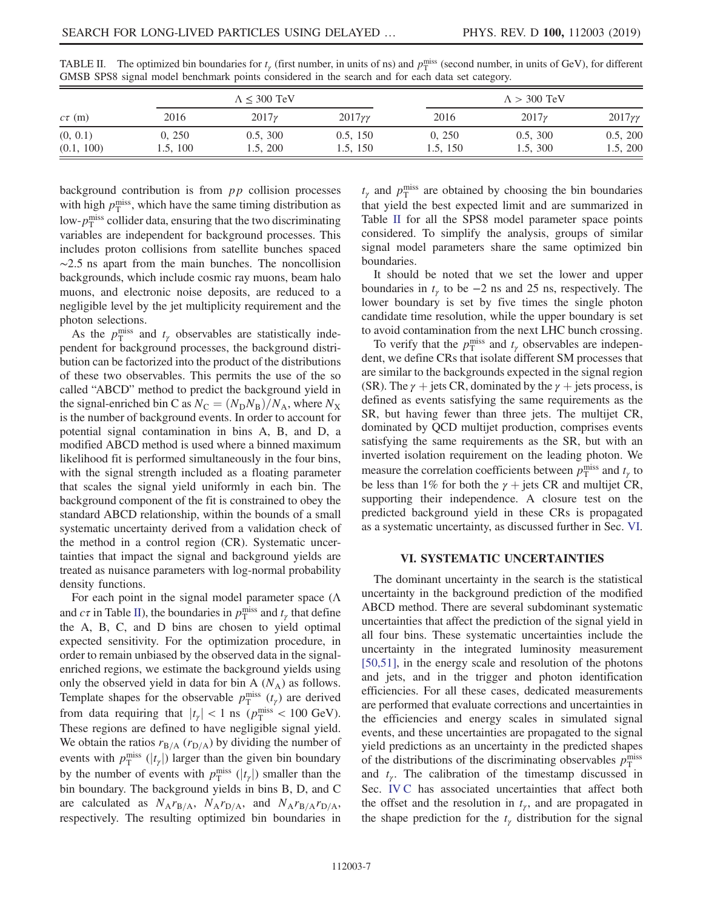| $c\tau$ (m) | $\Lambda \leq 300$ TeV |              |                    | $\Lambda > 300$ TeV |              |                    |
|-------------|------------------------|--------------|--------------------|---------------------|--------------|--------------------|
|             | 2016                   | $2017\gamma$ | $2017\gamma\gamma$ | 2016                | $2017\gamma$ | $2017\gamma\gamma$ |
| (0, 0.1)    | 0, 250                 | 0.5, 300     | 0.5, 150           | 0, 250              | 0.5, 300     | 0.5, 200           |
| (0.1, 100)  | 1.5, 100               | 1.5, 200     | 1.5, 150           | 1.5, 150            | 1.5, 300     | 1.5, 200           |

<span id="page-6-0"></span>TABLE II. The optimized bin boundaries for  $t_\gamma$  (first number, in units of ns) and  $p_T^{\text{miss}}$  (second number, in units of GeV), for different GMSB SPS8 signal model benchmark points considered in the search and for each data set category.

background contribution is from  $pp$  collision processes with high  $p_T^{\text{miss}}$ , which have the same timing distribution as low- $p_{\rm T}^{\rm miss}$  collider data, ensuring that the two discriminating variables are independent for background processes. This includes proton collisions from satellite bunches spaced  $\sim$ 2.5 ns apart from the main bunches. The noncollision backgrounds, which include cosmic ray muons, beam halo muons, and electronic noise deposits, are reduced to a negligible level by the jet multiplicity requirement and the photon selections.

As the  $p_T^{\text{miss}}$  and  $t_\gamma$  observables are statistically independent for background processes, the background distribution can be factorized into the product of the distributions of these two observables. This permits the use of the so called "ABCD" method to predict the background yield in the signal-enriched bin C as  $N_C = (N_D N_B)/N_A$ , where  $N_X$ is the number of background events. In order to account for potential signal contamination in bins A, B, and D, a modified ABCD method is used where a binned maximum likelihood fit is performed simultaneously in the four bins, with the signal strength included as a floating parameter that scales the signal yield uniformly in each bin. The background component of the fit is constrained to obey the standard ABCD relationship, within the bounds of a small systematic uncertainty derived from a validation check of the method in a control region (CR). Systematic uncertainties that impact the signal and background yields are treated as nuisance parameters with log-normal probability density functions.

For each point in the signal model parameter space  $(Λ$ and  $c\tau$  in Table [II](#page-6-0)), the boundaries in  $p_T^{\text{miss}}$  and  $t_\gamma$  that define the A, B, C, and D bins are chosen to yield optimal expected sensitivity. For the optimization procedure, in order to remain unbiased by the observed data in the signalenriched regions, we estimate the background yields using only the observed yield in data for bin A  $(N_A)$  as follows. Template shapes for the observable  $p_T^{\text{miss}}(t_\gamma)$  are derived from data requiring that  $|t_\gamma| < 1$  ns  $(p_T^{\text{miss}} < 100 \text{ GeV})$ . These regions are defined to have negligible signal yield. We obtain the ratios  $r_{B/A}$  ( $r_{D/A}$ ) by dividing the number of events with  $p_T^{\text{miss}}(|t_\gamma|)$  larger than the given bin boundary by the number of events with  $p_T^{\text{miss}}(|t_\gamma|)$  smaller than the bin boundary. The background yields in bins B, D, and C are calculated as  $N_A r_{B/A}$ ,  $N_A r_{D/A}$ , and  $N_A r_{B/A} r_{D/A}$ , respectively. The resulting optimized bin boundaries in

 $t_{\gamma}$  and  $p_{\rm T}^{\rm miss}$  are obtained by choosing the bin boundaries that yield the best expected limit and are summarized in Table [II](#page-6-0) for all the SPS8 model parameter space points considered. To simplify the analysis, groups of similar signal model parameters share the same optimized bin boundaries.

It should be noted that we set the lower and upper boundaries in  $t<sub>y</sub>$  to be −2 ns and 25 ns, respectively. The lower boundary is set by five times the single photon candidate time resolution, while the upper boundary is set to avoid contamination from the next LHC bunch crossing.

To verify that the  $p_T^{\text{miss}}$  and  $t_\gamma$  observables are independent, we define CRs that isolate different SM processes that are similar to the backgrounds expected in the signal region (SR). The  $\gamma$  + jets CR, dominated by the  $\gamma$  + jets process, is defined as events satisfying the same requirements as the SR, but having fewer than three jets. The multijet CR, dominated by QCD multijet production, comprises events satisfying the same requirements as the SR, but with an inverted isolation requirement on the leading photon. We measure the correlation coefficients between  $p_T^{\text{miss}}$  and  $t_\gamma$  to be less than 1% for both the  $\gamma$  + jets CR and multijet CR, supporting their independence. A closure test on the predicted background yield in these CRs is propagated as a systematic uncertainty, as discussed further in Sec. [VI](#page-6-1).

#### VI. SYSTEMATIC UNCERTAINTIES

<span id="page-6-1"></span>The dominant uncertainty in the search is the statistical uncertainty in the background prediction of the modified ABCD method. There are several subdominant systematic uncertainties that affect the prediction of the signal yield in all four bins. These systematic uncertainties include the uncertainty in the integrated luminosity measurement [\[50,51\]](#page-11-13), in the energy scale and resolution of the photons and jets, and in the trigger and photon identification efficiencies. For all these cases, dedicated measurements are performed that evaluate corrections and uncertainties in the efficiencies and energy scales in simulated signal events, and these uncertainties are propagated to the signal yield predictions as an uncertainty in the predicted shapes of the distributions of the discriminating observables  $p_T^{\text{miss}}$ and  $t<sub>y</sub>$ . The calibration of the timestamp discussed in Sec. [IV C](#page-3-4) has associated uncertainties that affect both the offset and the resolution in  $t_{\gamma}$ , and are propagated in the shape prediction for the  $t_{\gamma}$  distribution for the signal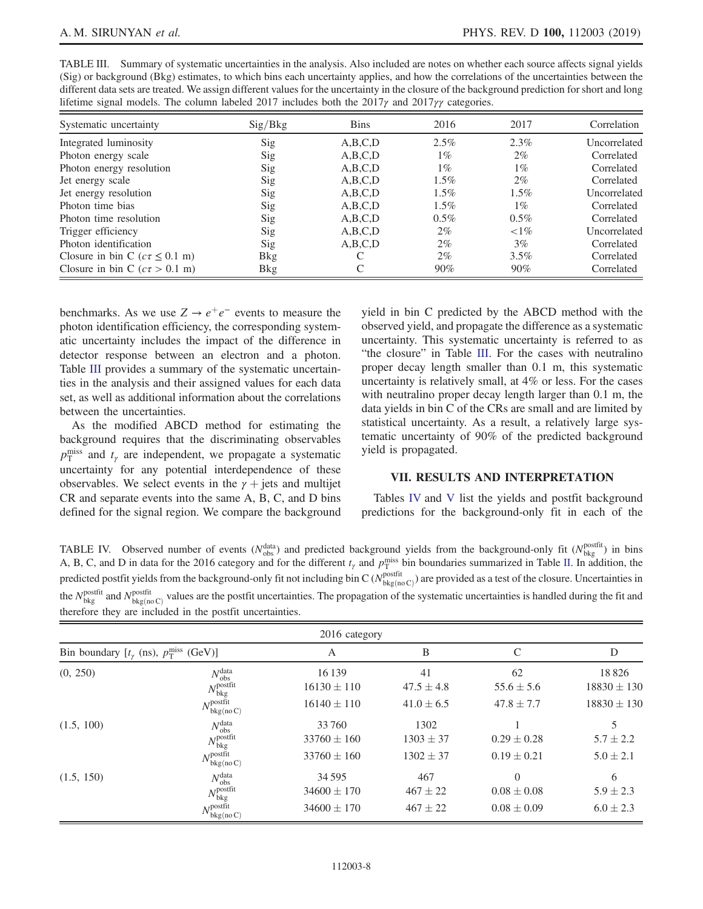| lifetime signal models. The column labeled 2017 includes both the 2017 $\gamma$ and 2017 $\gamma\gamma$ categories. |             |             |         |          |              |  |
|---------------------------------------------------------------------------------------------------------------------|-------------|-------------|---------|----------|--------------|--|
| Systematic uncertainty                                                                                              | Sig/Bkg     | <b>Bins</b> | 2016    | 2017     | Correlation  |  |
| Integrated luminosity                                                                                               | Sig         | A, B, C, D  | $2.5\%$ | 2.3%     | Uncorrelated |  |
| Photon energy scale                                                                                                 | Sig         | A, B, C, D  | $1\%$   | $2\%$    | Correlated   |  |
| Photon energy resolution                                                                                            | Sig         | A,B,C,D     | $1\%$   | $1\%$    | Correlated   |  |
| Jet energy scale                                                                                                    | Sig         | A, B, C, D  | $1.5\%$ | $2\%$    | Correlated   |  |
| Jet energy resolution                                                                                               | Sig         | A, B, C, D  | $1.5\%$ | $1.5\%$  | Uncorrelated |  |
| Photon time bias                                                                                                    | Sig         | A,B,C,D     | $1.5\%$ | $1\%$    | Correlated   |  |
| Photon time resolution                                                                                              | Sig         | A, B, C, D  | $0.5\%$ | $0.5\%$  | Correlated   |  |
| Trigger efficiency                                                                                                  | Sig         | A,B,C,D     | $2\%$   | ${<}1\%$ | Uncorrelated |  |
| Photon identification                                                                                               | Sig         | A, B, C, D  | $2\%$   | $3\%$    | Correlated   |  |
| Closure in bin C ( $c\tau \leq 0.1$ m)                                                                              | <b>B</b> kg | C           | $2\%$   | 3.5%     | Correlated   |  |
| Closure in bin C ( $c\tau > 0.1$ m)                                                                                 | <b>B</b> kg | C           | $90\%$  | $90\%$   | Correlated   |  |

<span id="page-7-0"></span>TABLE III. Summary of systematic uncertainties in the analysis. Also included are notes on whether each source affects signal yields (Sig) or background (Bkg) estimates, to which bins each uncertainty applies, and how the correlations of the uncertainties between the different data sets are treated. We assign different values for the uncertainty in the closure of the background prediction for short and long

benchmarks. As we use  $Z \rightarrow e^+e^-$  events to measure the photon identification efficiency, the corresponding systematic uncertainty includes the impact of the difference in detector response between an electron and a photon. Table [III](#page-7-0) provides a summary of the systematic uncertainties in the analysis and their assigned values for each data set, as well as additional information about the correlations between the uncertainties.

As the modified ABCD method for estimating the background requires that the discriminating observables  $p_{\rm T}^{\rm miss}$  and  $t_{\gamma}$  are independent, we propagate a systematic uncertainty for any potential interdependence of these observables. We select events in the  $\gamma$  + jets and multijet CR and separate events into the same A, B, C, and D bins defined for the signal region. We compare the background yield in bin C predicted by the ABCD method with the observed yield, and propagate the difference as a systematic uncertainty. This systematic uncertainty is referred to as "the closure" in Table [III.](#page-7-0) For the cases with neutralino proper decay length smaller than 0.1 m, this systematic uncertainty is relatively small, at 4% or less. For the cases with neutralino proper decay length larger than 0.1 m, the data yields in bin C of the CRs are small and are limited by statistical uncertainty. As a result, a relatively large systematic uncertainty of 90% of the predicted background yield is propagated.

#### VII. RESULTS AND INTERPRETATION

Tables [IV](#page-7-1) and [V](#page-8-0) list the yields and postfit background predictions for the background-only fit in each of the

<span id="page-7-1"></span>TABLE IV. Observed number of events ( $N_{obs}^{data}$ ) and predicted background yields from the background-only fit ( $N_{bkg}^{postfit}$ ) in bins A, B, C, and D in data for the 2016 category and for the different  $t_{\gamma}$  and  $p_T^{\text{miss}}$  bin boundaries summarized in Table [II](#page-6-0). In addition, the predicted postfit yields from the background-only fit not including bin C ( $N_{\text{bkg}(no\,C)}^{\text{postfit}}$ ) are provided as a test of the closure. Uncertainties in the  $N_{\text{bkg}}^{\text{postfit}}$  and  $N_{\text{bkg}(n0C)}^{\text{postfit}}$  values are the postfit uncertainties. The propagation of the systematic uncertainties is handled during the fit and therefore they are included in the postfit uncertainties.

|                                                             |                                                         | 2016 category                                 |                                     |                                                |                                     |
|-------------------------------------------------------------|---------------------------------------------------------|-----------------------------------------------|-------------------------------------|------------------------------------------------|-------------------------------------|
| Bin boundary $[t_{\gamma}$ (ns), $p_T^{\text{miss}}$ (GeV)] |                                                         | A                                             | B                                   | C                                              |                                     |
| (0, 250)                                                    | $N_{\rm obs}^{\rm data}$<br>$N_{\rm bkg}^{\rm postfit}$ | 16 139<br>$16130 \pm 110$                     | 41<br>$47.5 \pm 4.8$                | 62<br>$55.6 \pm 5.6$                           | 18826<br>$18830 \pm 130$            |
|                                                             | $N_{\rm bkg(no\,C)}^{\rm postfit}$                      | $16140 \pm 110$                               | $41.0 \pm 6.5$                      | $47.8 \pm 7.7$                                 | $18830 \pm 130$                     |
| (1.5, 100)                                                  | $N_{\rm obs}^{\rm data}$<br>$N_{\rm bkg}^{\rm postfit}$ | 33 760<br>$33760 \pm 160$                     | 1302<br>$1303 \pm 37$               | $0.29 \pm 0.28$                                | $5.7 \pm 2.2$                       |
|                                                             | $N_{\rm bkg(no\,C)}^{\rm postfit}$                      | $33760 \pm 160$                               | $1302 \pm 37$                       | $0.19 \pm 0.21$                                | $5.0 \pm 2.1$                       |
| (1.5, 150)                                                  | $N_{\rm obs}^{\rm data}$<br>$N_{\rm bkg}^{\rm postfit}$ | 34 5 95<br>$34600 \pm 170$<br>$34600 \pm 170$ | 467<br>$467 \pm 22$<br>$467 \pm 22$ | $\theta$<br>$0.08 \pm 0.08$<br>$0.08 \pm 0.09$ | 6<br>$5.9 \pm 2.3$<br>$6.0 \pm 2.3$ |
|                                                             | $N_{\rm bkg(no\,C)}^{\rm postfit}$                      |                                               |                                     |                                                |                                     |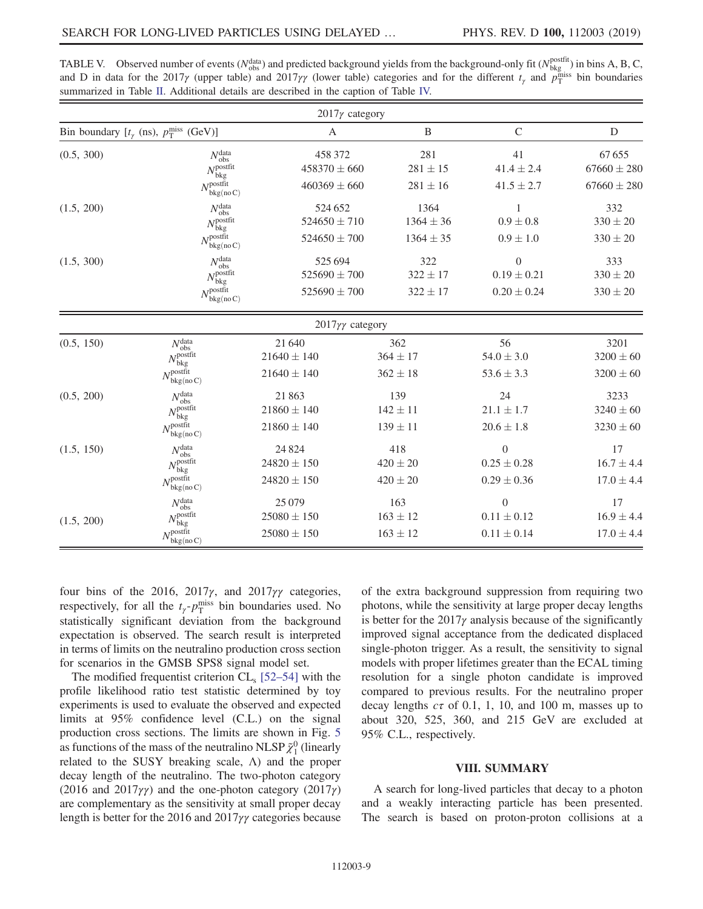|                                                             |                                                                                                      | $2017\gamma$ category                           |                                        |                                                        |                                             |
|-------------------------------------------------------------|------------------------------------------------------------------------------------------------------|-------------------------------------------------|----------------------------------------|--------------------------------------------------------|---------------------------------------------|
| Bin boundary $[t_{\gamma}$ (ns), $p_T^{\text{miss}}$ (GeV)] |                                                                                                      | $\mathbf{A}$                                    | B                                      | $\mathcal{C}$                                          | D                                           |
| (0.5, 300)                                                  | $N_{\rm obs}^{\rm data}$<br>$N_{\rm bkg}^{\rm postfit}$<br>$N_{\rm bkg(no\,C)}^{\rm postfit}$        | 458 372<br>$458370 \pm 660$<br>$460369 \pm 660$ | 281<br>$281 \pm 15$<br>$281 \pm 16$    | 41<br>$41.4 \pm 2.4$<br>$41.5 \pm 2.7$                 | 67655<br>$67660 \pm 280$<br>$67660 \pm 280$ |
| (1.5, 200)                                                  | $N_{\rm obs}^{\rm data} \over N_{\rm bkg}^{\rm postfit}$<br>$N_{\rm bkg(no\,C)}^{\rm postfit}$       | 524 652<br>$524650 \pm 710$<br>$524650 \pm 700$ | 1364<br>$1364 \pm 36$<br>$1364 \pm 35$ | $0.9 \pm 0.8$<br>$0.9 \pm 1.0$                         | 332<br>$330 \pm 20$<br>$330 \pm 20$         |
| (1.5, 300)                                                  | $N_{\rm obs}^{\rm data}$<br>$N_{\rm bkg}^{\rm postfit}$<br>$N_{\rm bkg(no\,C)}^{\rm postfit}$        | 525 694<br>$525690 \pm 700$<br>$525690 \pm 700$ | 322<br>$322 \pm 17$<br>$322 \pm 17$    | $\boldsymbol{0}$<br>$0.19 \pm 0.21$<br>$0.20 \pm 0.24$ | 333<br>$330 \pm 20$<br>$330\pm20$           |
|                                                             |                                                                                                      | $2017\gamma\gamma$ category                     |                                        |                                                        |                                             |
| (0.5, 150)                                                  | $N_{\rm obs}^{\rm data}$<br>$N_{\rm bkg}^{\rm postfit}$<br>$N^{\text{postfit}}$<br>bkg(no C)         | 21 640<br>$21640 \pm 140$<br>$21640 \pm 140$    | 362<br>$364 \pm 17$<br>$362 \pm 18$    | 56<br>$54.0 \pm 3.0$<br>$53.6 \pm 3.3$                 | 3201<br>$3200 \pm 60$<br>$3200 \pm 60$      |
| (0.5, 200)                                                  | $N_{\rm obs}^{\rm data}$<br>$N_{\rm bkg}^{\rm postfit}$<br>$N_{\cdot}^{\text{postfit}}$<br>bkg(no C) | 21863<br>$21860 \pm 140$<br>$21860 \pm 140$     | 139<br>$142 \pm 11$<br>$139 \pm 11$    | 24<br>$21.1 \pm 1.7$<br>$20.6 \pm 1.8$                 | 3233<br>$3240 \pm 60$<br>$3230 \pm 60$      |
| (1.5, 150)                                                  | $N_{\rm obs}^{\rm data}$<br>$N_{\rm bkg}^{\rm postfit}$<br>$N_{\rm bkg(no\,C)}^{\rm postfit}$        | 24 8 24<br>$24820 \pm 150$<br>$24820 \pm 150$   | 418<br>$420 \pm 20$<br>$420 \pm 20$    | $\boldsymbol{0}$<br>$0.25 \pm 0.28$<br>$0.29 \pm 0.36$ | 17<br>$16.7 \pm 4.4$<br>$17.0 \pm 4.4$      |
| (1.5, 200)                                                  | $N_{\rm obs}^{\rm data}$<br>$N_{\rm bkg}^{\rm postfit}$<br>$N_{\rm bkg(no\,C)}^{\rm postfit}$        | 25 0 79<br>$25080 \pm 150$<br>$25080 \pm 150$   | 163<br>$163 \pm 12$<br>$163 \pm 12$    | $\theta$<br>$0.11 \pm 0.12$<br>$0.11 \pm 0.14$         | 17<br>$16.9 \pm 4.4$<br>$17.0 \pm 4.4$      |

<span id="page-8-0"></span>TABLE V. Observed number of events ( $N_{obs}^{data}$ ) and predicted background yields from the background-only fit ( $N_{bkg}^{postfit}$ ) in bins A, B, C, and D in data for the 2017 $\gamma$  (upper table) and 2017 $\gamma\gamma$  (lower table) categories and for the different  $t_{\gamma}$  and  $p_T^{\text{miss}}$  bin boundaries summarized in Table [II](#page-6-0). Additional details are described in the caption of Table [IV.](#page-7-1)

four bins of the 2016, 2017 $\gamma$ , and 2017 $\gamma\gamma$  categories, respectively, for all the  $t_{\gamma}$ - $p_T^{\text{miss}}$  bin boundaries used. No statistically significant deviation from the background expectation is observed. The search result is interpreted in terms of limits on the neutralino production cross section for scenarios in the GMSB SPS8 signal model set.

The modified frequentist criterion  $CL_s$  [52–[54\]](#page-11-14) with the profile likelihood ratio test statistic determined by toy experiments is used to evaluate the observed and expected limits at 95% confidence level (C.L.) on the signal production cross sections. The limits are shown in Fig. [5](#page-9-0) as functions of the mass of the neutralino NLSP  $\tilde{\chi}_1^0$  (linearly related to the SUSY breaking scale, Λ) and the proper decay length of the neutralino. The two-photon category (2016 and 2017 $\gamma\gamma$ ) and the one-photon category (2017 $\gamma$ ) are complementary as the sensitivity at small proper decay length is better for the 2016 and 2017γγ categories because of the extra background suppression from requiring two photons, while the sensitivity at large proper decay lengths is better for the 2017 $\gamma$  analysis because of the significantly improved signal acceptance from the dedicated displaced single-photon trigger. As a result, the sensitivity to signal models with proper lifetimes greater than the ECAL timing resolution for a single photon candidate is improved compared to previous results. For the neutralino proper decay lengths  $c\tau$  of 0.1, 1, 10, and 100 m, masses up to about 320, 525, 360, and 215 GeV are excluded at 95% C.L., respectively.

# VIII. SUMMARY

A search for long-lived particles that decay to a photon and a weakly interacting particle has been presented. The search is based on proton-proton collisions at a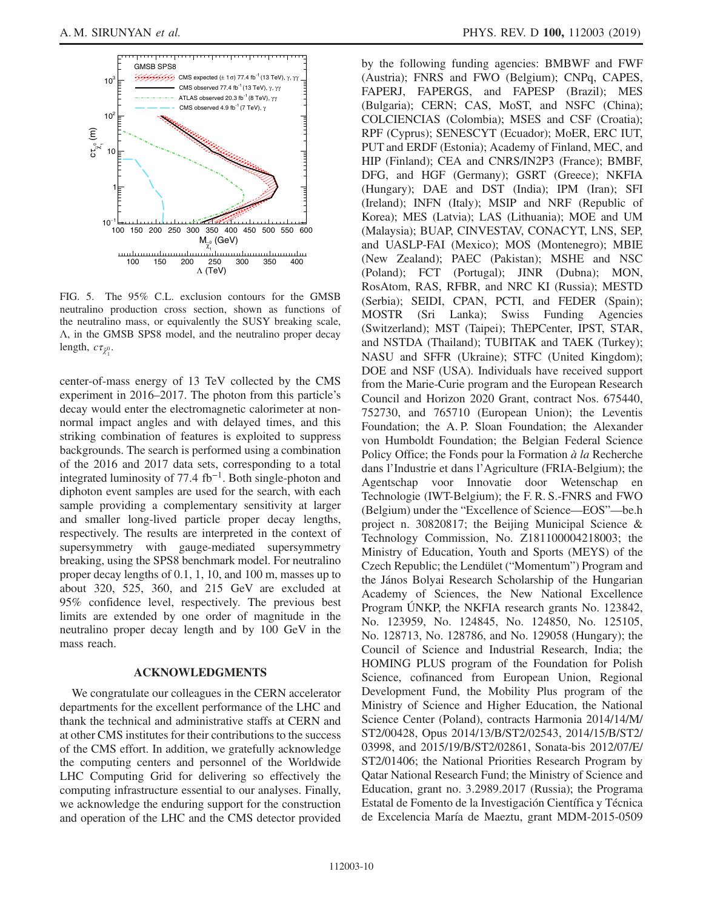<span id="page-9-0"></span>

FIG. 5. The 95% C.L. exclusion contours for the GMSB neutralino production cross section, shown as functions of the neutralino mass, or equivalently the SUSY breaking scale, Λ, in the GMSB SPS8 model, and the neutralino proper decay length,  $c\tau_{\tilde{\chi}_1^0}$ .

center-of-mass energy of 13 TeV collected by the CMS experiment in 2016–2017. The photon from this particle's decay would enter the electromagnetic calorimeter at nonnormal impact angles and with delayed times, and this striking combination of features is exploited to suppress backgrounds. The search is performed using a combination of the 2016 and 2017 data sets, corresponding to a total integrated luminosity of 77.4 fb<sup>−</sup><sup>1</sup>. Both single-photon and diphoton event samples are used for the search, with each sample providing a complementary sensitivity at larger and smaller long-lived particle proper decay lengths, respectively. The results are interpreted in the context of supersymmetry with gauge-mediated supersymmetry breaking, using the SPS8 benchmark model. For neutralino proper decay lengths of 0.1, 1, 10, and 100 m, masses up to about 320, 525, 360, and 215 GeV are excluded at 95% confidence level, respectively. The previous best limits are extended by one order of magnitude in the neutralino proper decay length and by 100 GeV in the mass reach.

# ACKNOWLEDGMENTS

We congratulate our colleagues in the CERN accelerator departments for the excellent performance of the LHC and thank the technical and administrative staffs at CERN and at other CMS institutes for their contributions to the success of the CMS effort. In addition, we gratefully acknowledge the computing centers and personnel of the Worldwide LHC Computing Grid for delivering so effectively the computing infrastructure essential to our analyses. Finally, we acknowledge the enduring support for the construction and operation of the LHC and the CMS detector provided by the following funding agencies: BMBWF and FWF (Austria); FNRS and FWO (Belgium); CNPq, CAPES, FAPERJ, FAPERGS, and FAPESP (Brazil); MES (Bulgaria); CERN; CAS, MoST, and NSFC (China); COLCIENCIAS (Colombia); MSES and CSF (Croatia); RPF (Cyprus); SENESCYT (Ecuador); MoER, ERC IUT, PUT and ERDF (Estonia); Academy of Finland, MEC, and HIP (Finland); CEA and CNRS/IN2P3 (France); BMBF, DFG, and HGF (Germany); GSRT (Greece); NKFIA (Hungary); DAE and DST (India); IPM (Iran); SFI (Ireland); INFN (Italy); MSIP and NRF (Republic of Korea); MES (Latvia); LAS (Lithuania); MOE and UM (Malaysia); BUAP, CINVESTAV, CONACYT, LNS, SEP, and UASLP-FAI (Mexico); MOS (Montenegro); MBIE (New Zealand); PAEC (Pakistan); MSHE and NSC (Poland); FCT (Portugal); JINR (Dubna); MON, RosAtom, RAS, RFBR, and NRC KI (Russia); MESTD (Serbia); SEIDI, CPAN, PCTI, and FEDER (Spain); MOSTR (Sri Lanka); Swiss Funding Agencies (Switzerland); MST (Taipei); ThEPCenter, IPST, STAR, and NSTDA (Thailand); TUBITAK and TAEK (Turkey); NASU and SFFR (Ukraine); STFC (United Kingdom); DOE and NSF (USA). Individuals have received support from the Marie-Curie program and the European Research Council and Horizon 2020 Grant, contract Nos. 675440, 752730, and 765710 (European Union); the Leventis Foundation; the A. P. Sloan Foundation; the Alexander von Humboldt Foundation; the Belgian Federal Science Policy Office; the Fonds pour la Formation  $\dot{a}$  la Recherche dans l'Industrie et dans l'Agriculture (FRIA-Belgium); the Agentschap voor Innovatie door Wetenschap en Technologie (IWT-Belgium); the F. R. S.-FNRS and FWO (Belgium) under the "Excellence of Science—EOS"—be.h project n. 30820817; the Beijing Municipal Science & Technology Commission, No. Z181100004218003; the Ministry of Education, Youth and Sports (MEYS) of the Czech Republic; the Lendület ("Momentum") Program and the János Bolyai Research Scholarship of the Hungarian Academy of Sciences, the New National Excellence Program ÚNKP, the NKFIA research grants No. 123842, No. 123959, No. 124845, No. 124850, No. 125105, No. 128713, No. 128786, and No. 129058 (Hungary); the Council of Science and Industrial Research, India; the HOMING PLUS program of the Foundation for Polish Science, cofinanced from European Union, Regional Development Fund, the Mobility Plus program of the Ministry of Science and Higher Education, the National Science Center (Poland), contracts Harmonia 2014/14/M/ ST2/00428, Opus 2014/13/B/ST2/02543, 2014/15/B/ST2/ 03998, and 2015/19/B/ST2/02861, Sonata-bis 2012/07/E/ ST2/01406; the National Priorities Research Program by Qatar National Research Fund; the Ministry of Science and Education, grant no. 3.2989.2017 (Russia); the Programa Estatal de Fomento de la Investigación Científica y Técnica de Excelencia María de Maeztu, grant MDM-2015-0509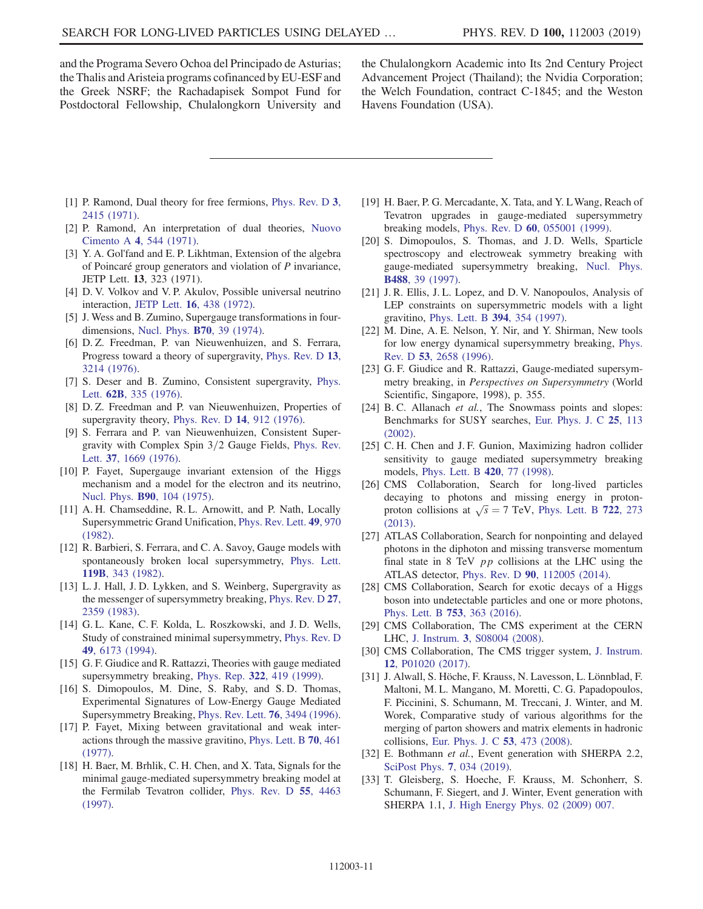and the Programa Severo Ochoa del Principado de Asturias; the Thalis and Aristeia programs cofinanced by EU-ESF and the Greek NSRF; the Rachadapisek Sompot Fund for Postdoctoral Fellowship, Chulalongkorn University and the Chulalongkorn Academic into Its 2nd Century Project Advancement Project (Thailand); the Nvidia Corporation; the Welch Foundation, contract C-1845; and the Weston Havens Foundation (USA).

- <span id="page-10-0"></span>[1] P. Ramond, Dual theory for free fermions, [Phys. Rev. D](https://doi.org/10.1103/PhysRevD.3.2415) 3, [2415 \(1971\)](https://doi.org/10.1103/PhysRevD.3.2415).
- [2] P. Ramond, An interpretation of dual theories, [Nuovo](https://doi.org/10.1007/BF02731370) Cimento A 4[, 544 \(1971\).](https://doi.org/10.1007/BF02731370)
- [3] Y. A. Gol'fand and E. P. Likhtman, Extension of the algebra of Poincaré group generators and violation of  $P$  invariance, JETP Lett. 13, 323 (1971).
- [4] D. V. Volkov and V. P. Akulov, Possible universal neutrino interaction, JETP Lett. 16[, 438 \(1972\)](https://doi.org/10.1007/BFb0105270).
- [5] J. Wess and B. Zumino, Supergauge transformations in fourdimensions, [Nucl. Phys.](https://doi.org/10.1016/0550-3213(74)90355-1) B70, 39 (1974).
- [6] D. Z. Freedman, P. van Nieuwenhuizen, and S. Ferrara, Progress toward a theory of supergravity, [Phys. Rev. D](https://doi.org/10.1103/PhysRevD.13.3214) 13, [3214 \(1976\)](https://doi.org/10.1103/PhysRevD.13.3214).
- [7] S. Deser and B. Zumino, Consistent supergravity, [Phys.](https://doi.org/10.1016/0370-2693(76)90089-7) Lett. 62B[, 335 \(1976\).](https://doi.org/10.1016/0370-2693(76)90089-7)
- [8] D. Z. Freedman and P. van Nieuwenhuizen, Properties of supergravity theory, [Phys. Rev. D](https://doi.org/10.1103/PhysRevD.14.912) 14, 912 (1976).
- [9] S. Ferrara and P. van Nieuwenhuizen, Consistent Supergravity with Complex Spin  $3/2$  Gauge Fields, [Phys. Rev.](https://doi.org/10.1103/PhysRevLett.37.1669) Lett. 37[, 1669 \(1976\)](https://doi.org/10.1103/PhysRevLett.37.1669).
- [10] P. Fayet, Supergauge invariant extension of the Higgs mechanism and a model for the electron and its neutrino, Nucl. Phys. B90[, 104 \(1975\)](https://doi.org/10.1016/0550-3213(75)90636-7).
- [11] A. H. Chamseddine, R. L. Arnowitt, and P. Nath, Locally Supersymmetric Grand Unification, [Phys. Rev. Lett.](https://doi.org/10.1103/PhysRevLett.49.970) 49, 970 [\(1982\).](https://doi.org/10.1103/PhysRevLett.49.970)
- [12] R. Barbieri, S. Ferrara, and C. A. Savoy, Gauge models with spontaneously broken local supersymmetry, [Phys. Lett.](https://doi.org/10.1016/0370-2693(82)90685-2) 119B[, 343 \(1982\).](https://doi.org/10.1016/0370-2693(82)90685-2)
- [13] L. J. Hall, J. D. Lykken, and S. Weinberg, Supergravity as the messenger of supersymmetry breaking, [Phys. Rev. D](https://doi.org/10.1103/PhysRevD.27.2359) 27, [2359 \(1983\)](https://doi.org/10.1103/PhysRevD.27.2359).
- [14] G.L. Kane, C.F. Kolda, L. Roszkowski, and J.D. Wells, Study of constrained minimal supersymmetry, [Phys. Rev. D](https://doi.org/10.1103/PhysRevD.49.6173) 49[, 6173 \(1994\)](https://doi.org/10.1103/PhysRevD.49.6173).
- <span id="page-10-1"></span>[15] G. F. Giudice and R. Rattazzi, Theories with gauge mediated supersymmetry breaking, Phys. Rep. 322[, 419 \(1999\).](https://doi.org/10.1016/S0370-1573(99)00042-3)
- [16] S. Dimopoulos, M. Dine, S. Raby, and S.D. Thomas, Experimental Signatures of Low-Energy Gauge Mediated Supersymmetry Breaking, [Phys. Rev. Lett.](https://doi.org/10.1103/PhysRevLett.76.3494) 76, 3494 (1996).
- [17] P. Fayet, Mixing between gravitational and weak interactions through the massive gravitino, [Phys. Lett. B](https://doi.org/10.1016/0370-2693(77)90414-2) 70, 461 [\(1977\).](https://doi.org/10.1016/0370-2693(77)90414-2)
- [18] H. Baer, M. Brhlik, C. H. Chen, and X. Tata, Signals for the minimal gauge-mediated supersymmetry breaking model at the Fermilab Tevatron collider, [Phys. Rev. D](https://doi.org/10.1103/PhysRevD.55.4463) 55, 4463 [\(1997\).](https://doi.org/10.1103/PhysRevD.55.4463)
- [19] H. Baer, P. G. Mercadante, X. Tata, and Y. LWang, Reach of Tevatron upgrades in gauge-mediated supersymmetry breaking models, Phys. Rev. D 60[, 055001 \(1999\).](https://doi.org/10.1103/PhysRevD.60.055001)
- [20] S. Dimopoulos, S. Thomas, and J. D. Wells, Sparticle spectroscopy and electroweak symmetry breaking with gauge-mediated supersymmetry breaking, [Nucl. Phys.](https://doi.org/10.1016/S0550-3213(97)00030-8) B488[, 39 \(1997\)](https://doi.org/10.1016/S0550-3213(97)00030-8).
- [21] J. R. Ellis, J. L. Lopez, and D. V. Nanopoulos, Analysis of LEP constraints on supersymmetric models with a light gravitino, [Phys. Lett. B](https://doi.org/10.1016/S0370-2693(97)00019-1) 394, 354 (1997).
- [22] M. Dine, A. E. Nelson, Y. Nir, and Y. Shirman, New tools for low energy dynamical supersymmetry breaking, [Phys.](https://doi.org/10.1103/PhysRevD.53.2658) Rev. D 53[, 2658 \(1996\).](https://doi.org/10.1103/PhysRevD.53.2658)
- [23] G. F. Giudice and R. Rattazzi, Gauge-mediated supersymmetry breaking, in Perspectives on Supersymmetry (World Scientific, Singapore, 1998), p. 355.
- <span id="page-10-2"></span>[24] B. C. Allanach et al., The Snowmass points and slopes: Benchmarks for SUSY searches, [Eur. Phys. J. C](https://doi.org/10.1007/s10052-002-0949-3) 25, 113 [\(2002\).](https://doi.org/10.1007/s10052-002-0949-3)
- [25] C. H. Chen and J. F. Gunion, Maximizing hadron collider sensitivity to gauge mediated supersymmetry breaking models, [Phys. Lett. B](https://doi.org/10.1016/S0370-2693(97)01428-7) 420, 77 (1998).
- <span id="page-10-3"></span>[26] CMS Collaboration, Search for long-lived particles decaying to photons and missing energy in protonproton collisions at  $\sqrt{s} = 7$  TeV, [Phys. Lett. B](https://doi.org/10.1016/j.physletb.2013.04.027) 722, 273 [\(2013\).](https://doi.org/10.1016/j.physletb.2013.04.027)
- <span id="page-10-4"></span>[27] ATLAS Collaboration, Search for nonpointing and delayed photons in the diphoton and missing transverse momentum final state in 8 TeV pp collisions at the LHC using the ATLAS detector, Phys. Rev. D 90[, 112005 \(2014\).](https://doi.org/10.1103/PhysRevD.90.112005)
- <span id="page-10-5"></span>[28] CMS Collaboration, Search for exotic decays of a Higgs boson into undetectable particles and one or more photons, [Phys. Lett. B](https://doi.org/10.1016/j.physletb.2015.12.017) 753, 363 (2016).
- <span id="page-10-6"></span>[29] CMS Collaboration, The CMS experiment at the CERN LHC, J. Instrum. 3[, S08004 \(2008\).](https://doi.org/10.1088/1748-0221/3/08/S08004)
- <span id="page-10-7"></span>[30] CMS Collaboration, The CMS trigger system, [J. Instrum.](https://doi.org/10.1088/1748-0221/12/01/P01020) 12[, P01020 \(2017\)](https://doi.org/10.1088/1748-0221/12/01/P01020).
- <span id="page-10-8"></span>[31] J. Alwall, S. Höche, F. Krauss, N. Lavesson, L. Lönnblad, F. Maltoni, M. L. Mangano, M. Moretti, C. G. Papadopoulos, F. Piccinini, S. Schumann, M. Treccani, J. Winter, and M. Worek, Comparative study of various algorithms for the merging of parton showers and matrix elements in hadronic collisions, [Eur. Phys. J. C](https://doi.org/10.1140/epjc/s10052-007-0490-5) 53, 473 (2008).
- <span id="page-10-9"></span>[32] E. Bothmann et al., Event generation with SHERPA 2.2, [SciPost Phys.](https://doi.org/10.21468/SciPostPhys.7.3.034) 7, 034 (2019).
- [33] T. Gleisberg, S. Hoeche, F. Krauss, M. Schonherr, S. Schumann, F. Siegert, and J. Winter, Event generation with SHERPA 1.1, [J. High Energy Phys. 02 \(2009\) 007.](https://doi.org/10.1088/1126-6708/2009/02/007)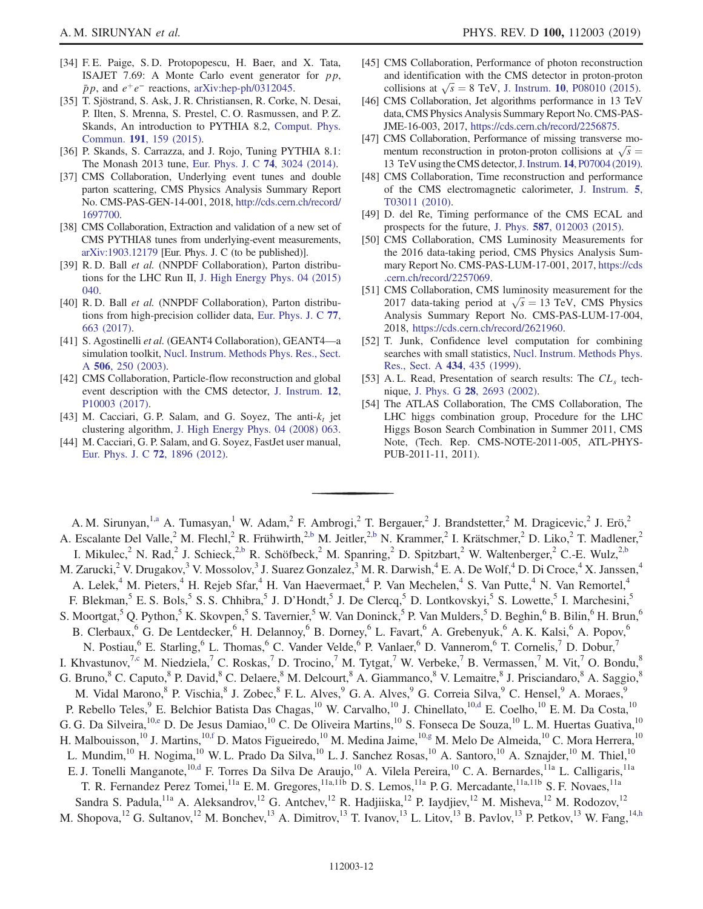- <span id="page-11-0"></span>[34] F. E. Paige, S. D. Protopopescu, H. Baer, and X. Tata, ISAJET 7.69: A Monte Carlo event generator for  $p p$ ,  $\bar{p}p$ , and  $e^+e^-$  reactions, [arXiv:hep-ph/0312045](https://arXiv.org/abs/hep-ph/0312045).
- <span id="page-11-1"></span>[35] T. Sjöstrand, S. Ask, J. R. Christiansen, R. Corke, N. Desai, P. Ilten, S. Mrenna, S. Prestel, C. O. Rasmussen, and P. Z. Skands, An introduction to PYTHIA 8.2, [Comput. Phys.](https://doi.org/10.1016/j.cpc.2015.01.024) Commun. 191[, 159 \(2015\)](https://doi.org/10.1016/j.cpc.2015.01.024).
- <span id="page-11-2"></span>[36] P. Skands, S. Carrazza, and J. Rojo, Tuning PYTHIA 8.1: The Monash 2013 tune, [Eur. Phys. J. C](https://doi.org/10.1140/epjc/s10052-014-3024-y) 74, 3024 (2014).
- [37] CMS Collaboration, Underlying event tunes and double parton scattering, CMS Physics Analysis Summary Report No. CMS-PAS-GEN-14-001, 2018, [http://cds.cern.ch/record/](http://cds.cern.ch/record/1697700) [1697700.](http://cds.cern.ch/record/1697700)
- <span id="page-11-3"></span>[38] CMS Collaboration, Extraction and validation of a new set of CMS PYTHIA8 tunes from underlying-event measurements, [arXiv:1903.12179](https://arXiv.org/abs/1903.12179) [Eur. Phys. J. C (to be published)].
- <span id="page-11-4"></span>[39] R. D. Ball et al. (NNPDF Collaboration), Parton distributions for the LHC Run II, [J. High Energy Phys. 04 \(2015\)](https://doi.org/10.1007/JHEP04(2015)040) [040.](https://doi.org/10.1007/JHEP04(2015)040)
- <span id="page-11-5"></span>[40] R. D. Ball et al. (NNPDF Collaboration), Parton distributions from high-precision collider data, [Eur. Phys. J. C](https://doi.org/10.1140/epjc/s10052-017-5199-5) 77, [663 \(2017\)](https://doi.org/10.1140/epjc/s10052-017-5199-5).
- <span id="page-11-6"></span>[41] S. Agostinelli et al. (GEANT4 Collaboration), GEANT4—a simulation toolkit, [Nucl. Instrum. Methods Phys. Res., Sect.](https://doi.org/10.1016/S0168-9002(03)01368-8) A 506[, 250 \(2003\).](https://doi.org/10.1016/S0168-9002(03)01368-8)
- <span id="page-11-7"></span>[42] CMS Collaboration, Particle-flow reconstruction and global event description with the CMS detector, [J. Instrum.](https://doi.org/10.1088/1748-0221/12/10/P10003) 12, [P10003 \(2017\)](https://doi.org/10.1088/1748-0221/12/10/P10003).
- <span id="page-11-8"></span>[43] M. Cacciari, G. P. Salam, and G. Soyez, The anti- $k_t$  jet clustering algorithm, [J. High Energy Phys. 04 \(2008\) 063.](https://doi.org/10.1088/1126-6708/2008/04/063)
- [44] M. Cacciari, G. P. Salam, and G. Soyez, FastJet user manual, [Eur. Phys. J. C](https://doi.org/10.1140/epjc/s10052-012-1896-2) 72, 1896 (2012).
- <span id="page-11-9"></span>[45] CMS Collaboration, Performance of photon reconstruction and identification with the CMS detector in proton-proton collisions at  $\sqrt{s} = 8$  TeV, J. Instrum. 10[, P08010 \(2015\)](https://doi.org/10.1088/1748-0221/10/08/P08010).
- <span id="page-11-10"></span>[46] CMS Collaboration, Jet algorithms performance in 13 TeV data, CMS Physics Analysis Summary Report No. CMS-PAS-JME-16-003, 2017, [https://cds.cern.ch/record/2256875.](https://cds.cern.ch/record/2256875)
- <span id="page-11-11"></span>[47] CMS Collaboration, Performance of missing transverse momentum reconstruction in proton-proton collisions at  $\sqrt{s}$  = 13 TeV using the CMS detector,J. Instrum. 14[, P07004 \(2019\).](https://doi.org/10.1088/1748-0221/14/07/P07004)
- <span id="page-11-12"></span>[48] CMS Collaboration, Time reconstruction and performance of the CMS electromagnetic calorimeter, [J. Instrum.](https://doi.org/10.1088/1748-0221/5/03/T03011) 5, [T03011 \(2010\).](https://doi.org/10.1088/1748-0221/5/03/T03011)
- [49] D. del Re, Timing performance of the CMS ECAL and prospects for the future, J. Phys. 587[, 012003 \(2015\)](https://doi.org/10.1088/1742-6596/587/1/012003).
- <span id="page-11-13"></span>[50] CMS Collaboration, CMS Luminosity Measurements for the 2016 data-taking period, CMS Physics Analysis Summary Report No. CMS-PAS-LUM-17-001, 2017, [https://cds](https://cds.cern.ch/record/2257069) [.cern.ch/record/2257069.](https://cds.cern.ch/record/2257069)
- [51] CMS Collaboration, CMS luminosity measurement for the 2017 data-taking period at  $\sqrt{s} = 13$  TeV, CMS Physics Analysis Summary Report No. CMS-PAS-LUM-17-004, 2018, <https://cds.cern.ch/record/2621960>.
- <span id="page-11-14"></span>[52] T. Junk, Confidence level computation for combining searches with small statistics, [Nucl. Instrum. Methods Phys.](https://doi.org/10.1016/S0168-9002(99)00498-2) [Res., Sect. A](https://doi.org/10.1016/S0168-9002(99)00498-2) 434, 435 (1999).
- [53] A. L. Read, Presentation of search results: The  $CL<sub>s</sub>$  technique, J. Phys. G 28[, 2693 \(2002\).](https://doi.org/10.1088/0954-3899/28/10/313)
- [54] The ATLAS Collaboration, The CMS Collaboration, The LHC higgs combination group, Procedure for the LHC Higgs Boson Search Combination in Summer 2011, CMS Note, (Tech. Rep. CMS-NOTE-2011-005, ATL-PHYS-PUB-2011-11, 2011).

<span id="page-11-21"></span><span id="page-11-20"></span><span id="page-11-19"></span><span id="page-11-18"></span><span id="page-11-17"></span><span id="page-11-16"></span><span id="page-11-15"></span>A. M. Sirunyan,<sup>1[,a](#page-21-0)</sup> A. Tumasyan,<sup>1</sup> W. Adam,<sup>2</sup> F. Ambrogi,<sup>2</sup> T. Bergauer,<sup>2</sup> J. Brandstetter,<sup>2</sup> M. Dragicevic,<sup>2</sup> J. Erö,<sup>2</sup> A. Escalante Del Valle,<sup>2</sup> M. Flechl,<sup>2</sup> R. Frühwirth,<sup>[2,b](#page-21-1)</sup> M. Jeitler,<sup>2,b</sup> N. Krammer,<sup>2</sup> I. Krätschmer,<sup>2</sup> D. Liko,<sup>2</sup> T. Madlener,<sup>2</sup> I. Mikulec,<sup>2</sup> N. Rad,<sup>2</sup> J. Schieck,<sup>[2,b](#page-21-1)</sup> R. Schöfbeck,<sup>2</sup> M. Spanring,<sup>2</sup> D. Spitzbart,<sup>2</sup> W. Waltenberger,<sup>2</sup> C.-E. Wulz,<sup>2,b</sup> M. Zarucki,<sup>2</sup> V. Drugakov,<sup>3</sup> V. Mossolov,<sup>3</sup> J. Suarez Gonzalez,<sup>3</sup> M. R. Darwish,<sup>4</sup> E. A. De Wolf,<sup>4</sup> D. Di Croce,<sup>4</sup> X. Janssen,<sup>4</sup> A. Lelek,<sup>4</sup> M. Pieters,<sup>4</sup> H. Rejeb Sfar,<sup>4</sup> H. Van Haevermaet,<sup>4</sup> P. Van Mechelen,<sup>4</sup> S. Van Putte,<sup>4</sup> N. Van Remortel,<sup>4</sup> F. Blekman,<sup>5</sup> E. S. Bols,<sup>5</sup> S. S. Chhibra,<sup>5</sup> J. D'Hondt,<sup>5</sup> J. De Clercq,<sup>5</sup> D. Lontkovskyi,<sup>5</sup> S. Lowette,<sup>5</sup> I. Marchesini,<sup>5</sup> S. Moortgat,<sup>5</sup> Q. Python,<sup>5</sup> K. Skovpen,<sup>5</sup> S. Tavernier,<sup>5</sup> W. Van Doninck,<sup>5</sup> P. Van Mulders,<sup>5</sup> D. Beghin,<sup>6</sup> B. Bilin,<sup>6</sup> H. Brun,<sup>6</sup> B. Clerbaux,<sup>6</sup> G. De Lentdecker,<sup>6</sup> H. Delannoy,<sup>6</sup> B. Dorney,<sup>6</sup> L. Favart,<sup>6</sup> A. Grebenyuk,<sup>6</sup> A. K. Kalsi,<sup>6</sup> A. Popov,<sup>6</sup> N. Postiau, <sup>6</sup> E. Starling, <sup>6</sup> L. Thomas, <sup>6</sup> C. Vander Velde, <sup>6</sup> P. Vanlaer, <sup>6</sup> D. Vannerom, <sup>6</sup> T. Cornelis, <sup>7</sup> D. Dobur, <sup>7</sup> I. Khvastunov,<sup>7[,c](#page-21-2)</sup> M. Niedziela,<sup>7</sup> C. Roskas,<sup>7</sup> D. Trocino,<sup>7</sup> M. Tytgat,<sup>7</sup> W. Verbeke,<sup>7</sup> B. Vermassen,<sup>7</sup> M. Vit,<sup>7</sup> O. Bondu,<sup>8</sup> G. Bruno,<sup>8</sup> C. Caputo,<sup>8</sup> P. David,<sup>8</sup> C. Delaere,<sup>8</sup> M. Delcourt,<sup>8</sup> A. Giammanco,<sup>8</sup> V. Lemaitre,<sup>8</sup> J. Prisciandaro,<sup>8</sup> A. Saggio,<sup>8</sup> M. Vidal Marono,<sup>8</sup> P. Vischia,<sup>8</sup> J. Zobec,<sup>8</sup> F. L. Alves,<sup>9</sup> G. A. Alves,<sup>9</sup> G. Correia Silva,<sup>9</sup> C. Hensel,<sup>9</sup> A. Moraes,<sup>9</sup> P. Rebello Teles,<sup>9</sup> E. Belchior Batista Das Chagas,<sup>10</sup> W. Carvalho,<sup>10</sup> J. Chinellato,<sup>10[,d](#page-21-3)</sup> E. Coelho,<sup>10</sup> E. M. Da Costa,<sup>10</sup> G. G. Da Silveira, <sup>10[,e](#page-21-4)</sup> D. De Jesus Damiao, <sup>10</sup> C. De Oliveira Martins, <sup>10</sup> S. Fonseca De Souza, <sup>10</sup> L. M. Huertas Guativa, <sup>10</sup> H. Malbouisson,<sup>10</sup> J. Martins,<sup>1[0,f](#page-21-5)</sup> D. Matos Figueiredo,<sup>10</sup> M. Medina Jaime,<sup>1[0,g](#page-21-6)</sup> M. Melo De Almeida,<sup>10</sup> C. Mora Herrera,<sup>10</sup> L. Mundim,<sup>10</sup> H. Nogima,<sup>10</sup> W. L. Prado Da Silva,<sup>10</sup> L. J. Sanchez Rosas,<sup>10</sup> A. Santoro,<sup>10</sup> A. Sznajder,<sup>10</sup> M. Thiel,<sup>10</sup> E. J. Tonelli Manganote,<sup>10[,d](#page-21-3)</sup> F. Torres Da Silva De Araujo,<sup>10</sup> A. Vilela Pereira,<sup>10</sup> C. A. Bernardes,<sup>11a</sup> L. Calligaris,<sup>11a</sup> T. R. Fernandez Perez Tomei,<sup>11a</sup> E. M. Gregores,<sup>11a,11b</sup> D. S. Lemos,<sup>11a</sup> P. G. Mercadante,<sup>11a,11b</sup> S. F. Novaes,<sup>11a</sup> Sandra S. Padula,<sup>11a</sup> A. Aleksandrov,<sup>12</sup> G. Antchev,<sup>12</sup> R. Hadjiiska,<sup>12</sup> P. Iaydjiev,<sup>12</sup> M. Misheva,<sup>12</sup> M. Rodozov,<sup>12</sup> M. Shopova,<sup>12</sup> G. Sultanov,<sup>12</sup> M. Bonchev,<sup>13</sup> A. Dimitrov,<sup>13</sup> T. Ivanov,<sup>13</sup> L. Litov,<sup>13</sup> B. Pavlov,<sup>13</sup> P. Petkov,<sup>13</sup> W. Fang,<sup>14[,h](#page-21-7)</sup>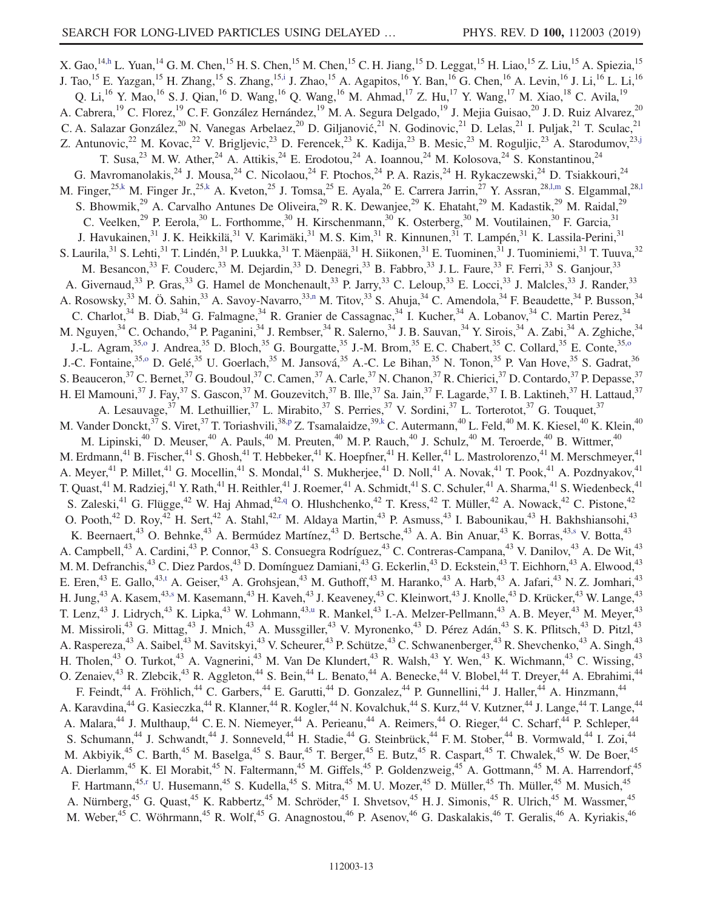<span id="page-12-10"></span><span id="page-12-9"></span><span id="page-12-8"></span><span id="page-12-7"></span><span id="page-12-6"></span><span id="page-12-5"></span><span id="page-12-4"></span><span id="page-12-3"></span><span id="page-12-2"></span><span id="page-12-1"></span><span id="page-12-0"></span>X. Gao,<sup>14[,h](#page-21-7)</sup> L. Yuan,<sup>14</sup> G. M. Chen,<sup>15</sup> H. S. Chen,<sup>15</sup> M. Chen,<sup>15</sup> C. H. Jiang,<sup>15</sup> D. Leggat,<sup>15</sup> H. Liao,<sup>15</sup> Z. Liu,<sup>15</sup> A. Spiezia,<sup>15</sup> J. Tao,<sup>15</sup> E. Yazgan,<sup>15</sup> H. Zhang,<sup>15</sup> S. Zhang,<sup>1[5,i](#page-21-8)</sup> J. Zhao,<sup>15</sup> A. Agapitos,<sup>16</sup> Y. Ban,<sup>16</sup> G. Chen,<sup>16</sup> A. Levin,<sup>16</sup> J. Li,<sup>16</sup> L. Li,<sup>16</sup> Q. Li,<sup>16</sup> Y. Mao,<sup>16</sup> S. J. Qian,<sup>16</sup> D. Wang,<sup>16</sup> Q. Wang,<sup>16</sup> M. Ahmad,<sup>17</sup> Z. Hu,<sup>17</sup> Y. Wang,<sup>17</sup> M. Xiao,<sup>18</sup> C. Avila,<sup>19</sup> A. Cabrera,<sup>19</sup> C. Florez,<sup>19</sup> C. F. González Hernández,<sup>19</sup> M. A. Segura Delgado,<sup>19</sup> J. Mejia Guisao,<sup>20</sup> J. D. Ruiz Alvarez,<sup>20</sup> C. A. Salazar González,<sup>20</sup> N. Vanegas Arbelaez,<sup>20</sup> D. Giljanović,<sup>21</sup> N. Godinovic,<sup>21</sup> D. Lelas,<sup>21</sup> I. Puljak,<sup>21</sup> T. Sculac,<sup>21</sup> Z. Antunovic,<sup>22</sup> M. Kovac,<sup>22</sup> V. Brigljevic,<sup>23</sup> D. Ferencek,<sup>23</sup> K. Kadija,<sup>23</sup> B. Mesic,<sup>23</sup> M. Roguljic,<sup>23</sup> A. Starodumov,<sup>23[,j](#page-22-0)</sup> T. Susa,<sup>23</sup> M. W. Ather,<sup>24</sup> A. Attikis,<sup>24</sup> E. Erodotou,<sup>24</sup> A. Ioannou,<sup>24</sup> M. Kolosova,<sup>24</sup> S. Konstantinou,<sup>24</sup> G. Mavromanolakis,<sup>24</sup> J. Mousa,<sup>24</sup> C. Nicolaou,<sup>24</sup> F. Ptochos,<sup>24</sup> P. A. Razis,<sup>24</sup> H. Rykaczewski,<sup>24</sup> D. Tsiakkouri,<sup>24</sup> M. Finger,<sup>25[,k](#page-22-1)</sup> M. Finger Jr.,<sup>25,k</sup> A. Kveton,<sup>25</sup> J. Tomsa,<sup>25</sup> E. Ayala,<sup>26</sup> E. Carrera Jarrin,<sup>27</sup> Y. Assran,<sup>28,1,m</sup> S. Elgammal,<sup>28,1</sup> S. Bhowmik,<sup>29</sup> A. Carvalho Antunes De Oliveira,<sup>29</sup> R. K. Dewanjee,<sup>29</sup> K. Ehataht,<sup>29</sup> M. Kadastik,<sup>29</sup> M. Raidal,<sup>29</sup> C. Veelken,<sup>29</sup> P. Eerola,<sup>30</sup> L. Forthomme,<sup>30</sup> H. Kirschenmann,<sup>30</sup> K. Osterberg,<sup>30</sup> M. Voutilainen,<sup>30</sup> F. Garcia,<sup>31</sup> J. Havukainen,<sup>31</sup> J. K. Heikkilä,<sup>31</sup> V. Karimäki,<sup>31</sup> M. S. Kim,<sup>31</sup> R. Kinnunen,<sup>31</sup> T. Lampén,<sup>31</sup> K. Lassila-Perini,<sup>31</sup> S. Laurila, <sup>31</sup> S. Lehti, <sup>31</sup> T. Lindén, <sup>31</sup> P. Luukka, <sup>31</sup> T. Mäenpää, <sup>31</sup> H. Siikonen, <sup>31</sup> E. Tuominen, <sup>31</sup> J. Tuominiemi, <sup>31</sup> T. Tuuva, <sup>32</sup> M. Besancon,<sup>33</sup> F. Couderc,<sup>33</sup> M. Dejardin,<sup>33</sup> D. Denegri,<sup>33</sup> B. Fabbro,<sup>33</sup> J. L. Faure,<sup>33</sup> F. Ferri,<sup>33</sup> S. Ganjour,<sup>33</sup> A. Givernaud,<sup>33</sup> P. Gras,<sup>33</sup> G. Hamel de Monchenault,<sup>33</sup> P. Jarry,<sup>33</sup> C. Leloup,<sup>33</sup> E. Locci,<sup>33</sup> J. Malcles,<sup>33</sup> J. Rander,<sup>33</sup> A. Rosowsky,<sup>33</sup> M. Ö. Sahin,<sup>33</sup> A. Savoy-Navarro,<sup>33[,n](#page-22-3)</sup> M. Titov,<sup>33</sup> S. Ahuja,<sup>34</sup> C. Amendola,<sup>34</sup> F. Beaudette,<sup>34</sup> P. Busson,<sup>34</sup> C. Charlot,<sup>34</sup> B. Diab,<sup>34</sup> G. Falmagne,<sup>34</sup> R. Granier de Cassagnac,<sup>34</sup> I. Kucher,<sup>34</sup> A. Lobanov,<sup>34</sup> C. Martin Perez,<sup>34</sup> M. Nguyen,<sup>34</sup> C. Ochando,<sup>34</sup> P. Paganini,<sup>34</sup> J. Rembser,<sup>34</sup> R. Salerno,<sup>34</sup> J. B. Sauvan,<sup>34</sup> Y. Sirois,<sup>34</sup> A. Zabi,<sup>34</sup> A. Zghiche,<sup>34</sup> J.-L. Agram,<sup>3[5,o](#page-22-4)</sup> J. Andrea,<sup>35</sup> D. Bloch,<sup>35</sup> G. Bourgatte,<sup>35</sup> J.-M. Brom,<sup>35</sup> E. C. Chabert,<sup>35</sup> C. Collard,<sup>35</sup> E. Conte,<sup>35[,o](#page-22-4)</sup> J.-C. Fontaine,<sup>3[5,o](#page-22-4)</sup> D. Gelé,<sup>35</sup> U. Goerlach,<sup>35</sup> M. Jansová,<sup>35</sup> A.-C. Le Bihan,<sup>35</sup> N. Tonon,<sup>35</sup> P. Van Hove,<sup>35</sup> S. Gadrat,<sup>36</sup> S. Beauceron,<sup>37</sup> C. Bernet,<sup>37</sup> G. Boudoul,<sup>37</sup> C. Camen,<sup>37</sup> A. Carle,<sup>37</sup> N. Chanon,<sup>37</sup> R. Chierici,<sup>37</sup> D. Contardo,<sup>37</sup> P. Depasse,<sup>37</sup> H. El Mamouni,<sup>37</sup> J. Fay,<sup>37</sup> S. Gascon,<sup>37</sup> M. Gouzevitch,<sup>37</sup> B. Ille,<sup>37</sup> Sa. Jain,<sup>37</sup> F. Lagarde,<sup>37</sup> I. B. Laktineh,<sup>37</sup> H. Lattaud,<sup>37</sup> A. Lesauvage,<sup>37</sup> M. Lethuillier,<sup>37</sup> L. Mirabito,<sup>37</sup> S. Perries,<sup>37</sup> V. Sordini,<sup>37</sup> L. Torterotot,<sup>37</sup> G. Touquet,<sup>37</sup> M. Vander Donckt,<sup>37</sup> S. Viret,<sup>37</sup> T. Toriashvili,<sup>38[,p](#page-22-5)</sup> Z. Tsamalaidze,<sup>39[,k](#page-22-1)</sup> C. Autermann,<sup>40</sup> L. Feld,<sup>40</sup> M. K. Kiesel,<sup>40</sup> K. Klein,<sup>40</sup> M. Lipinski,<sup>40</sup> D. Meuser,<sup>40</sup> A. Pauls,<sup>40</sup> M. Preuten,<sup>40</sup> M. P. Rauch,<sup>40</sup> J. Schulz,<sup>40</sup> M. Teroerde,<sup>40</sup> B. Wittmer,<sup>40</sup> M. Teroerde,<sup>40</sup> B. Wittmer,<sup>40</sup> M. Erdmann,<sup>41</sup> B. Fischer,<sup>41</sup> S. Ghosh,<sup>41</sup> T. Hebbeker,<sup>41</sup> K. Hoepfner,<sup>41</sup> H. Keller,<sup>41</sup> L. Mastrolorenzo,<sup>41</sup> M. Merschmeyer,<sup>41</sup> A. Meyer,<sup>41</sup> P. Millet,<sup>41</sup> G. Mocellin,<sup>41</sup> S. Mondal,<sup>41</sup> S. Mukherjee,<sup>41</sup> D. Noll,<sup>41</sup> A. Novak,<sup>41</sup> T. Pook,<sup>41</sup> A. Pozdnyakov,<sup>41</sup> T. Quast,<sup>41</sup> M. Radziej,<sup>41</sup> Y. Rath,<sup>41</sup> H. Reithler,<sup>41</sup> J. Roemer,<sup>41</sup> A. Schmidt,<sup>41</sup> S. C. Schuler,<sup>41</sup> A. Sharma,<sup>41</sup> S. Wiedenbeck,<sup>41</sup> S. Zaleski,<sup>41</sup> G. Flügge,<sup>42</sup> W. Haj Ahmad,<sup>42[,q](#page-22-6)</sup> O. Hlushchenko,<sup>42</sup> T. Kress,<sup>42</sup> T. Müller,<sup>42</sup> A. Nowack,<sup>42</sup> C. Pistone,<sup>42</sup> O. Pooth,<sup>42</sup> D. Roy,<sup>42</sup> H. Sert,<sup>42</sup> A. Stahl,<sup>4[2,r](#page-22-7)</sup> M. Aldaya Martin,<sup>43</sup> P. Asmuss,<sup>43</sup> I. Babounikau,<sup>43</sup> H. Bakhshiansohi,<sup>43</sup> K. Beernaert,<sup>43</sup> O. Behnke,<sup>43</sup> A. Bermúdez Martínez,<sup>43</sup> D. Bertsche,<sup>43</sup> A. A. Bin Anuar,<sup>43</sup> K. Borras,<sup>4[3,s](#page-22-8)</sup> V. Botta,<sup>43</sup> A. Campbell,<sup>43</sup> A. Cardini,<sup>43</sup> P. Connor,<sup>43</sup> S. Consuegra Rodríguez,<sup>43</sup> C. Contreras-Campana,<sup>43</sup> V. Danilov,<sup>43</sup> A. De Wit,<sup>43</sup> M. M. Defranchis,<sup>43</sup> C. Diez Pardos,<sup>43</sup> D. Domínguez Damiani,<sup>43</sup> G. Eckerlin,<sup>43</sup> D. Eckstein,<sup>43</sup> T. Eichhorn,<sup>43</sup> A. Elwood,<sup>43</sup> E. Eren,<sup>43</sup> E. Gallo,<sup>43[,t](#page-22-9)</sup> A. Geiser,<sup>43</sup> A. Grohsjean,<sup>43</sup> M. Guthoff,<sup>43</sup> M. Haranko,<sup>43</sup> A. Harb,<sup>43</sup> A. Jafari,<sup>43</sup> N. Z. Jomhari,<sup>43</sup> H. Jung,<sup>43</sup> A. Kasem,<sup>4[3,s](#page-22-8)</sup> M. Kasemann,<sup>43</sup> H. Kaveh,<sup>43</sup> J. Keaveney,<sup>43</sup> C. Kleinwort,<sup>43</sup> J. Knolle,<sup>43</sup> D. Krücker,<sup>43</sup> W. Lange,<sup>43</sup> T. Lenz,<sup>43</sup> J. Lidrych,<sup>43</sup> K. Lipka,<sup>43</sup> W. Lohmann,<sup>4[3,u](#page-22-10)</sup> R. Mankel,<sup>43</sup> I.-A. Melzer-Pellmann,<sup>43</sup> A. B. Meyer,<sup>43</sup> M. Meyer,<sup>43</sup> M. Missiroli,<sup>43</sup> G. Mittag,<sup>43</sup> J. Mnich,<sup>43</sup> A. Mussgiller,<sup>43</sup> V. Myronenko,<sup>43</sup> D. Pérez Adán,<sup>43</sup> S. K. Pflitsch,<sup>43</sup> D. Pitzl,<sup>43</sup> A. Raspereza,<sup>43</sup> A. Saibel,<sup>43</sup> M. Savitskyi,<sup>43</sup> V. Scheurer,<sup>43</sup> P. Schütze,<sup>43</sup> C. Schwanenberger,<sup>43</sup> R. Shevchenko,<sup>43</sup> A. Singh,<sup>43</sup> H. Tholen,<sup>43</sup> O. Turkot,<sup>43</sup> A. Vagnerini,<sup>43</sup> M. Van De Klundert,<sup>43</sup> R. Walsh,<sup>43</sup> Y. Wen,<sup>43</sup> K. Wichmann,<sup>43</sup> C. Wissing,<sup>43</sup> O. Zenaiev,<sup>43</sup> R. Zlebcik,<sup>43</sup> R. Aggleton,<sup>44</sup> S. Bein,<sup>44</sup> L. Benato,<sup>44</sup> A. Benecke,<sup>44</sup> V. Blobel,<sup>44</sup> T. Dreyer,<sup>44</sup> A. Ebrahimi,<sup>44</sup> F. Feindt,<sup>44</sup> A. Fröhlich,<sup>44</sup> C. Garbers,<sup>44</sup> E. Garutti,<sup>44</sup> D. Gonzalez,<sup>44</sup> P. Gunnellini,<sup>44</sup> J. Haller,<sup>44</sup> A. Hinzmann,<sup>44</sup> A. Karavdina,<sup>44</sup> G. Kasieczka,<sup>44</sup> R. Klanner,<sup>44</sup> R. Kogler,<sup>44</sup> N. Kovalchuk,<sup>44</sup> S. Kurz,<sup>44</sup> V. Kutzner,<sup>44</sup> J. Lange,<sup>44</sup> T. Lange,<sup>44</sup> A. Malara,<sup>44</sup> J. Multhaup,<sup>44</sup> C. E. N. Niemeyer,<sup>44</sup> A. Perieanu,<sup>44</sup> A. Reimers,<sup>44</sup> O. Rieger,<sup>44</sup> C. Scharf,<sup>44</sup> P. Schleper,<sup>44</sup> S. Schumann,<sup>44</sup> J. Schwandt,<sup>44</sup> J. Sonneveld,<sup>44</sup> H. Stadie,<sup>44</sup> G. Steinbrück,<sup>44</sup> F. M. Stober,<sup>44</sup> B. Vormwald,<sup>44</sup> I. Zoi,<sup>44</sup> M. Akbiyik,<sup>45</sup> C. Barth,<sup>45</sup> M. Baselga,<sup>45</sup> S. Baur,<sup>45</sup> T. Berger,<sup>45</sup> E. Butz,<sup>45</sup> R. Caspart,<sup>45</sup> T. Chwalek,<sup>45</sup> W. De Boer,<sup>45</sup> A. Dierlamm,<sup>45</sup> K. El Morabit,<sup>45</sup> N. Faltermann,<sup>45</sup> M. Giffels,<sup>45</sup> P. Goldenzweig,<sup>45</sup> A. Gottmann,<sup>45</sup> M. A. Harrendorf,<sup>45</sup> F. Hartmann,<sup>45[,r](#page-22-7)</sup> U. Husemann,<sup>45</sup> S. Kudella,<sup>45</sup> S. Mitra,<sup>45</sup> M. U. Mozer,<sup>45</sup> D. Müller,<sup>45</sup> Th. Müller,<sup>45</sup> M. Musich,<sup>45</sup> A. Nürnberg,<sup>45</sup> G. Quast,<sup>45</sup> K. Rabbertz,<sup>45</sup> M. Schröder,<sup>45</sup> I. Shvetsov,<sup>45</sup> H. J. Simonis,<sup>45</sup> R. Ulrich,<sup>45</sup> M. Wassmer,<sup>45</sup> M. Weber,<sup>45</sup> C. Wöhrmann,<sup>45</sup> R. Wolf,<sup>45</sup> G. Anagnostou,<sup>46</sup> P. Asenov,<sup>46</sup> G. Daskalakis,<sup>46</sup> T. Geralis,<sup>46</sup> A. Kyriakis,<sup>46</sup>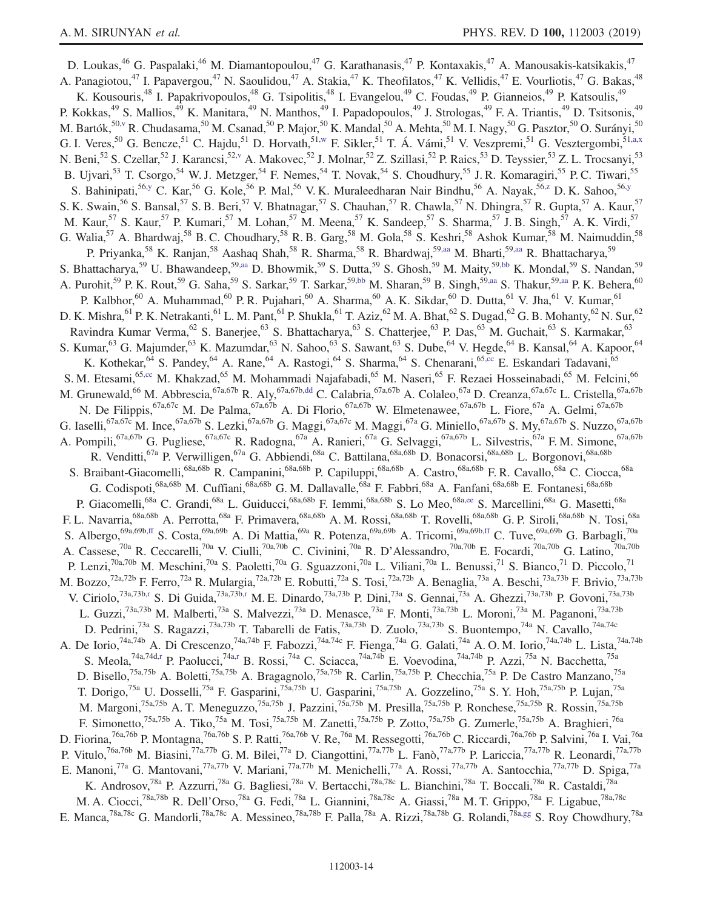<span id="page-13-8"></span><span id="page-13-7"></span><span id="page-13-6"></span><span id="page-13-5"></span><span id="page-13-4"></span><span id="page-13-3"></span><span id="page-13-2"></span><span id="page-13-1"></span><span id="page-13-0"></span>D. Loukas,<sup>46</sup> G. Paspalaki,<sup>46</sup> M. Diamantopoulou,<sup>47</sup> G. Karathanasis,<sup>47</sup> P. Kontaxakis,<sup>47</sup> A. Manousakis-katsikakis,<sup>47</sup> A. Panagiotou,<sup>47</sup> I. Papavergou,<sup>47</sup> N. Saoulidou,<sup>47</sup> A. Stakia,<sup>47</sup> K. Theofilatos,<sup>47</sup> K. Vellidis,<sup>47</sup> E. Vourliotis,<sup>47</sup> G. Bakas,<sup>48</sup> K. Kousouris,<sup>48</sup> I. Papakrivopoulos,<sup>48</sup> G. Tsipolitis,<sup>48</sup> I. Evangelou,<sup>49</sup> C. Foudas,<sup>49</sup> P. Gianneios,<sup>49</sup> P. Katsoulis,<sup>49</sup> P. Kokkas,<sup>49</sup> S. Mallios,<sup>49</sup> K. Manitara,<sup>49</sup> N. Manthos,<sup>49</sup> I. Papadopoulos,<sup>49</sup> J. Strologas,<sup>49</sup> F. A. Triantis,<sup>49</sup> D. Tsitsonis,<sup>49</sup> M. Bartók,<sup>5[0,v](#page-22-11)</sup> R. Chudasama,<sup>50</sup> M. Csanad,<sup>50</sup> P. Major,<sup>50</sup> K. Mandal,<sup>50</sup> A. Mehta,<sup>50</sup> M. I. Nagy,<sup>50</sup> G. Pasztor,<sup>50</sup> O. Surányi,<sup>50</sup> G. I. Veres,<sup>50</sup> G. Bencze,<sup>51</sup> C. Hajdu,<sup>51</sup> D. Horvath,<sup>51[,w](#page-22-12)</sup> F. Sikler,<sup>51</sup> T. Á. Vámi,<sup>51</sup> V. Veszpremi,<sup>51</sup> G. Vesztergombi,<sup>51[,a,x](#page-21-0)</sup> N. Beni,<sup>52</sup> S. Czellar,<sup>52</sup> J. Karancsi,<sup>5[2,v](#page-22-11)</sup> A. Makovec,<sup>52</sup> J. Molnar,<sup>52</sup> Z. Szillasi,<sup>52</sup> P. Raics,<sup>53</sup> D. Teyssier,<sup>53</sup> Z. L. Trocsanyi,<sup>53</sup> B. Ujvari,<sup>53</sup> T. Csorgo,<sup>54</sup> W. J. Metzger,<sup>54</sup> F. Nemes,<sup>54</sup> T. Novak,<sup>54</sup> S. Choudhury,<sup>55</sup> J. R. Komaragiri,<sup>55</sup> P. C. Tiwari,<sup>55</sup> S. Bahinipati,<sup>5[6,y](#page-22-13)</sup> C. Kar,<sup>56</sup> G. Kole,<sup>56</sup> P. Mal,<sup>56</sup> V. K. Muraleedharan Nair Bindhu,<sup>56</sup> A. Nayak,<sup>5[6,z](#page-22-14)</sup> D. K. Sahoo,<sup>56[,y](#page-22-13)</sup> S. K. Swain,<sup>56</sup> S. Bansal,<sup>57</sup> S. B. Beri,<sup>57</sup> V. Bhatnagar,<sup>57</sup> S. Chauhan,<sup>57</sup> R. Chawla,<sup>57</sup> N. Dhingra,<sup>57</sup> R. Gupta,<sup>57</sup> A. Kaur,<sup>57</sup> M. Kaur,<sup>57</sup> S. Kaur,<sup>57</sup> P. Kumari,<sup>57</sup> M. Lohan,<sup>57</sup> M. Meena,<sup>57</sup> K. Sandeep,<sup>57</sup> S. Sharma,<sup>57</sup> J. B. Singh,<sup>57</sup> A. K. Virdi,<sup>57</sup> G. Walia,<sup>57</sup> A. Bhardwaj,<sup>58</sup> B. C. Choudhary,<sup>58</sup> R. B. Garg,<sup>58</sup> M. Gola,<sup>58</sup> S. Keshri,<sup>58</sup> Ashok Kumar,<sup>58</sup> M. Naimuddin,<sup>58</sup> P. Priyanka,<sup>58</sup> K. Ranjan,<sup>58</sup> Aashaq Shah,<sup>58</sup> R. Sharma,<sup>58</sup> R. Bhardwaj,<sup>5[9,aa](#page-22-15)</sup> M. Bharti,<sup>59,aa</sup> R. Bhattacharya,<sup>59</sup> S. Bhattacharya,<sup>59</sup> U. Bhawandeep,<sup>5[9,aa](#page-22-15)</sup> D. Bhowmik,<sup>59</sup> S. Dutta,<sup>59</sup> S. Ghosh,<sup>59</sup> M. Maity,<sup>5[9,bb](#page-22-16)</sup> K. Mondal,<sup>59</sup> S. Nandan,<sup>59</sup> A. Purohit,<sup>59</sup> P. K. Rout,<sup>59</sup> G. Saha,<sup>59</sup> S. Sarkar,<sup>59</sup> T. Sarkar,<sup>59[,bb](#page-22-16)</sup> M. Sharan,<sup>59</sup> B. Singh,<sup>5[9,aa](#page-22-15)</sup> S. Thakur,<sup>59,aa</sup> P. K. Behera,<sup>60</sup> P. Kalbhor,<sup>60</sup> A. Muhammad,<sup>60</sup> P. R. Pujahari,<sup>60</sup> A. Sharma,<sup>60</sup> A. K. Sikdar,<sup>60</sup> D. Dutta,<sup>61</sup> V. Jha,<sup>61</sup> V. Kumar,<sup>61</sup> D. K. Mishra, <sup>61</sup> P. K. Netrakanti, <sup>61</sup> L. M. Pant, <sup>61</sup> P. Shukla, <sup>61</sup> T. Aziz, <sup>62</sup> M. A. Bhat, <sup>62</sup> S. Dugad, <sup>62</sup> G. B. Mohanty, <sup>62</sup> N. Sur, <sup>62</sup> Ravindra Kumar Verma,<sup>62</sup> S. Banerjee,<sup>63</sup> S. Bhattacharya,<sup>63</sup> S. Chatterjee,<sup>63</sup> P. Das,<sup>63</sup> M. Guchait,<sup>63</sup> S. Karmakar,<sup>63</sup> S. Kumar, <sup>63</sup> G. Majumder, <sup>63</sup> K. Mazumdar, <sup>63</sup> N. Sahoo, <sup>63</sup> S. Sawant, <sup>63</sup> S. Dube, <sup>64</sup> V. Hegde, <sup>64</sup> B. Kansal, <sup>64</sup> A. Kapoor, <sup>64</sup> K. Kothekar,<sup>64</sup> S. Pandey,<sup>64</sup> A. Rane,<sup>64</sup> A. Rastogi,<sup>64</sup> S. Sharma,<sup>64</sup> S. Chenarani,<sup>6[5,cc](#page-22-17)</sup> E. Eskandari Tadavani,<sup>65</sup> S. M. Etesami,<sup>65[,cc](#page-22-17)</sup> M. Khakzad,<sup>65</sup> M. Mohammadi Najafabadi,<sup>65</sup> M. Naseri,<sup>65</sup> F. Rezaei Hosseinabadi,<sup>65</sup> M. Felcini,<sup>66</sup> M. Grunewald,<sup>66</sup> M. Abbrescia,<sup>67a,67b</sup> R. Aly,<sup>67a,67b[,dd](#page-22-18)</sup> C. Calabria,<sup>67a,67b</sup> A. Colaleo,<sup>67a</sup> D. Creanza,<sup>67a,67c</sup> L. Cristella,<sup>67a,67b</sup> N. De Filippis, <sup>67a, 67c</sup> M. De Palma, <sup>67a, 67b</sup> A. Di Florio, <sup>67a, 67b</sup> W. Elmetenawee, <sup>67a, 67b</sup> L. Fiore, <sup>67a</sup> A. Gelmi, <sup>67a, 67b</sup> G. Iaselli,<sup>67a,67c</sup> M. Ince,<sup>67a,67b</sup> S. Lezki,<sup>67a,67b</sup> G. Maggi,<sup>67a,67c</sup> M. Maggi,<sup>67a</sup> G. Miniello,<sup>67a,67b</sup> S. My,<sup>67a,67b</sup> S. Nuzzo,<sup>67a,67b</sup> A. Pompili,<sup>67a,67b</sup> G. Pugliese,<sup>67a,67c</sup> R. Radogna,<sup>67a</sup> A. Ranieri,<sup>67a</sup> G. Selvaggi,<sup>67a,67b</sup> L. Silvestris,<sup>67a</sup> F. M. Simone,<sup>67a,67b</sup> R. Venditti,<sup>67a</sup> P. Verwilligen,<sup>67a</sup> G. Abbiendi,<sup>68a</sup> C. Battilana,<sup>68a,68b</sup> D. Bonacorsi,<sup>68a,68b</sup> L. Borgonovi,<sup>68a,68b</sup> S. Braibant-Giacomelli,<sup>68a,68b</sup> R. Campanini,<sup>68a,68b</sup> P. Capiluppi,<sup>68a,68b</sup> A. Castro,<sup>68a,68b</sup> F. R. Cavallo,<sup>68a</sup> C. Ciocca,<sup>68a</sup> G. Codispoti,<sup>68a,68b</sup> M. Cuffiani,<sup>68a,68b</sup> G. M. Dallavalle,<sup>68a</sup> F. Fabbri,<sup>68a</sup> A. Fanfani,<sup>68a,68b</sup> E. Fontanesi,<sup>68a,68b</sup> P. Giacomelli,<sup>68a</sup> C. Grandi,<sup>68a</sup> L. Guiducci,<sup>68a,68b</sup> F. Iemmi,<sup>68a,68b</sup> S. Lo Meo,<sup>68a[,ee](#page-22-19)</sup> S. Marcellini,<sup>68a</sup> G. Masetti,<sup>68a</sup> F. L. Navarria,<sup>68a,68b</sup> A. Perrotta,<sup>68a</sup> F. Primavera,<sup>68a,68b</sup> A. M. Rossi,<sup>68a,68b</sup> T. Rovelli,<sup>68a,68b</sup> G. P. Siroli,<sup>68a,68b</sup> N. Tosi,<sup>68a</sup> S. Albergo,<sup>69a,69b[,ff](#page-22-20)</sup> S. Costa,<sup>69a,69b</sup> A. Di Mattia,<sup>69a</sup> R. Potenza,<sup>69a,69b</sup> A. Tricomi,<sup>69a,69[b,ff](#page-22-20)</sup> C. Tuve,<sup>69a,69b</sup> G. Barbagli,<sup>70a</sup> A. Cassese,<sup>70a</sup> R. Ceccarelli,<sup>70a</sup> V. Ciulli,<sup>70a,70b</sup> C. Civinini,<sup>70a</sup> R. D'Alessandro,<sup>70a,70b</sup> E. Focardi,<sup>70a,70b</sup> G. Latino,<sup>70a,70b</sup> P. Lenzi,<sup>70a,70b</sup> M. Meschini,<sup>70a</sup> S. Paoletti,<sup>70a</sup> G. Sguazzoni,<sup>70a</sup> L. Viliani,<sup>70a</sup> L. Benussi,<sup>71</sup> S. Bianco,<sup>71</sup> D. Piccolo,<sup>71</sup> M. Bozzo,<sup>72a,72b</sup> F. Ferro,<sup>72a</sup> R. Mulargia,<sup>72a,72b</sup> E. Robutti,<sup>72a</sup> S. Tosi,<sup>72a,72b</sup> A. Benaglia,<sup>73a</sup> A. Beschi,<sup>73a,73b</sup> F. Brivio,<sup>73a,73b</sup> V. Ciriolo,<sup>73a,73b[,r](#page-22-7)</sup> S. Di Guida,<sup>73a,73[b,r](#page-22-7)</sup> M. E. Dinardo,<sup>73a,73b</sup> P. Dini,<sup>73a</sup> S. Gennai,<sup>73a</sup> A. Ghezzi,<sup>73a,73b</sup> P. Govoni,<sup>73a,73b</sup> L. Guzzi,<sup>73a,73b</sup> M. Malberti,<sup>73a</sup> S. Malvezzi,<sup>73a</sup> D. Menasce,<sup>73a</sup> F. Monti,<sup>73a,73b</sup> L. Moroni,<sup>73a</sup> M. Paganoni,<sup>73a,73b</sup> D. Pedrini,<sup>73a</sup> S. Ragazzi,<sup>73a,73b</sup> T. Tabarelli de Fatis,<sup>73a,73b</sup> D. Zuolo,<sup>73a,73b</sup> S. Buontempo,<sup>74a</sup> N. Cavallo,<sup>74a,74c</sup> A. De Iorio,<sup>74a,74b</sup> A. Di Crescenzo,<sup>74a,74b</sup> F. Fabozzi,<sup>74a,74c</sup> F. Fienga,<sup>74a</sup> G. Galati,<sup>74a</sup> A. O. M. Iorio,<sup>74a,74b</sup> L. Lista,<sup>74a,74b</sup> S. Meola,  $^{74a,74d,r}$  $^{74a,74d,r}$  $^{74a,74d,r}$  P. Paolucci,  $^{74a,r}$  $^{74a,r}$  $^{74a,r}$  B. Rossi,  $^{74a}$  C. Sciacca,  $^{74a,74b}$  E. Voevodina,  $^{74a,74b}$  P. Azzi,  $^{75a}$  N. Bacchetta,  $^{75a}$ D. Bisello,<sup>75a,75b</sup> A. Boletti,<sup>75a,75b</sup> A. Bragagnolo,<sup>75a,75b</sup> R. Carlin,<sup>75a,75b</sup> P. Checchia,<sup>75a</sup> P. De Castro Manzano,<sup>75a</sup> T. Dorigo,<sup>75a</sup> U. Dosselli,<sup>75a</sup> F. Gasparini,<sup>75a,75b</sup> U. Gasparini,<sup>75a,75b</sup> A. Gozzelino,<sup>75a</sup> S. Y. Hoh,<sup>75a,75b</sup> P. Lujan,<sup>75a</sup> M. Margoni,<sup>75a,75b</sup> A. T. Meneguzzo,<sup>75a,75b</sup> J. Pazzini,<sup>75a,75b</sup> M. Presilla,<sup>75a,75b</sup> P. Ronchese,<sup>75a,75b</sup> R. Rossin,<sup>75a,75b</sup> F. Simonetto,<sup>75a,75b</sup> A. Tiko,<sup>75a</sup> M. Tosi,<sup>75a,75b</sup> M. Zanetti,<sup>75a,75b</sup> P. Zotto,<sup>75a,75b</sup> G. Zumerle,<sup>75a,75b</sup> A. Braghieri,<sup>76a</sup> D. Fiorina,<sup>76a,76b</sup> P. Montagna,<sup>76a,76b</sup> S. P. Ratti,<sup>76a,76b</sup> V. Re,<sup>76a</sup> M. Ressegotti,<sup>76a,76b</sup> C. Riccardi,<sup>76a,76b</sup> P. Salvini,<sup>76a</sup> I. Vai,<sup>76a</sup> P. Vitulo,<sup>76a,76b</sup> M. Biasini,<sup>77a,77b</sup> G. M. Bilei,<sup>77a</sup> D. Ciangottini,<sup>77a,77b</sup> L. Fanò,<sup>77a,77b</sup> P. Lariccia,<sup>77a,77b</sup> R. Leonardi,<sup>77a,77b</sup> E. Manoni,<sup>77a</sup> G. Mantovani,<sup>77a,77b</sup> V. Mariani,<sup>77a,77b</sup> M. Menichelli,<sup>77a</sup> A. Rossi,<sup>77a,77b</sup> A. Santocchia,<sup>77a,77b</sup> D. Spiga,<sup>77a</sup> K. Androsov,<sup>78a</sup> P. Azzurri,<sup>78a</sup> G. Bagliesi,<sup>78a</sup> V. Bertacchi,<sup>78a,78c</sup> L. Bianchini,<sup>78a</sup> T. Boccali,<sup>78a</sup> R. Castaldi,<sup>78a</sup> M. A. Ciocci,<sup>78a,78b</sup> R. Dell'Orso,<sup>78a</sup> G. Fedi,<sup>78a</sup> L. Giannini,<sup>78a,78c</sup> A. Giassi,<sup>78a</sup> M. T. Grippo,<sup>78a</sup> F. Ligabue,<sup>78a,78c</sup> E. Manca,<sup>78a,78c</sup> G. Mandorli,<sup>78a,78c</sup> A. Messineo,<sup>78a,78b</sup> F. Palla,<sup>78a</sup> A. Rizzi,<sup>78a,78b</sup> G. Rolandi,<sup>78a[,gg](#page-22-21)</sup> S. Roy Chowdhury,<sup>78a</sup>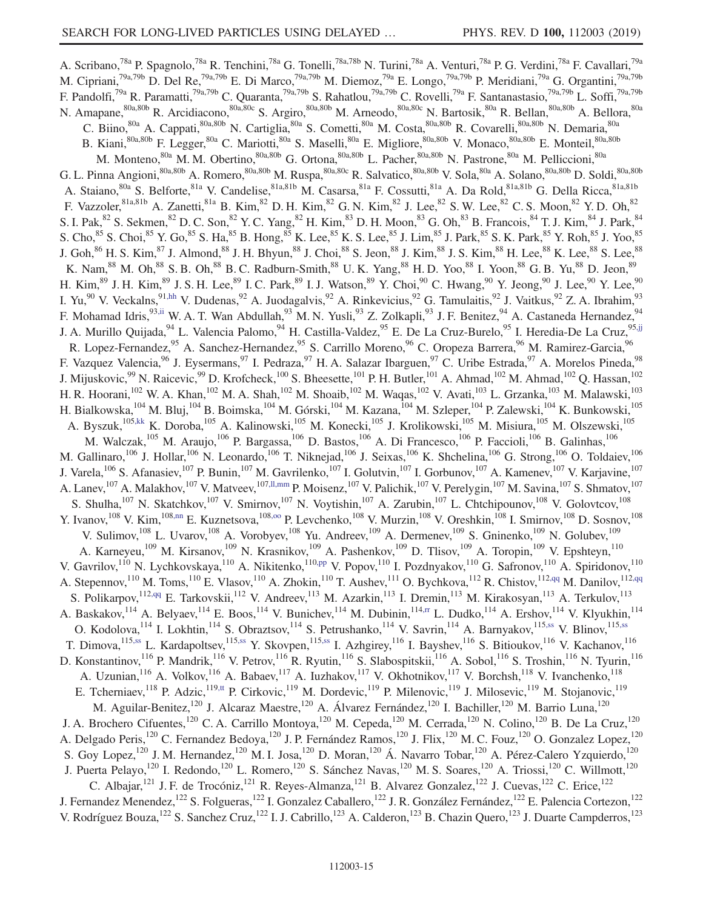<span id="page-14-10"></span><span id="page-14-9"></span><span id="page-14-8"></span><span id="page-14-7"></span><span id="page-14-6"></span><span id="page-14-5"></span><span id="page-14-4"></span><span id="page-14-3"></span><span id="page-14-2"></span><span id="page-14-1"></span><span id="page-14-0"></span>A. Scribano,<sup>78a</sup> P. Spagnolo,<sup>78a</sup> R. Tenchini,<sup>78a</sup> G. Tonelli,<sup>78a,78b</sup> N. Turini,<sup>78a</sup> A. Venturi,<sup>78a</sup> P. G. Verdini,<sup>78a</sup> F. Cavallari,<sup>79a</sup> M. Cipriani,<sup>79a,79b</sup> D. Del Re,<sup>79a,79b</sup> E. Di Marco,<sup>79a,79b</sup> M. Diemoz,<sup>79a</sup> E. Longo,<sup>79a,79b</sup> P. Meridiani,<sup>79a</sup> G. Organtini,<sup>79a,79b</sup> F. Pandolfi,<sup>79a</sup> R. Paramatti,<sup>79a,79b</sup> C. Quaranta,<sup>79a,79b</sup> S. Rahatlou,<sup>79a,79b</sup> C. Rovelli,<sup>79a</sup> F. Santanastasio,<sup>79a,79b</sup> L. Soffi,<sup>79a,79b</sup> N. Amapane,<sup>80a,80b</sup> R. Arcidiacono,<sup>80a,80c</sup> S. Argiro,<sup>80a,80b</sup> M. Arneodo,<sup>80a,80c</sup> N. Bartosik,<sup>80a</sup> R. Bellan,<sup>80a,80b</sup> A. Bellora,<sup>80a</sup> C. Biino,<sup>80a</sup> A. Cappati,<sup>80a,80b</sup> N. Cartiglia,<sup>80a</sup> S. Cometti,<sup>80a</sup> M. Costa,<sup>80a,80b</sup> R. Covarelli,<sup>80a,80b</sup> N. Demaria,<sup>80a</sup> B. Kiani,<sup>80a,80b</sup> F. Legger,<sup>80a</sup> C. Mariotti,<sup>80a</sup> S. Maselli,<sup>80a</sup> E. Migliore,<sup>80a,80b</sup> V. Monaco,<sup>80a,80b</sup> E. Monteil,<sup>80a,80b</sup> M. Monteno,<sup>80a</sup> M. M. Obertino,<sup>80a,80b</sup> G. Ortona,<sup>80a,80b</sup> L. Pacher,<sup>80a,80b</sup> N. Pastrone,<sup>80a</sup> M. Pelliccioni,<sup>80a</sup> G. L. Pinna Angioni,<sup>80a,80b</sup> A. Romero,<sup>80a,80b</sup> M. Ruspa,<sup>80a,80c</sup> R. Salvatico,<sup>80a,80b</sup> V. Sola,<sup>80a</sup> A. Solano,<sup>80a,80b</sup> D. Soldi,<sup>80a,80b</sup> A. Staiano, <sup>80a</sup> S. Belforte, <sup>81a</sup> V. Candelise, <sup>81a,81b</sup> M. Casarsa, <sup>81a</sup> F. Cossutti, <sup>81a</sup> A. Da Rold, <sup>81a,81b</sup> G. Della Ricca, <sup>81a,81b</sup> F. Vazzoler,  $81a,81b$  A. Zanetti,  $81a$  B. Kim,  $82D.$  H. Kim,  $82G.$  N. Kim,  $82J.$  Lee,  $82S.$  W. Lee,  $82C.$  S. Moon,  $82Y.$  D. Oh,  $82D.$ S. I. Pak,  $82$  S. Sekmen,  $82$  D. C. Son,  $82$  Y. C. Yang,  $82$  H. Kim,  $83$  D. H. Moon,  $83$  G. Oh,  $83$  B. Francois,  $84$  T. J. Kim,  $84$  J. Park,  $84$ S. Cho,<sup>85</sup> S. Choi,<sup>85</sup> Y. Go,<sup>85</sup> S. Ha,<sup>85</sup> B. Hong,<sup>85</sup> K. Lee,<sup>85</sup> K. S. Lee,<sup>85</sup> J. Lim,<sup>85</sup> J. Park,<sup>85</sup> S. K. Park,<sup>85</sup> Y. Roh,<sup>85</sup> J. Yoo,<sup>85</sup> J. Goh, $^{86}$  H. S. Kim, $^{87}$  J. Almond, $^{88}$  J. H. Bhyun, $^{88}$  J. Choi, $^{88}$  S. Jeon, $^{88}$  J. Kim, $^{88}$  J. S. Kim, $^{88}$  H. Lee, $^{88}$  K. Lee, $^{88}$  S. Lee, $^{88}$ K. Nam, $^{88}$  M. Oh, $^{88}$  S. B. Oh, $^{88}$  B. C. Radburn-Smith, $^{88}$  U. K. Yang, $^{88}$  H. D. Yoo, $^{88}$  I. Yoon, $^{88}$  G. B. Yu, $^{88}$  D. Jeon, $^{89}$ H. Kim,  $^{89}$  J. H. Kim,  $^{89}$  J. S. H. Lee,  $^{89}$  I. C. Park,  $^{89}$  I. J. Watson,  $^{89}$  Y. Choi,  $^{90}$  C. Hwang,  $^{90}$  Y. Jeong,  $^{90}$  J. Lee,  $^{90}$  Y. Lee,  $^{90}$ I. Yu,<sup>90</sup> V. Veckalns,<sup>9[1,hh](#page-22-22)</sup> V. Dudenas,<sup>92</sup> A. Juodagalvis,<sup>92</sup> A. Rinkevicius,<sup>92</sup> G. Tamulaitis,<sup>92</sup> J. Vaitkus,<sup>92</sup> Z. A. Ibrahim,<sup>93</sup> F. Mohamad Idris,<sup>9[3,ii](#page-22-23)</sup> W. A. T. Wan Abdullah,<sup>93</sup> M. N. Yusli,<sup>93</sup> Z. Zolkapli,<sup>93</sup> J. F. Benitez,<sup>94</sup> A. Castaneda Hernandez,<sup>94</sup> J. A. Murillo Quijada, <sup>94</sup> L. Valencia Palomo, <sup>94</sup> H. Castilla-Valdez, <sup>95</sup> E. De La Cruz-Burelo, <sup>95</sup> I. Heredia-De La Cruz, <sup>9[5,jj](#page-22-24)</sup> R. Lopez-Fernandez, <sup>95</sup> A. Sanchez-Hernandez, <sup>95</sup> S. Carrillo Moreno, <sup>96</sup> C. Oropeza Barrera, <sup>96</sup> M. Ramirez-Garcia, <sup>96</sup> F. Vazquez Valencia, <sup>96</sup> J. Eysermans, <sup>97</sup> I. Pedraza, <sup>97</sup> H. A. Salazar Ibarguen, <sup>97</sup> C. Uribe Estrada, <sup>97</sup> A. Morelos Pineda, <sup>98</sup> J. Mijuskovic,  $99$  N. Raicevic,  $99$  D. Krofcheck,  $100$  S. Bheesette,  $101$  P. H. Butler,  $101$  A. Ahmad,  $102$  M. Ahmad,  $102$  Q. Hassan,  $102$ H. R. Hoorani,<sup>102</sup> W. A. Khan,<sup>102</sup> M. A. Shah,<sup>102</sup> M. Shoaib,<sup>102</sup> M. Waqas,<sup>102</sup> V. Avati,<sup>103</sup> L. Grzanka,<sup>103</sup> M. Malawski,<sup>103</sup> H. Bialkowska,<sup>104</sup> M. Bluj,<sup>104</sup> B. Boimska,<sup>104</sup> M. Górski,<sup>104</sup> M. Kazana,<sup>104</sup> M. Szleper,<sup>104</sup> P. Zalewski,<sup>104</sup> K. Bunkowski,<sup>105</sup> A. Byszuk,<sup>10[5,kk](#page-22-25)</sup> K. Doroba,<sup>105</sup> A. Kalinowski,<sup>105</sup> M. Konecki,<sup>105</sup> J. Krolikowski,<sup>105</sup> M. Misiura,<sup>105</sup> M. Olszewski,<sup>105</sup> M. Walczak,<sup>105</sup> M. Araujo,<sup>106</sup> P. Bargassa,<sup>106</sup> D. Bastos,<sup>106</sup> A. Di Francesco,<sup>106</sup> P. Faccioli,<sup>106</sup> B. Galinhas,<sup>106</sup> M. Gallinaro,<sup>106</sup> J. Hollar,<sup>106</sup> N. Leonardo,<sup>106</sup> T. Niknejad,<sup>106</sup> J. Seixas,<sup>106</sup> K. Shchelina,<sup>106</sup> G. Strong,<sup>106</sup> O. Toldaiev,<sup>106</sup> J. Varela,<sup>106</sup> S. Afanasiev,<sup>107</sup> P. Bunin,<sup>107</sup> M. Gavrilenko,<sup>107</sup> I. Golutvin,<sup>107</sup> I. Gorbunov,<sup>107</sup> A. Kamenev,<sup>107</sup> V. Karjavine,<sup>107</sup> A. Lanev, <sup>107</sup> A. Malakhov, <sup>107</sup> V. Matveev, <sup>107, 11, mm</sup> P. Moisenz, <sup>107</sup> V. Palichik, <sup>107</sup> V. Perelygin, <sup>107</sup> M. Savina, <sup>107</sup> S. Shmatov, <sup>107</sup> S. Shulha,<sup>107</sup> N. Skatchkov,<sup>107</sup> V. Smirnov,<sup>107</sup> N. Voytishin,<sup>107</sup> A. Zarubin,<sup>107</sup> L. Chtchipounov,<sup>108</sup> V. Golovtcov,<sup>108</sup> Y. Ivanov, <sup>108</sup> V. Kim, <sup>108[,nn](#page-22-27)</sup> E. Kuznetsova, <sup>108,00</sup> P. Levchenko, <sup>108</sup> V. Murzin, <sup>108</sup> V. Oreshkin, <sup>108</sup> I. Smirnov, <sup>108</sup> D. Sosnov, <sup>108</sup> V. Sulimov, <sup>108</sup> L. Uvarov, <sup>108</sup> A. Vorobyev, <sup>108</sup> Yu. Andreev, <sup>109</sup> A. Dermenev, <sup>109</sup> S. Gninenko, <sup>109</sup> N. Golubev, <sup>109</sup> A. Karneyeu,<sup>109</sup> M. Kirsanov,<sup>109</sup> N. Krasnikov,<sup>109</sup> A. Pashenkov,<sup>109</sup> D. Tlisov,<sup>109</sup> A. Toropin,<sup>109</sup> V. Epshteyn,<sup>110</sup> V. Gavrilov,<sup>110</sup> N. Lychkovskaya,<sup>110</sup> A. Nikitenko,<sup>110[,pp](#page-22-29)</sup> V. Popov,<sup>110</sup> I. Pozdnyakov,<sup>110</sup> G. Safronov,<sup>110</sup> A. Spiridonov,<sup>110</sup> A. Stepennov,<sup>110</sup> M. Toms,<sup>110</sup> E. Vlasov,<sup>110</sup> A. Zhokin,<sup>110</sup> T. Aushev,<sup>111</sup> O. Bychkova,<sup>112</sup> R. Chistov,<sup>112[,qq](#page-22-30)</sup> M. Danilov,<sup>11[2,qq](#page-22-30)</sup> S. Polikarpov, <sup>112[,qq](#page-22-30)</sup> E. Tarkovskii, <sup>112</sup> V. Andreev, <sup>113</sup> M. Azarkin, <sup>113</sup> I. Dremin, <sup>113</sup> M. Kirakosyan, <sup>113</sup> A. Terkulov, <sup>113</sup> A. Baskakov,<sup>114</sup> A. Belyaev,<sup>114</sup> E. Boos,<sup>114</sup> V. Bunichev,<sup>114</sup> M. Dubinin,<sup>11[4,rr](#page-22-31)</sup> L. Dudko,<sup>114</sup> A. Ershov,<sup>114</sup> V. Klyukhin,<sup>114</sup> O. Kodolova, <sup>114</sup> I. Lokhtin, <sup>114</sup> S. Obraztsov, <sup>114</sup> S. Petrushanko, <sup>114</sup> V. Savrin, <sup>114</sup> A. Barnyakov, <sup>115[,ss](#page-22-32)</sup> V. Blinov, <sup>115,ss</sup> T. Dimova, 115[,ss](#page-22-32) L. Kardapoltsev, 11[5,ss](#page-22-32) Y. Skovpen, 115,ss I. Azhgirey, <sup>116</sup> I. Bayshev, <sup>116</sup> S. Bitioukov, <sup>116</sup> V. Kachanov, <sup>116</sup> D. Konstantinov,<sup>116</sup> P. Mandrik,<sup>116</sup> V. Petrov,<sup>116</sup> R. Ryutin,<sup>116</sup> S. Slabospitskii,<sup>116</sup> A. Sobol,<sup>116</sup> S. Troshin,<sup>116</sup> N. Tyurin,<sup>116</sup> A. Uzunian, <sup>116</sup> A. Volkov, <sup>116</sup> A. Babaev, <sup>117</sup> A. Iuzhakov, <sup>117</sup> V. Okhotnikov, <sup>117</sup> V. Borchsh, <sup>118</sup> V. Ivanchenko, <sup>118</sup> E. Tcherniaev, <sup>118</sup> P. Adzic, <sup>119[,tt](#page-22-33)</sup> P. Cirkovic, <sup>119</sup> M. Dordevic, <sup>119</sup> P. Milenovic, <sup>119</sup> J. Milosevic, <sup>119</sup> M. Stojanovic, <sup>119</sup> M. Aguilar-Benitez,<sup>120</sup> J. Alcaraz Maestre,<sup>120</sup> A. Álvarez Fernández,<sup>120</sup> I. Bachiller,<sup>120</sup> M. Barrio Luna,<sup>120</sup> J. A. Brochero Cifuentes,<sup>120</sup> C. A. Carrillo Montoya,<sup>120</sup> M. Cepeda,<sup>120</sup> M. Cerrada,<sup>120</sup> N. Colino,<sup>120</sup> B. De La Cruz,<sup>120</sup> A. Delgado Peris,<sup>120</sup> C. Fernandez Bedoya,<sup>120</sup> J. P. Fernández Ramos,<sup>120</sup> J. Flix,<sup>120</sup> M. C. Fouz,<sup>120</sup> O. Gonzalez Lopez,<sup>120</sup> S. Goy Lopez,<sup>120</sup> J. M. Hernandez,<sup>120</sup> M. I. Josa,<sup>120</sup> D. Moran,<sup>120</sup> Á. Navarro Tobar,<sup>120</sup> A. Pérez-Calero Yzquierdo,<sup>120</sup> J. Puerta Pelayo,<sup>120</sup> I. Redondo,<sup>120</sup> L. Romero,<sup>120</sup> S. Sánchez Navas,<sup>120</sup> M. S. Soares,<sup>120</sup> A. Triossi,<sup>120</sup> C. Willmott,<sup>120</sup> C. Albajar,<sup>121</sup> J. F. de Trocóniz,<sup>121</sup> R. Reyes-Almanza,<sup>121</sup> B. Alvarez Gonzalez,<sup>122</sup> J. Cuevas,<sup>122</sup> C. Erice,<sup>122</sup> J. Fernandez Menendez,<sup>122</sup> S. Folgueras,<sup>122</sup> I. Gonzalez Caballero,<sup>122</sup> J. R. González Fernández,<sup>122</sup> E. Palencia Cortezon,<sup>122</sup> V. Rodríguez Bouza,<sup>122</sup> S. Sanchez Cruz,<sup>122</sup> I. J. Cabrillo,<sup>123</sup> A. Calderon,<sup>123</sup> B. Chazin Quero,<sup>123</sup> J. Duarte Campderros,<sup>123</sup>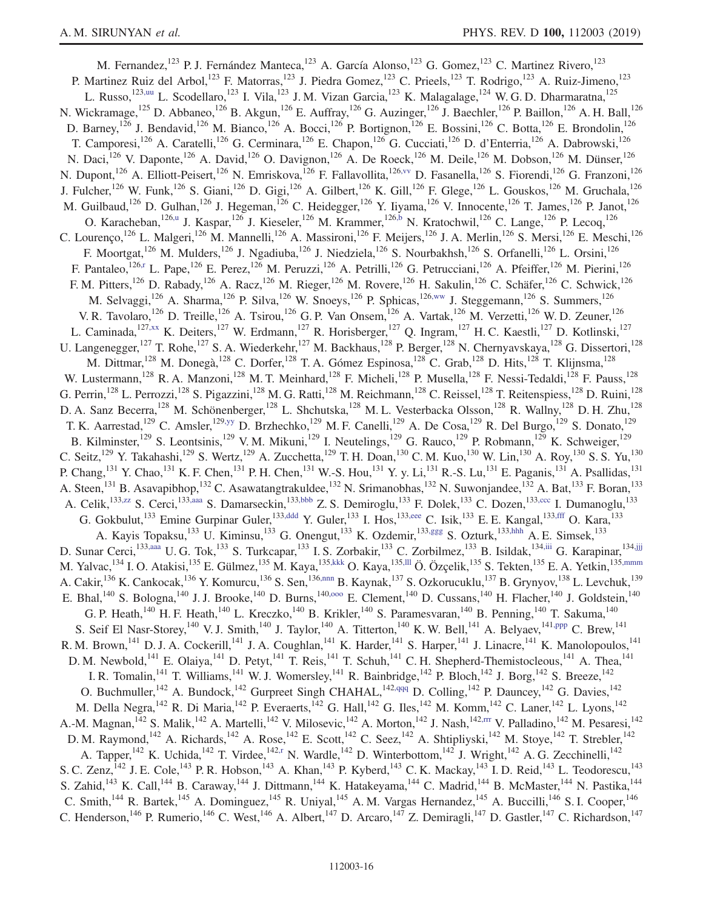<span id="page-15-14"></span><span id="page-15-13"></span><span id="page-15-12"></span><span id="page-15-11"></span><span id="page-15-10"></span><span id="page-15-9"></span><span id="page-15-8"></span><span id="page-15-7"></span><span id="page-15-6"></span><span id="page-15-5"></span><span id="page-15-4"></span><span id="page-15-3"></span><span id="page-15-2"></span><span id="page-15-1"></span><span id="page-15-0"></span>M. Fernandez,<sup>123</sup> P. J. Fernández Manteca,<sup>123</sup> A. García Alonso,<sup>123</sup> G. Gomez,<sup>123</sup> C. Martinez Rivero,<sup>123</sup> P. Martinez Ruiz del Arbol,<sup>123</sup> F. Matorras,<sup>123</sup> J. Piedra Gomez,<sup>123</sup> C. Prieels,<sup>123</sup> T. Rodrigo,<sup>123</sup> A. Ruiz-Jimeno,<sup>123</sup> L. Russo,<sup>12[3,uu](#page-22-34)</sup> L. Scodellaro,<sup>123</sup> I. Vila,<sup>123</sup> J. M. Vizan Garcia,<sup>123</sup> K. Malagalage,<sup>124</sup> W. G. D. Dharmaratna,<sup>125</sup> N. Wickramage,<sup>125</sup> D. Abbaneo,<sup>126</sup> B. Akgun,<sup>126</sup> E. Auffray,<sup>126</sup> G. Auzinger,<sup>126</sup> J. Baechler,<sup>126</sup> P. Baillon,<sup>126</sup> A. H. Ball,<sup>126</sup> D. Barney,<sup>126</sup> J. Bendavid,<sup>126</sup> M. Bianco,<sup>126</sup> A. Bocci,<sup>126</sup> P. Bortignon,<sup>126</sup> E. Bossini,<sup>126</sup> C. Botta,<sup>126</sup> E. Brondolin,<sup>126</sup> T. Camporesi,<sup>126</sup> A. Caratelli,<sup>126</sup> G. Cerminara,<sup>126</sup> E. Chapon,<sup>126</sup> G. Cucciati,<sup>126</sup> D. d'Enterria,<sup>126</sup> A. Dabrowski,<sup>126</sup> N. Daci,<sup>126</sup> V. Daponte,<sup>126</sup> A. David,<sup>126</sup> O. Davignon,<sup>126</sup> A. De Roeck,<sup>126</sup> M. Deile,<sup>126</sup> M. Dobson,<sup>126</sup> M. Dünser,<sup>126</sup> N. Dupont,<sup>126</sup> A. Elliott-Peisert,<sup>126</sup> N. Emriskova,<sup>126</sup> F. Fallavollita,<sup>12[6,vv](#page-22-35)</sup> D. Fasanella,<sup>126</sup> S. Fiorendi,<sup>126</sup> G. Franzoni,<sup>126</sup> J. Fulcher,  $^{126}$  W. Funk,  $^{126}$  S. Giani,  $^{126}$  D. Gigi,  $^{126}$  A. Gilbert,  $^{126}$  K. Gill,  $^{126}$  F. Glege,  $^{126}$  L. Gouskos,  $^{126}$  M. Gruchala,  $^{126}$ M. Guilbaud,<sup>126</sup> D. Gulhan,<sup>126</sup> J. Hegeman,<sup>126</sup> C. Heidegger,<sup>126</sup> Y. Iiyama,<sup>126</sup> V. Innocente,<sup>126</sup> T. James,<sup>126</sup> P. Janot,<sup>126</sup> O. Karacheban,<sup>126[,u](#page-22-10)</sup> J. Kaspar,<sup>126</sup> J. Kieseler,<sup>126</sup> M. Krammer,<sup>12[6,b](#page-21-1)</sup> N. Kratochwil,<sup>126</sup> C. Lange,<sup>126</sup> P. Lecoq,<sup>126</sup> C. Lourenço,<sup>126</sup> L. Malgeri,<sup>126</sup> M. Mannelli,<sup>126</sup> A. Massironi,<sup>126</sup> F. Meijers,<sup>126</sup> J. A. Merlin,<sup>126</sup> S. Mersi,<sup>126</sup> E. Meschi,<sup>126</sup> F. Moortgat,<sup>126</sup> M. Mulders,<sup>126</sup> J. Ngadiuba,<sup>126</sup> J. Niedziela,<sup>126</sup> S. Nourbakhsh,<sup>126</sup> S. Orfanelli,<sup>126</sup> L. Orsini,<sup>126</sup> F. Pantaleo,  $^{126,r}$  $^{126,r}$  $^{126,r}$  L. Pape,  $^{126}$  E. Perez,  $^{126}$  M. Peruzzi,  $^{126}$  A. Petrilli,  $^{126}$  G. Petrucciani,  $^{126}$  A. Pfeiffer,  $^{126}$  M. Pierini,  $^{126}$ F. M. Pitters,<sup>126</sup> D. Rabady,<sup>126</sup> A. Racz,<sup>126</sup> M. Rieger,<sup>126</sup> M. Rovere,<sup>126</sup> H. Sakulin,<sup>126</sup> C. Schäfer,<sup>126</sup> C. Schwick,<sup>126</sup> M. Selvaggi,<sup>126</sup> A. Sharma,<sup>126</sup> P. Silva,<sup>126</sup> W. Snoeys,<sup>126</sup> P. Sphicas,<sup>12[6,ww](#page-22-36)</sup> J. Steggemann,<sup>126</sup> S. Summers,<sup>126</sup> V. R. Tavolaro,<sup>126</sup> D. Treille,<sup>126</sup> A. Tsirou,<sup>126</sup> G. P. Van Onsem,<sup>126</sup> A. Vartak,<sup>126</sup> M. Verzetti,<sup>126</sup> W. D. Zeuner,<sup>126</sup> L. Caminada,<sup>127[,xx](#page-22-37)</sup> K. Deiters,<sup>127</sup> W. Erdmann,<sup>127</sup> R. Horisberger,<sup>127</sup> Q. Ingram,<sup>127</sup> H. C. Kaestli,<sup>127</sup> D. Kotlinski,<sup>127</sup> U. Langenegger,<sup>127</sup> T. Rohe,<sup>127</sup> S. A. Wiederkehr,<sup>127</sup> M. Backhaus,<sup>128</sup> P. Berger,<sup>128</sup> N. Chernyavskaya,<sup>128</sup> G. Dissertori,<sup>128</sup> M. Dittmar, <sup>128</sup> M. Donegà, <sup>128</sup> C. Dorfer, <sup>128</sup> T. A. Gómez Espinosa, <sup>128</sup> C. Grab, <sup>128</sup> D. Hits, <sup>128</sup> T. Klijnsma, <sup>128</sup> W. Lustermann,<sup>128</sup> R. A. Manzoni,<sup>128</sup> M. T. Meinhard,<sup>128</sup> F. Micheli,<sup>128</sup> P. Musella,<sup>128</sup> F. Nessi-Tedaldi,<sup>128</sup> F. Pauss,<sup>128</sup> G. Perrin,<sup>128</sup> L. Perrozzi,<sup>128</sup> S. Pigazzini,<sup>128</sup> M. G. Ratti,<sup>128</sup> M. Reichmann,<sup>128</sup> C. Reissel,<sup>128</sup> T. Reitenspiess,<sup>128</sup> D. Ruini,<sup>128</sup> D. A. Sanz Becerra,<sup>128</sup> M. Schönenberger,<sup>128</sup> L. Shchutska,<sup>128</sup> M. L. Vesterbacka Olsson,<sup>128</sup> R. Wallny,<sup>128</sup> D. H. Zhu,<sup>128</sup> T. K. Aarrestad,<sup>129</sup> C. Amsler,<sup>129[,yy](#page-22-38)</sup> D. Brzhechko,<sup>129</sup> M. F. Canelli,<sup>129</sup> A. De Cosa,<sup>129</sup> R. Del Burgo,<sup>129</sup> S. Donato,<sup>129</sup> B. Kilminster,<sup>129</sup> S. Leontsinis,<sup>129</sup> V. M. Mikuni,<sup>129</sup> I. Neutelings,<sup>129</sup> G. Rauco,<sup>129</sup> P. Robmann,<sup>129</sup> K. Schweiger,<sup>129</sup> C. Seitz,<sup>129</sup> Y. Takahashi,<sup>129</sup> S. Wertz,<sup>129</sup> A. Zucchetta,<sup>129</sup> T. H. Doan,<sup>130</sup> C. M. Kuo,<sup>130</sup> W. Lin,<sup>130</sup> A. Roy,<sup>130</sup> S. S. Yu,<sup>130</sup> P. Chang, <sup>131</sup> Y. Chao, <sup>131</sup> K. F. Chen, <sup>131</sup> P. H. Chen, <sup>131</sup> W.-S. Hou, <sup>131</sup> Y. y. Li, <sup>131</sup> R.-S. Lu, <sup>131</sup> E. Paganis, <sup>131</sup> A. Psallidas, <sup>131</sup> A. Steen,<sup>131</sup> B. Asavapibhop,<sup>132</sup> C. Asawatangtrakuldee,<sup>132</sup> N. Srimanobhas,<sup>132</sup> N. Suwonjandee,<sup>132</sup> A. Bat,<sup>133</sup> F. Boran,<sup>133</sup> A. Celik,<sup>13[3,zz](#page-22-39)</sup> S. Cerci,<sup>13[3,aaa](#page-22-40)</sup> S. Damarseckin,<sup>13[3,bbb](#page-22-41)</sup> Z. S. Demiroglu,<sup>133</sup> F. Dolek,<sup>133</sup> C. Dozen,<sup>133[,ccc](#page-22-42)</sup> I. Dumanoglu,<sup>133</sup> G. Gokbulut,<sup>133</sup> Emine Gurpinar Guler,<sup>133[,ddd](#page-22-43)</sup> Y. Guler,<sup>133</sup> I. Hos,<sup>13[3,eee](#page-22-44)</sup> C. Isik,<sup>133</sup> E. E. Kangal,<sup>133[,fff](#page-22-45)</sup> O. Kara,<sup>133</sup> A. Kayis Topaksu,<sup>133</sup> U. Kiminsu,<sup>133</sup> G. Onengut,<sup>133</sup> K. Ozdemir,<sup>133[,ggg](#page-22-46)</sup> S. Ozturk,<sup>133[,hhh](#page-22-47)</sup> A. E. Simsek,<sup>133</sup> D. Sunar Cerci,<sup>13[3,aaa](#page-22-40)</sup> U. G. Tok,<sup>133</sup> S. Turkcapar,<sup>133</sup> I. S. Zorbakir,<sup>133</sup> C. Zorbilmez,<sup>133</sup> B. Isildak,<sup>13[4,iii](#page-22-48)</sup> G. Karapinar,<sup>13[4,jjj](#page-22-49)</sup> M. Yalvac,<sup>134</sup> I. O. Atakisi,<sup>135</sup> E. Gülmez,<sup>135</sup> M. Kaya,<sup>135[,kkk](#page-22-50)</sup> O. Kaya,<sup>135[,lll](#page-22-51)</sup> Ö. Özçelik,<sup>135</sup> S. Tekten,<sup>135</sup> E. A. Yetkin,<sup>135[,mmm](#page-22-52)</sup> A. Cakir, <sup>136</sup> K. Cankocak, <sup>136</sup> Y. Komurcu, <sup>136</sup> S. Sen, <sup>136[,nnn](#page-22-53)</sup> B. Kaynak, <sup>137</sup> S. Ozkorucuklu, <sup>137</sup> B. Grynyov, <sup>138</sup> L. Levchuk, <sup>139</sup> E. Bhal,<sup>140</sup> S. Bologna,<sup>140</sup> J. J. Brooke,<sup>140</sup> D. Burns,<sup>140,000</sup> E. Clement,<sup>140</sup> D. Cussans,<sup>140</sup> H. Flacher,<sup>140</sup> J. Goldstein,<sup>140</sup> G. P. Heath,<sup>140</sup> H. F. Heath,<sup>140</sup> L. Kreczko,<sup>140</sup> B. Krikler,<sup>140</sup> S. Paramesvaran,<sup>140</sup> B. Penning,<sup>140</sup> T. Sakuma,<sup>140</sup> S. Seif El Nasr-Storey,<sup>140</sup> V. J. Smith,<sup>140</sup> J. Taylor,<sup>140</sup> A. Titterton,<sup>140</sup> K. W. Bell,<sup>141</sup> A. Belyaev,<sup>14[1,ppp](#page-22-55)</sup> C. Brew,<sup>141</sup> R. M. Brown,<sup>141</sup> D. J. A. Cockerill,<sup>141</sup> J. A. Coughlan,<sup>141</sup> K. Harder,<sup>141</sup> S. Harper,<sup>141</sup> J. Linacre,<sup>141</sup> K. Manolopoulos,<sup>141</sup> D. M. Newbold,<sup>141</sup> E. Olaiya,<sup>141</sup> D. Petyt,<sup>141</sup> T. Reis,<sup>141</sup> T. Schuh,<sup>141</sup> C. H. Shepherd-Themistocleous,<sup>141</sup> A. Thea,<sup>141</sup> I. R. Tomalin,<sup>141</sup> T. Williams,<sup>141</sup> W. J. Womersley,<sup>141</sup> R. Bainbridge,<sup>142</sup> P. Bloch,<sup>142</sup> J. Borg,<sup>142</sup> S. Breeze,<sup>142</sup> O. Buchmuller,<sup>142</sup> A. Bundock,<sup>142</sup> Gurpreet Singh CHAHAL,<sup>142[,qqq](#page-22-56)</sup> D. Colling,<sup>142</sup> P. Dauncey,<sup>142</sup> G. Davies,<sup>142</sup> M. Della Negra, <sup>142</sup> R. Di Maria, <sup>142</sup> P. Everaerts, <sup>142</sup> G. Hall, <sup>142</sup> G. Iles, <sup>142</sup> M. Komm, <sup>142</sup> C. Laner, <sup>142</sup> L. Lyons, <sup>142</sup> A.-M. Magnan,<sup>142</sup> S. Malik,<sup>142</sup> A. Martelli,<sup>142</sup> V. Milosevic,<sup>142</sup> A. Morton,<sup>142</sup> J. Nash,<sup>14[2,rrr](#page-23-0)</sup> V. Palladino,<sup>142</sup> M. Pesaresi,<sup>142</sup> D. M. Raymond,<sup>142</sup> A. Richards,<sup>142</sup> A. Rose,<sup>142</sup> E. Scott,<sup>142</sup> C. Seez,<sup>142</sup> A. Shtipliyski,<sup>142</sup> M. Stoye,<sup>142</sup> T. Strebler,<sup>142</sup> D. M. Rose,<sup>142</sup> H. Stoye,<sup>142</sup> H. Strebler,<sup>142</sup> A. Tapper,<sup>142</sup> K. Uchida,<sup>142</sup> T. Virdee,<sup>142[,r](#page-22-7)</sup> N. Wardle,<sup>142</sup> D. Winterbottom,<sup>142</sup> J. Wright,<sup>142</sup> A. G. Zecchinelli,<sup>142</sup> S. C. Zenz,<sup>142</sup> J. E. Cole,<sup>143</sup> P. R. Hobson,<sup>143</sup> A. Khan,<sup>143</sup> P. Kyberd,<sup>143</sup> C. K. Mackay,<sup>143</sup> I. D. Reid,<sup>143</sup> L. Teodorescu,<sup>143</sup> S. Zahid,<sup>143</sup> K. Call,<sup>144</sup> B. Caraway,<sup>144</sup> J. Dittmann,<sup>144</sup> K. Hatakeyama,<sup>144</sup> C. Madrid,<sup>144</sup> B. McMaster,<sup>144</sup> N. Pastika,<sup>144</sup> C. Smith,<sup>144</sup> R. Bartek,<sup>145</sup> A. Dominguez,<sup>145</sup> R. Uniyal,<sup>145</sup> A. M. Vargas Hernandez,<sup>145</sup> A. Buccilli,<sup>146</sup> S. I. Cooper,<sup>146</sup> C. Henderson,<sup>146</sup> P. Rumerio,<sup>146</sup> C. West,<sup>146</sup> A. Albert,<sup>147</sup> D. Arcaro,<sup>147</sup> Z. Demiragli,<sup>147</sup> D. Gastler,<sup>147</sup> C. Richardson,<sup>147</sup>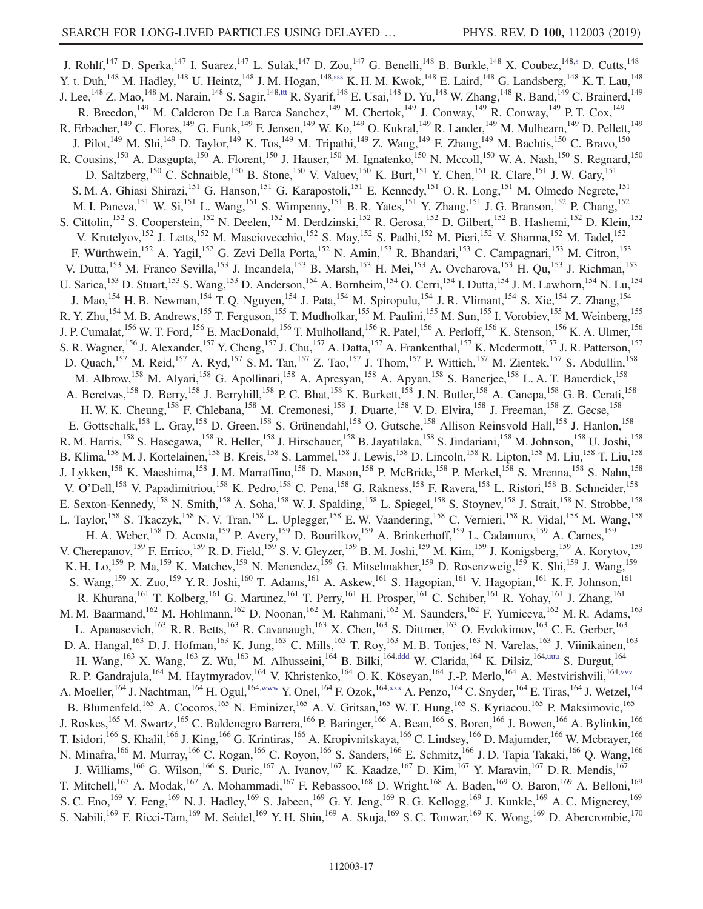<span id="page-16-4"></span><span id="page-16-3"></span><span id="page-16-2"></span><span id="page-16-1"></span><span id="page-16-0"></span>J. Rohlf,<sup>147</sup> D. Sperka,<sup>147</sup> I. Suarez,<sup>147</sup> L. Sulak,<sup>147</sup> D. Zou,<sup>147</sup> G. Benelli,<sup>148</sup> B. Burkle,<sup>148</sup> X. Coubez,<sup>148[,s](#page-22-8)</sup> D. Cutts,<sup>148</sup> Y. t. Duh,<sup>148</sup> M. Hadley,<sup>148</sup> U. Heintz,<sup>148</sup> J. M. Hogan,<sup>14[8,sss](#page-23-1)</sup> K. H. M. Kwok,<sup>148</sup> E. Laird,<sup>148</sup> G. Landsberg,<sup>148</sup> K. T. Lau,<sup>148</sup> J. Lee,  $^{148}$  Z. Mao,  $^{148}$  M. Narain,  $^{148}$  S. Sagir,  $^{148, \text{tt}}$  R. Syarif,  $^{148}$  E. Usai,  $^{148}$  D. Yu,  $^{148}$  W. Zhang,  $^{148}$  R. Band,  $^{149}$  C. Brainerd,  $^{149}$ R. Breedon,<sup>149</sup> M. Calderon De La Barca Sanchez,<sup>149</sup> M. Chertok,<sup>149</sup> J. Conway,<sup>149</sup> R. Conway,<sup>149</sup> P. T. Cox,<sup>149</sup> R. Erbacher, <sup>149</sup> C. Flores, <sup>149</sup> G. Funk, <sup>149</sup> F. Jensen, <sup>149</sup> W. Ko, <sup>149</sup> O. Kukral, <sup>149</sup> R. Lander, <sup>149</sup> M. Mulhearn, <sup>149</sup> D. Pellett, <sup>149</sup> J. Pilot,<sup>149</sup> M. Shi,<sup>149</sup> D. Taylor,<sup>149</sup> K. Tos,<sup>149</sup> M. Tripathi,<sup>149</sup> Z. Wang,<sup>149</sup> F. Zhang,<sup>149</sup> M. Bachtis,<sup>150</sup> C. Bravo,<sup>150</sup> R. Cousins,<sup>150</sup> A. Dasgupta,<sup>150</sup> A. Florent,<sup>150</sup> J. Hauser,<sup>150</sup> M. Ignatenko,<sup>150</sup> N. Mccoll,<sup>150</sup> W. A. Nash,<sup>150</sup> S. Regnard,<sup>150</sup> D. Saltzberg,<sup>150</sup> C. Schnaible,<sup>150</sup> B. Stone,<sup>150</sup> V. Valuev,<sup>150</sup> K. Burt,<sup>151</sup> Y. Chen,<sup>151</sup> R. Clare,<sup>151</sup> J. W. Gary,<sup>151</sup> S. M. A. Ghiasi Shirazi,<sup>151</sup> G. Hanson,<sup>151</sup> G. Karapostoli,<sup>151</sup> E. Kennedy,<sup>151</sup> O. R. Long,<sup>151</sup> M. Olmedo Negrete,<sup>151</sup> M. I. Paneva,<sup>151</sup> W. Si,<sup>151</sup> L. Wang,<sup>151</sup> S. Wimpenny,<sup>151</sup> B. R. Yates,<sup>151</sup> Y. Zhang,<sup>151</sup> J. G. Branson,<sup>152</sup> P. Chang,<sup>152</sup> S. Cittolin,<sup>152</sup> S. Cooperstein,<sup>152</sup> N. Deelen,<sup>152</sup> M. Derdzinski,<sup>152</sup> R. Gerosa,<sup>152</sup> D. Gilbert,<sup>152</sup> B. Hashemi,<sup>152</sup> D. Klein,<sup>152</sup> V. Krutelyov,<sup>152</sup> J. Letts,<sup>152</sup> M. Masciovecchio,<sup>152</sup> S. May,<sup>152</sup> S. Padhi,<sup>152</sup> M. Pieri,<sup>152</sup> V. Sharma,<sup>152</sup> M. Tadel,<sup>152</sup> F. Würthwein,<sup>152</sup> A. Yagil,<sup>152</sup> G. Zevi Della Porta,<sup>152</sup> N. Amin,<sup>153</sup> R. Bhandari,<sup>153</sup> C. Campagnari,<sup>153</sup> M. Citron,<sup>153</sup> V. Dutta, <sup>153</sup> M. Franco Sevilla, <sup>153</sup> J. Incandela, <sup>153</sup> B. Marsh, <sup>153</sup> H. Mei, <sup>153</sup> A. Ovcharova, <sup>153</sup> H. Qu, <sup>153</sup> J. Richman, <sup>153</sup> U. Sarica,<sup>153</sup> D. Stuart,<sup>153</sup> S. Wang,<sup>153</sup> D. Anderson,<sup>154</sup> A. Bornheim,<sup>154</sup> O. Cerri,<sup>154</sup> I. Dutta,<sup>154</sup> J. M. Lawhorn,<sup>154</sup> N. Lu,<sup>154</sup> J. Mao,<sup>154</sup> H. B. Newman,<sup>154</sup> T. Q. Nguyen,<sup>154</sup> J. Pata,<sup>154</sup> M. Spiropulu,<sup>154</sup> J. R. Vlimant,<sup>154</sup> S. Xie,<sup>154</sup> Z. Zhang,<sup>154</sup> R. Y. Zhu,<sup>154</sup> M. B. Andrews,<sup>155</sup> T. Ferguson,<sup>155</sup> T. Mudholkar,<sup>155</sup> M. Paulini,<sup>155</sup> M. Sun,<sup>155</sup> I. Vorobiev,<sup>155</sup> M. Weinberg,<sup>155</sup> J. P. Cumalat,<sup>156</sup> W. T. Ford,<sup>156</sup> E. MacDonald,<sup>156</sup> T. Mulholland,<sup>156</sup> R. Patel,<sup>156</sup> A. Perloff,<sup>156</sup> K. Stenson,<sup>156</sup> K. A. Ulmer,<sup>156</sup> S. R. Wagner,<sup>156</sup> J. Alexander,<sup>157</sup> Y. Cheng,<sup>157</sup> J. Chu,<sup>157</sup> A. Datta,<sup>157</sup> A. Frankenthal,<sup>157</sup> K. Mcdermott,<sup>157</sup> J. R. Patterson,<sup>157</sup> D. Quach,<sup>157</sup> M. Reid,<sup>157</sup> A. Ryd,<sup>157</sup> S. M. Tan,<sup>157</sup> Z. Tao,<sup>157</sup> J. Thom,<sup>157</sup> P. Wittich,<sup>157</sup> M. Zientek,<sup>157</sup> S. Abdullin,<sup>158</sup> M. Albrow,<sup>158</sup> M. Alyari,<sup>158</sup> G. Apollinari,<sup>158</sup> A. Apresyan,<sup>158</sup> A. Apyan,<sup>158</sup> S. Banerjee,<sup>158</sup> L. A. T. Bauerdick,<sup>158</sup> A. Beretvas,<sup>158</sup> D. Berry,<sup>158</sup> J. Berryhill,<sup>158</sup> P. C. Bhat,<sup>158</sup> K. Burkett,<sup>158</sup> J. N. Butler,<sup>158</sup> A. Canepa,<sup>158</sup> G. B. Cerati,<sup>158</sup> H. W. K. Cheung,<sup>158</sup> F. Chlebana,<sup>158</sup> M. Cremonesi,<sup>158</sup> J. Duarte,<sup>158</sup> V. D. Elvira,<sup>158</sup> J. Freeman,<sup>158</sup> Z. Gecse,<sup>158</sup> E. Gottschalk,<sup>158</sup> L. Gray,<sup>158</sup> D. Green,<sup>158</sup> S. Grünendahl,<sup>158</sup> O. Gutsche,<sup>158</sup> Allison Reinsvold Hall,<sup>158</sup> J. Hanlon,<sup>158</sup> R. M. Harris,<sup>158</sup> S. Hasegawa,<sup>158</sup> R. Heller,<sup>158</sup> J. Hirschauer,<sup>158</sup> B. Jayatilaka,<sup>158</sup> S. Jindariani,<sup>158</sup> M. Johnson,<sup>158</sup> U. Joshi,<sup>158</sup> B. Klima, <sup>158</sup> M. J. Kortelainen, <sup>158</sup> B. Kreis, <sup>158</sup> S. Lammel, <sup>158</sup> J. Lewis, <sup>158</sup> D. Lincoln, <sup>158</sup> R. Lipton, <sup>158</sup> M. Liu,<sup>158</sup> T. Liu,<sup>158</sup> J. Lykken,<sup>158</sup> K. Maeshima,<sup>158</sup> J. M. Marraffino,<sup>158</sup> D. Mason,<sup>158</sup> P. McBride,<sup>158</sup> P. Merkel,<sup>158</sup> S. Mrenna,<sup>158</sup> S. Nahn,<sup>158</sup> V. O'Dell,<sup>158</sup> V. Papadimitriou,<sup>158</sup> K. Pedro,<sup>158</sup> C. Pena,<sup>158</sup> G. Rakness,<sup>158</sup> F. Ravera,<sup>158</sup> L. Ristori,<sup>158</sup> B. Schneider,<sup>158</sup> E. Sexton-Kennedy,<sup>158</sup> N. Smith,<sup>158</sup> A. Soha,<sup>158</sup> W. J. Spalding,<sup>158</sup> L. Spiegel,<sup>158</sup> S. Stoynev,<sup>158</sup> J. Strait,<sup>158</sup> N. Strobbe,<sup>158</sup> L. Taylor,<sup>158</sup> S. Tkaczyk,<sup>158</sup> N. V. Tran,<sup>158</sup> L. Uplegger,<sup>158</sup> E. W. Vaandering,<sup>158</sup> C. Vernieri,<sup>158</sup> R. Vidal,<sup>158</sup> M. Wang,<sup>158</sup> H. A. Weber,<sup>158</sup> D. Acosta,<sup>159</sup> P. Avery,<sup>159</sup> D. Bourilkov,<sup>159</sup> A. Brinkerhoff,<sup>159</sup> L. Cadamuro,<sup>159</sup> A. Carnes,<sup>159</sup> V. Cherepanov,<sup>159</sup> F. Errico,<sup>159</sup> R. D. Field,<sup>159</sup> S. V. Gleyzer,<sup>159</sup> B. M. Joshi,<sup>159</sup> M. Kim,<sup>159</sup> J. Konigsberg,<sup>159</sup> A. Korytov,<sup>159</sup> K. H. Lo,<sup>159</sup> P. Ma,<sup>159</sup> K. Matchev,<sup>159</sup> N. Menendez,<sup>159</sup> G. Mitselmakher,<sup>159</sup> D. Rosenzweig,<sup>159</sup> K. Shi,<sup>159</sup> J. Wang,<sup>159</sup> S. Wang, <sup>159</sup> X. Zuo, <sup>159</sup> Y. R. Joshi, <sup>160</sup> T. Adams, <sup>161</sup> A. Askew, <sup>161</sup> S. Hagopian, <sup>161</sup> V. Hagopian, <sup>161</sup> K. F. Johnson, <sup>161</sup> R. Khurana,<sup>161</sup> T. Kolberg,<sup>161</sup> G. Martinez,<sup>161</sup> T. Perry,<sup>161</sup> H. Prosper,<sup>161</sup> C. Schiber,<sup>161</sup> R. Yohay,<sup>161</sup> J. Zhang,<sup>161</sup> M. M. Baarmand,<sup>162</sup> M. Hohlmann,<sup>162</sup> D. Noonan,<sup>162</sup> M. Rahmani,<sup>162</sup> M. Saunders,<sup>162</sup> F. Yumiceva,<sup>162</sup> M. R. Adams,<sup>163</sup> L. Apanasevich,<sup>163</sup> R. R. Betts,<sup>163</sup> R. Cavanaugh,<sup>163</sup> X. Chen,<sup>163</sup> S. Dittmer,<sup>163</sup> O. Evdokimov,<sup>163</sup> C. E. Gerber,<sup>163</sup> D. A. Hangal,<sup>163</sup> D. J. Hofman,<sup>163</sup> K. Jung,<sup>163</sup> C. Mills,<sup>163</sup> T. Roy,<sup>163</sup> M. B. Tonjes,<sup>163</sup> N. Varelas,<sup>163</sup> J. Viinikainen,<sup>163</sup> H. Wang,<sup>163</sup> X. Wang,<sup>163</sup> Z. Wu,<sup>163</sup> M. Alhusseini,<sup>164</sup> B. Bilki,<sup>16[4,ddd](#page-22-43)</sup> W. Clarida,<sup>164</sup> K. Dilsiz,<sup>164[,uuu](#page-23-3)</sup> S. Durgut,<sup>164</sup> R. P. Gandrajula,<sup>164</sup> M. Haytmyradov,<sup>164</sup> V. Khristenko,<sup>164</sup> O. K. Köseyan,<sup>164</sup> J.-P. Merlo,<sup>164</sup> A. Mestvirishvili,<sup>164</sup>, vvv A. Moeller, <sup>164</sup> J. Nachtman, <sup>164</sup> H. Ogul, <sup>164[,www](#page-23-5)</sup> Y. Onel, <sup>164</sup> F. Ozok, <sup>164[,xxx](#page-23-6)</sup> A. Penzo, <sup>164</sup> C. Snyder, <sup>164</sup> E. Tiras, <sup>164</sup> J. Wetzel, <sup>164</sup> B. Blumenfeld,<sup>165</sup> A. Cocoros,<sup>165</sup> N. Eminizer,<sup>165</sup> A. V. Gritsan,<sup>165</sup> W. T. Hung,<sup>165</sup> S. Kyriacou,<sup>165</sup> P. Maksimovic,<sup>165</sup> J. Roskes,<sup>165</sup> M. Swartz,<sup>165</sup> C. Baldenegro Barrera,<sup>166</sup> P. Baringer,<sup>166</sup> A. Bean,<sup>166</sup> S. Boren,<sup>166</sup> J. Bowen,<sup>166</sup> A. Bylinkin,<sup>166</sup> T. Isidori,<sup>166</sup> S. Khalil,<sup>166</sup> J. King,<sup>166</sup> G. Krintiras,<sup>166</sup> A. Kropivnitskaya,<sup>166</sup> C. Lindsey,<sup>166</sup> D. Majumder,<sup>166</sup> W. Mcbrayer,<sup>166</sup> N. Minafra,<sup>166</sup> M. Murray,<sup>166</sup> C. Rogan,<sup>166</sup> C. Royon,<sup>166</sup> S. Sanders,<sup>166</sup> E. Schmitz,<sup>166</sup> J. D. Tapia Takaki,<sup>166</sup> Q. Wang,<sup>166</sup> J. Williams,<sup>166</sup> G. Wilson,<sup>166</sup> S. Duric,<sup>167</sup> A. Ivanov,<sup>167</sup> K. Kaadze,<sup>167</sup> D. Kim,<sup>167</sup> Y. Maravin,<sup>167</sup> D. R. Mendis,<sup>167</sup> T. Mitchell,<sup>167</sup> A. Modak,<sup>167</sup> A. Mohammadi,<sup>167</sup> F. Rebassoo,<sup>168</sup> D. Wright,<sup>168</sup> A. Baden,<sup>169</sup> O. Baron,<sup>169</sup> A. Belloni,<sup>169</sup> S. C. Eno,<sup>169</sup> Y. Feng,<sup>169</sup> N. J. Hadley,<sup>169</sup> S. Jabeen,<sup>169</sup> G. Y. Jeng,<sup>169</sup> R. G. Kellogg,<sup>169</sup> J. Kunkle,<sup>169</sup> A. C. Mignerey,<sup>169</sup> S. Nabili,<sup>169</sup> F. Ricci-Tam,<sup>169</sup> M. Seidel,<sup>169</sup> Y. H. Shin,<sup>169</sup> A. Skuja,<sup>169</sup> S. C. Tonwar,<sup>169</sup> K. Wong,<sup>169</sup> D. Abercrombie,<sup>170</sup>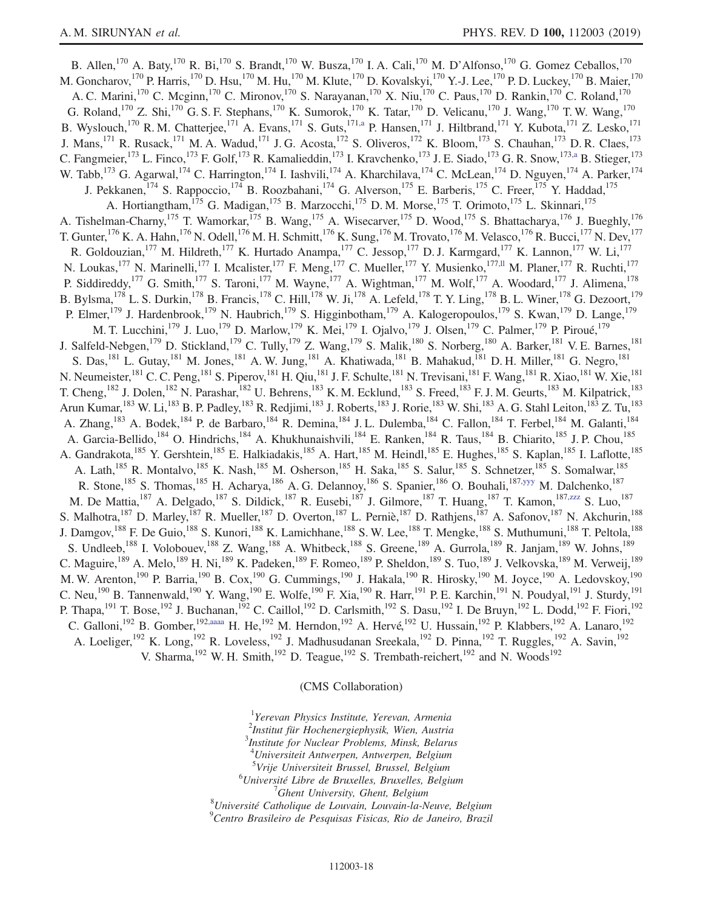B. Allen,<sup>170</sup> A. Baty,<sup>170</sup> R. Bi,<sup>170</sup> S. Brandt,<sup>170</sup> W. Busza,<sup>170</sup> I. A. Cali,<sup>170</sup> M. D'Alfonso,<sup>170</sup> G. Gomez Ceballos,<sup>170</sup> M. Goncharov, <sup>170</sup> P. Harris, <sup>170</sup> D. Hsu, <sup>170</sup> M. Hu, <sup>170</sup> M. Klute, <sup>170</sup> D. Kovalskyi, <sup>170</sup> Y.-J. Lee, <sup>170</sup> P. D. Luckey, <sup>170</sup> B. Maier, <sup>170</sup> A. C. Marini,<sup>170</sup> C. Mcginn,<sup>170</sup> C. Mironov,<sup>170</sup> S. Narayanan,<sup>170</sup> X. Niu,<sup>170</sup> C. Paus,<sup>170</sup> D. Rankin,<sup>170</sup> C. Roland,<sup>170</sup> G. Roland,<sup>170</sup> Z. Shi,<sup>170</sup> G. S. F. Stephans,<sup>170</sup> K. Sumorok,<sup>170</sup> K. Tatar,<sup>170</sup> D. Velicanu,<sup>170</sup> J. Wang,<sup>170</sup> T. W. Wang,<sup>170</sup> B. Wyslouch,<sup>170</sup> R.M. Chatterjee,<sup>171</sup> A. Evans,<sup>171</sup> S. Guts,<sup>171[,a](#page-21-0)</sup> P. Hansen,<sup>171</sup> J. Hiltbrand,<sup>171</sup> Y. Kubota,<sup>171</sup> Z. Lesko,<sup>171</sup> J. Mans,<sup>171</sup> R. Rusack,<sup>171</sup> M. A. Wadud,<sup>171</sup> J. G. Acosta,<sup>172</sup> S. Oliveros,<sup>172</sup> K. Bloom,<sup>173</sup> S. Chauhan,<sup>173</sup> D. R. Claes,<sup>173</sup> C. Fangmeier,<sup>173</sup> L. Finco,<sup>173</sup> F. Golf,<sup>173</sup> R. Kamalieddin,<sup>173</sup> I. Kravchenko,<sup>173</sup> J. E. Siado,<sup>173</sup> G. R. Snow,<sup>17[3,a](#page-21-0)</sup> B. Stieger,<sup>173</sup> W. Tabb,  $^{173}$  G. Agarwal,  $^{174}$  C. Harrington,  $^{174}$  I. Iashvili,  $^{174}$  A. Kharchilava,  $^{174}$  C. McLean,  $^{174}$  D. Nguyen,  $^{174}$  A. Parker,  $^{174}$ J. Pekkanen,<sup>174</sup> S. Rappoccio,<sup>174</sup> B. Roozbahani,<sup>174</sup> G. Alverson,<sup>175</sup> E. Barberis,<sup>175</sup> C. Freer,<sup>175</sup> Y. Haddad,<sup>175</sup> A. Hortiangtham,<sup>175</sup> G. Madigan,<sup>175</sup> B. Marzocchi,<sup>175</sup> D. M. Morse,<sup>175</sup> T. Orimoto,<sup>175</sup> L. Skinnari,<sup>175</sup> A. Tishelman-Charny,<sup>175</sup> T. Wamorkar,<sup>175</sup> B. Wang,<sup>175</sup> A. Wisecarver,<sup>175</sup> D. Wood,<sup>175</sup> S. Bhattacharya,<sup>176</sup> J. Bueghly,<sup>176</sup> T. Gunter, <sup>176</sup> K. A. Hahn, <sup>176</sup> N. Odell, <sup>176</sup> M. H. Schmitt, <sup>176</sup> K. Sung, <sup>176</sup> M. Trovato, <sup>176</sup> M. Velasco, <sup>176</sup> R. Bucci, <sup>177</sup> N. Dev, <sup>177</sup> R. Goldouzian,<sup>177</sup> M. Hildreth,<sup>177</sup> K. Hurtado Anampa,<sup>177</sup> C. Jessop,<sup>177</sup> D. J. Karmgard,<sup>177</sup> K. Lannon,<sup>177</sup> W. Li,<sup>177</sup> N. Loukas,<sup>177</sup> N. Marinelli,<sup>177</sup> I. Mcalister,<sup>177</sup> F. Meng,<sup>177</sup> C. Mueller,<sup>177</sup> Y. Musienko,<sup>177, I</sup> M. Planer,<sup>177</sup> R. Ruchti,<sup>177</sup> P. Siddireddy,<sup>177</sup> G. Smith,<sup>177</sup> S. Taroni,<sup>177</sup> M. Wayne,<sup>177</sup> A. Wightman,<sup>177</sup> M. Wolf,<sup>177</sup> A. Woodard,<sup>177</sup> J. Alimena,<sup>178</sup> B. Bylsma,<sup>178</sup> L. S. Durkin,<sup>178</sup> B. Francis,<sup>178</sup> C. Hill,<sup>178</sup> W. Ji,<sup>178</sup> A. Lefeld,<sup>178</sup> T. Y. Ling,<sup>178</sup> B. L. Winer,<sup>178</sup> G. Dezoort,<sup>179</sup> P. Elmer,<sup>179</sup> J. Hardenbrook,<sup>179</sup> N. Haubrich,<sup>179</sup> S. Higginbotham,<sup>179</sup> A. Kalogeropoulos,<sup>179</sup> S. Kwan,<sup>179</sup> D. Lange,<sup>179</sup> M. T. Lucchini,<sup>179</sup> J. Luo,<sup>179</sup> D. Marlow,<sup>179</sup> K. Mei,<sup>179</sup> I. Ojalvo,<sup>179</sup> J. Olsen,<sup>179</sup> C. Palmer,<sup>179</sup> P. Piroué,<sup>179</sup> J. Salfeld-Nebgen,<sup>179</sup> D. Stickland,<sup>179</sup> C. Tully,<sup>179</sup> Z. Wang,<sup>179</sup> S. Malik,<sup>180</sup> S. Norberg,<sup>180</sup> A. Barker,<sup>181</sup> V. E. Barnes,<sup>181</sup> S. Das,<sup>181</sup> L. Gutay,<sup>181</sup> M. Jones,<sup>181</sup> A. W. Jung,<sup>181</sup> A. Khatiwada,<sup>181</sup> B. Mahakud,<sup>181</sup> D. H. Miller,<sup>181</sup> G. Negro,<sup>181</sup> N. Neumeister, <sup>181</sup> C. C. Peng, <sup>181</sup> S. Piperov, <sup>181</sup> H. Qiu, <sup>181</sup> J. F. Schulte, <sup>181</sup> N. Trevisani, <sup>181</sup> F. Wang, <sup>181</sup> R. Xiao, <sup>181</sup> W. Xie, <sup>181</sup> T. Cheng,<sup>182</sup> J. Dolen,<sup>182</sup> N. Parashar,<sup>182</sup> U. Behrens,<sup>183</sup> K. M. Ecklund,<sup>183</sup> S. Freed,<sup>183</sup> F. J. M. Geurts,<sup>183</sup> M. Kilpatrick,<sup>183</sup> Arun Kumar,<sup>183</sup> W. Li,<sup>183</sup> B. P. Padley,<sup>183</sup> R. Redjimi,<sup>183</sup> J. Roberts,<sup>183</sup> J. Rorie,<sup>183</sup> W. Shi,<sup>183</sup> A. G. Stahl Leiton,<sup>183</sup> Z. Tu,<sup>183</sup> A. Zhang,<sup>183</sup> A. Bodek,<sup>184</sup> P. de Barbaro,<sup>184</sup> R. Demina,<sup>184</sup> J. L. Dulemba,<sup>184</sup> C. Fallon,<sup>184</sup> T. Ferbel,<sup>184</sup> M. Galanti,<sup>184</sup> A. Garcia-Bellido,<sup>184</sup> O. Hindrichs,<sup>184</sup> A. Khukhunaishvili,<sup>184</sup> E. Ranken,<sup>184</sup> R. Taus,<sup>184</sup> B. Chiarito,<sup>185</sup> J. P. Chou,<sup>185</sup> A. Gandrakota,<sup>185</sup> Y. Gershtein,<sup>185</sup> E. Halkiadakis,<sup>185</sup> A. Hart,<sup>185</sup> M. Heindl,<sup>185</sup> E. Hughes,<sup>185</sup> S. Kaplan,<sup>185</sup> I. Laflotte,<sup>185</sup> A. Lath,<sup>185</sup> R. Montalvo,<sup>185</sup> K. Nash,<sup>185</sup> M. Osherson,<sup>185</sup> H. Saka,<sup>185</sup> S. Salur,<sup>185</sup> S. Schnetzer,<sup>185</sup> S. Somalwar,<sup>185</sup> R. Stone,<sup>185</sup> S. Thomas,<sup>185</sup> H. Acharya,<sup>186</sup> A. G. Delannoy,<sup>186</sup> S. Spanier,<sup>186</sup> O. Bouhali,<sup>187[,yyy](#page-23-7)</sup> M. Dalchenko,<sup>187</sup> M. De Mattia,<sup>187</sup> A. Delgado,<sup>187</sup> S. Dildick,<sup>187</sup> R. Eusebi,<sup>187</sup> J. Gilmore,<sup>187</sup> T. Huang,<sup>187</sup> T. Kamon,<sup>187[,zzz](#page-23-8)</sup> S. Luo,<sup>187</sup> S. Malhotra, <sup>187</sup> D. Marley, <sup>187</sup> R. Mueller, <sup>187</sup> D. Overton, <sup>187</sup> L. Perniè, <sup>187</sup> D. Rathjens, <sup>187</sup> A. Safonov, <sup>187</sup> N. Akchurin, <sup>188</sup> J. Damgov,<sup>188</sup> F. De Guio,<sup>188</sup> S. Kunori,<sup>188</sup> K. Lamichhane,<sup>188</sup> S. W. Lee,<sup>188</sup> T. Mengke,<sup>188</sup> S. Muthumuni,<sup>188</sup> T. Peltola,<sup>188</sup> S. Undleeb,<sup>188</sup> I. Volobouev,<sup>188</sup> Z. Wang,<sup>188</sup> A. Whitbeck,<sup>188</sup> S. Greene,<sup>189</sup> A. Gurrola,<sup>189</sup> R. Janjam,<sup>189</sup> W. Johns,<sup>189</sup> C. Maguire,<sup>189</sup> A. Melo,<sup>189</sup> H. Ni,<sup>189</sup> K. Padeken,<sup>189</sup> F. Romeo,<sup>189</sup> P. Sheldon,<sup>189</sup> S. Tuo,<sup>189</sup> J. Velkovska,<sup>189</sup> M. Verweij,<sup>189</sup> M. W. Arenton,<sup>190</sup> P. Barria,<sup>190</sup> B. Cox,<sup>190</sup> G. Cummings,<sup>190</sup> J. Hakala,<sup>190</sup> R. Hirosky,<sup>190</sup> M. Joyce,<sup>190</sup> A. Ledovskoy,<sup>190</sup> C. Neu,<sup>190</sup> B. Tannenwald,<sup>190</sup> Y. Wang,<sup>190</sup> E. Wolfe,<sup>190</sup> F. Xia,<sup>190</sup> R. Harr,<sup>191</sup> P. E. Karchin,<sup>191</sup> N. Poudyal,<sup>191</sup> J. Sturdy,<sup>191</sup> P. Thapa,  $^{191}$  T. Bose,  $^{192}$  J. Buchanan,  $^{192}$  C. Caillol,  $^{192}$  D. Carlsmith,  $^{192}$  S. Dasu,  $^{192}$  I. De Bruyn,  $^{192}$  L. Dodd,  $^{192}$  F. Fiori,  $^{192}$ C. Galloni,<sup>192</sup> B. Gomber,<sup>19[2,aaaa](#page-23-9)</sup> H. He,<sup>192</sup> M. Herndon,<sup>192</sup> A. Hervé,<sup>192</sup> U. Hussain,<sup>192</sup> P. Klabbers,<sup>192</sup> A. Lanaro,<sup>192</sup> A. Loeliger,<sup>192</sup> K. Long,<sup>192</sup> R. Loveless,<sup>192</sup> J. Madhusudanan Sreekala,<sup>192</sup> D. Pinna,<sup>192</sup> T. Ruggles,<sup>192</sup> A. Savin,<sup>192</sup> V. Sharma,<sup>192</sup> W. H. Smith,<sup>192</sup> D. Teague,<sup>192</sup> S. Trembath-reichert,<sup>192</sup> and N. Woods<sup>192</sup>

# (CMS Collaboration)

<span id="page-17-2"></span><span id="page-17-1"></span><span id="page-17-0"></span><sup>1</sup>Yerevan Physics Institute, Yerevan, Armenia <sup>2</sup>Institut für Hochenergiephysik, Wien, Austria<sup>3</sup>Institute for Nuelsex Problems, Mingle Polary  $<sup>3</sup>$ Institute for Nuclear Problems, Minsk, Belarus</sup> <sup>4</sup>Universiteit Antwerpen, Antwerpen, Belgium <sup>5</sup>Vrije Universiteit Brussel, Brussel, Belgium<br><sup>6</sup>Université Libre de Pruxelles, Pruxelles, Belgium <sup>6</sup>Université Libre de Bruxelles, Bruxelles, Belgium  $\frac{7}{7}$ Ghent University, Ghent, Belgium  $'$ Ghent University, Ghent, Belgium<br><sup>8</sup>Université Catholique de Louvain, Louvain la N  $^8$ Université Catholique de Louvain, Louvain-la-Neuve, Belgium<br> $^9$ Centre Prasileire de Pesquisas Fisicas, Pio de Janeire, Prasil Centro Brasileiro de Pesquisas Fisicas, Rio de Janeiro, Brazil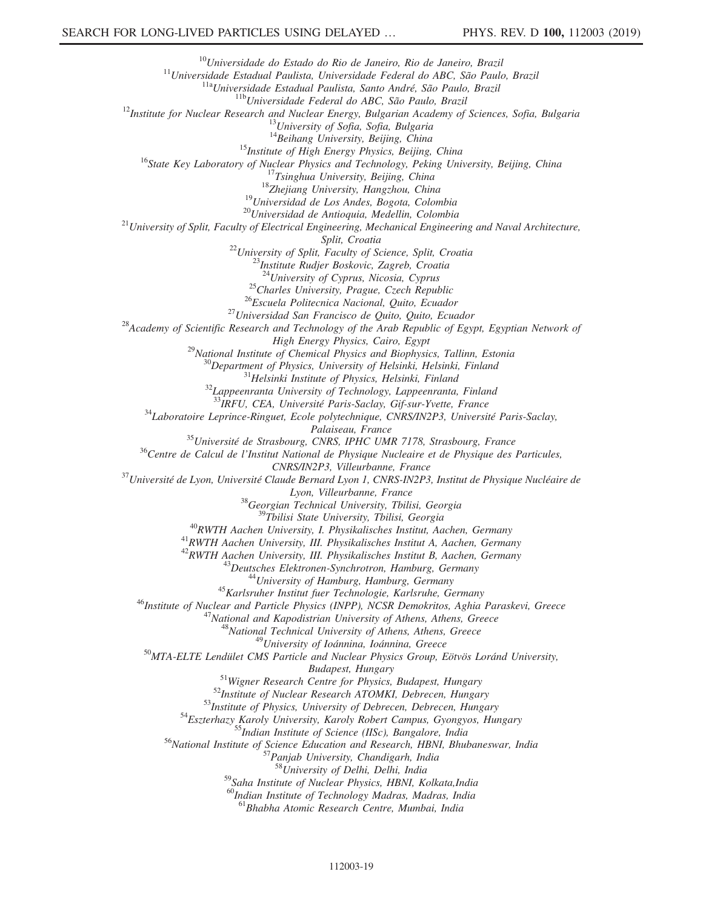<sup>10</sup>Universidade do Estado do Rio de Janeiro, Rio de Janeiro, Brazil<br><sup>11</sup>Universidade Estadual Paulista, Universidade Federal do ABC, São Paulo, Brazil<br><sup>11a</sup>Universidade Estadual Paulista, Santo André, São Paulo, Brazil<br><sup></sup> <sup>15</sup>Institute of High Energy Physics, Beijing, China<br><sup>16</sup>State Key Laboratory of Nuclear Physics and Technology, Peking University, Beijing, China<br><sup>17</sup>Tsinghua University, Beijing, China<br><sup>18</sup>Zhejiang University, Hangzhou, Split, Croatia<br><sup>22</sup>University of Split, Faculty of Science, Split, Croatia<br><sup>23</sup>Institute Rudjer Boskovic, Zagreb, Croatia<br><sup>24</sup>University of Cyprus, Nicosia, Cyprus <sup>25</sup>Charles University, Prague, Czech Republic<br><sup>26</sup>Escuela Politecnica Nacional, Quito, Ecuador<br><sup>27</sup>Universidad San Francisco de Quito, Quito, Ecuador<br><sup>28</sup>Academy of Scientific Research and Technology of the Arab Republic <sup>29</sup>National Institute of Chemical Physics and Biophysics, Tallinn, Estonia<br><sup>30</sup>Department of Physics, University of Helsinki, Helsinki, Finland<br><sup>31</sup>Helsinki Institute of Physics, Helsinki, Finland<br><sup>32</sup>Lappeenranta Univer <sup>34</sup>Laboratoire Leprince-Ringuet, Ecole polytechnique, CNRS/IN2P3, Université Paris-Saclay, Palaiseau, France<br><sup>35</sup>Université de Strasbourg, CNRS, IPHC UMR 7178, Strasbourg, France<br><sup>36</sup>Centre de Calcul de l'Institut National de Physique Nucleaire et de Physique des Particules,<br>CNRS/IN2P3, Villeurbanne, France <sup>37</sup>Université de Lyon, Université Claude Bernard Lyon 1, CNRS-IN2P3, Institut de Physique Nucléaire de Lyon, Villeurbanne, France <sup>38</sup>Georgian Technical University, Tbilisi, Georgia<br><sup>39</sup>Tbilisi State University, Tbilisi, Georgia<br><sup>40</sup>RWTH Aachen University, I. Physikalisches Institut, Aachen, Germany<br><sup>41</sup>RWTH Aachen University, III. Physikalisches In <sup>43</sup>Deutsches Elektronen-Synchrotron, Hamburg, Germany<br><sup>44</sup>University of Hamburg, Hamburg, Germany<br><sup>45</sup>Karlsruher Institut fuer Technologie, Karlsruhe, Germany<br><sup>46</sup>Institute of Nuclear and Particle Physics (INPP), NCSR De Budapest, Hungary<br>
<sup>51</sup>Wigner Research Centre for Physics, Budapest, Hungary<br>
<sup>52</sup>Institute of Nuclear Research ATOMKI, Debrecen, Hungary<br>
<sup>53</sup>Institute of Physics, University of Debrecen, Debrecen, Hungary<br>
<sup>54</sup>Eszterhazy  $58$ University of Delhi, Delhi, India <sup>59</sup>Saha Institute of Nuclear Physics, HBNI, Kolkata,India  $^{60}$ Indian Institute of Technology Madras, Madras, India <sup>61</sup>Bhabha Atomic Research Centre, Mumbai, India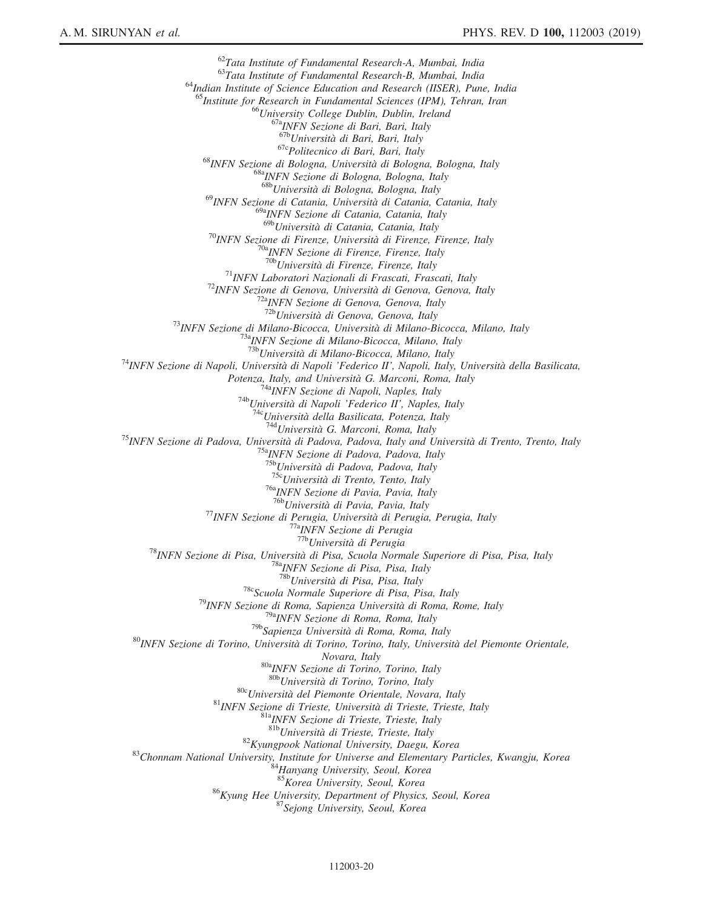$^{62}$ Tata Institute of Fundamental Research-A, Mumbai, India<br> $^{63}$ Tata Institute of Fundamental Research-B, Mumbai, India  $64$ Indian Institute of Science Education and Research (IISER), Pune, India <sup>55</sup>Institute for Research in Fundamental Sciences (IPM), Tehran, Iran <sup>66</sup>University College Dublin, Dublin, Ireland <sup>67a</sup>INFN Sezione di Bari, Bari, Italy <sup>67b</sup>Università di Bari, Bari, Italy <sup>67c</sup>Politecnico di Bari, Bari, Italy<br><sup>68</sup>INFN Sezione di Bologna, Università di Bologna, Bologna, Italy <sup>68a</sup>INFN Sezione di Bologna, Bologna, Italy 68b<br>Università di Bologna, Bologna, Italy <sup>69</sup>INFN Sezione di Catania, Università di Catania, Catania, Italy <sup>69a</sup>INFN Sezione di Catania, Catania, Italy<br><sup>69b</sup>Università di Catania, Catania, Italy <sup>70</sup>INFN Sezione di Firenze, Università di Firenze, Firenze, Italy <sup>70a</sup>INFN Sezione di Firenze, Firenze, Italy <sup>70b</sup>Università di Firenze, Firenze, Italy <sup>71</sup>INFN Laboratori Nazionali di Frascati, Frascati, Italy <sup>72</sup>INFN Sezione di Genova, Università di Genova, Genova, Italy <sup>72b</sup>Università di Genova, Genova, Italy 7<sup>2</sup><sup>2</sup>bUniversità di Genova, Genova, Italy <sup>73</sup>INFN Sezione di Milano-Bicocca, Università di Milano-Bicocca, Milano, Italy <sup>73a</sup>INFN Sezione di Milano-Bicocca, Milano, Italy <sup>73b</sup>Università di Milano-Bicocca, Milano, Italy <sup>74</sup>INFN Sezione di Napoli, Università di Napoli 'Federico II', Napoli, Italy, Università della Basilicata,<br>Potenza, Italy, and Università G. Marconi, Roma, Italy <sup>74a</sup>INFN Sezione di Napoli, Naples, Italy<br><sup>74b</sup>Università di Napoli 'Federico II', Naples, Italy<br><sup>74c</sup>Università della Basilicata, Potenza, Italy<br><sup>74</sup><sup>4</sup>Università G. Marconi, Roma, Italy<br><sup>75</sup>INFN Sezione di Padova, Univ <sup>75c</sup>Università di Trento, Tento, Italy <sup>76a</sup>INFN Sezione di Pavia, Pavia, Italy <sup>76b</sup>Università di Pavia, Pavia, Italy <sup>77</sup>INFN Sezione di Perugia, Università di Perugia, Perugia, Italy <sup>77a</sup>INFN Sezione di Perugia<br><sup>77b</sup>Università di Perugia <sup>78</sup>INFN Sezione di Pisa, Università di Pisa, Scuola Normale Superiore di Pisa, Pisa, Italy <sup>78</sup><sup>8</sup>INFN Sezione di Pisa, Pisa, Italy <sup>78b</sup>Università di Pisa, Pisa, Italy <sup>78c</sup>Scuola Normale Superiore di Pisa, Pisa, Italy<br><sup>79</sup>INFN Sezione di Roma, Sapienza Università di Roma, Rome, Italy<br><sup>79a</sup>INFN Sezione di Roma, Roma, Italy <sup>79b</sup>Sapienza Università di Roma, Roma, Italy <sup>80</sup>INFN Sezione di Torino, Università di Torino, Torino, Italy, Università del Piemonte Orientale, Novara, Italy<br><sup>80a</sup>INFN Sezione di Torino, Torino, Italy<br><sup>80b</sup>Università di Torino, Torino, Italy <sup>80</sup>CUniversità del Piemonte Orientale, Novara, Italy <sup>81</sup>INFN Sezione di Trieste, Università di Trieste, Trieste, Italy 8<sup>81b</sup>Università di Trieste, Trieste, Italy <sup>82</sup>Kyungpook National University, Daegu, Korea <sup>83</sup>Chonnam National University, Institute for Universe and Elementary Particles, Kwangju, Korea  $^{84}$ Hanyang University, Seoul, Korea 85<br>Korea University, Seoul, Korea 85 <sup>86</sup>Kyung Hee University, Department of Physics, Seoul, Korea <sup>87</sup>Sejong University, Seoul, Korea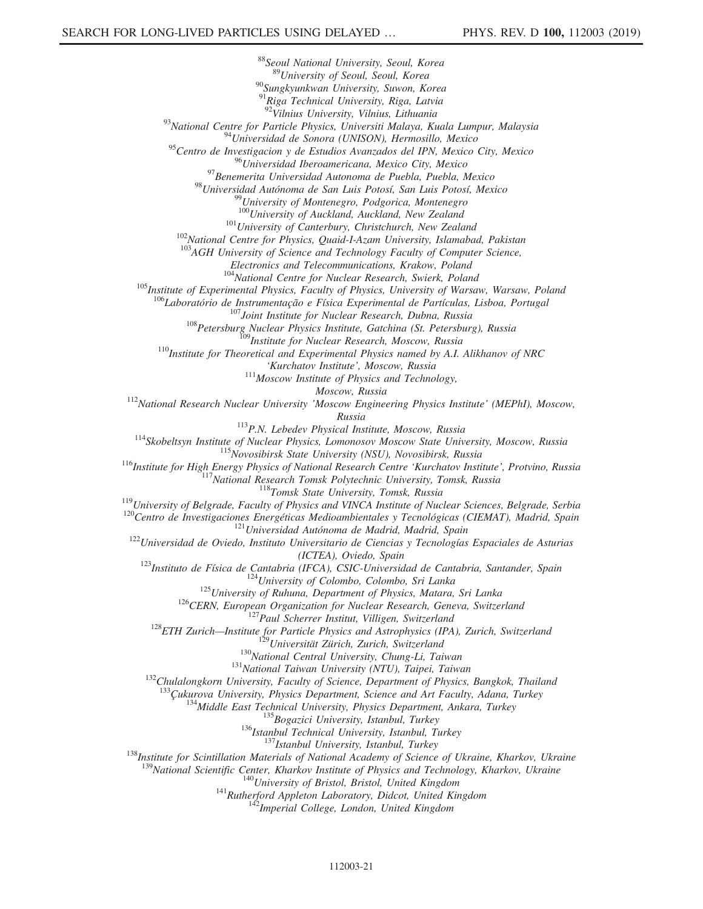<sup>88</sup>Seoul National University, Seoul, Korea<br><sup>89</sup>University of Seoul, Seoul, Korea <sup>90</sup>Sungkyunkwan University, Suwon, Korea <sup>91</sup>Riga Technical University, Riga, Latvia<br><sup>92</sup>Vilnius University, Vilnius, Lithuania <sup>93</sup>National Centre for Particle Physics, Universiti Malaya, Kuala Lumpur, Malaysia <sup>94</sup>Universidad de Sonora (UNISON), Hermosillo, Mexico <sup>95</sup>Centro de Investigacion y de Estudios Avanzados del IPN, Mexico City, Mexico <sup>96</sup> Universidad Iberoamericana, Mexico City, Mexico<br><sup>97</sup> Benemerita Universidad Autonoma de Puebla, Puebla, Mexico<br><sup>98</sup> Universidad Autónoma de San Luis Potosí, San Luis Potosí, Mexico<br><sup>98</sup> University of Montenegro, Podg  $101$ University of Canterbury, Christchurch, New Zealand<br> $102$ National Centre for Physics, Quaid-I-Azam University, Islamabad, Pakistan <sup>103</sup>AGH University of Science and Technology Faculty of Computer Science, Electronics and Telecommunications, Krakow, Poland<br><sup>104</sup>National Centre for Nuclear Research, Swierk, Poland <sup>105</sup>Institute of Experimental Physics, Faculty of Physics, University of Warsaw, Warsaw, Poland <sup>106</sup>Laboratório de Instrumentação e Física Experimental de Partículas, Lisboa, Portugal <sup>107</sup>Joint Institute for Nuclear Research, Dubna, Russia<br><sup>108</sup>Petersburg Nuclear Physics Institute, Gatchina (St. Petersburg), Russia<br><sup>109</sup>Institute for Nuclear Research, Moscow, Russia<br><sup>110</sup>Institute for Theoretical and 'Kurchatov Institute', Moscow, Russia<br> $111$ Moscow Institute of Physics and Technology, Moscow, Russia<br><sup>112</sup>National Research Nuclear University 'Moscow Engineering Physics Institute' (MEPhI), Moscow, Russia<br>
<sup>114</sup>Skobeltsyn Institute of Nuclear Physical Institute, Moscow, Russia<br>
<sup>114</sup>Skobeltsyn Institute of Nuclear Physics, Lomonosov Moscow State University, Moscow, Russia<br>
<sup>115</sup>Institute for High Energy Physics of Na (ICTEA), Oviedo, Spain<br>
<sup>123</sup>Instituto de Física de Cantabria (IFCA), CSIC-Universidad de Cantabria, Santander, Spain<br>
<sup>124</sup>University of Colombo, Colombo, Sri Lanka<br>
<sup>125</sup>University of Ruhuna, Department of Physics, Mata <sup>134</sup>Middle East Technical University, Physics Department, Ankara, Turkey<br><sup>135</sup>Bogazici University, Istanbul, Turkey<br><sup>136</sup>Istanbul Technical University, Istanbul, Turkey<br><sup>138</sup>Institute for Scintillation Materials of Natio <sup>139</sup>National Scientific Center, Kharkov Institute of Physics and Technology, Kharkov, Ukraine<br><sup>140</sup>University of Bristol, Bristol, United Kingdom<br><sup>141</sup>Rutherford Appleton Laboratory, Didcot, United Kingdom<br><sup>142</sup>Imperial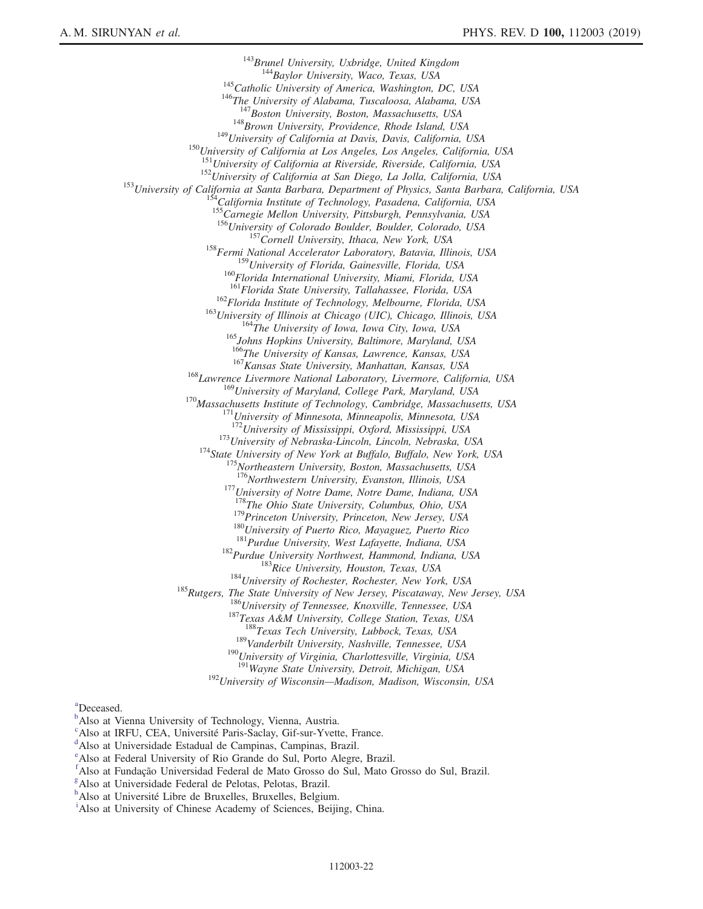<sup>143</sup>Brunel University, Uxbridge, United Kingdom<br><sup>144</sup>Baylor University, Waco, Texas, USA<br><sup>145</sup>Catholic University of America, Washington, DC, USA<br><sup>146</sup>The University of Alabama, Tuscaloosa, Alabama, USA<br><sup>147</sup>Boston Unive <sup>148</sup>Brown University, Providence, Rhode Island, USA<br><sup>149</sup>University of California at Davis, Davis, California, USA<br><sup>150</sup>University of California at Los Angeles, Los Angeles, California, USA<br><sup>151</sup>University of California <sup>152</sup>University of California at San Diego, La Jolla, California, USA<br><sup>153</sup>University of California at Santa Barbara, Department of Physics, Santa Barbara, California, USA<br><sup>154</sup>California Institute of Technology, Pasadena, 155 Catifornia institute by Lechnology, American by Talifornia, USA<br>
<sup>155</sup>Carnegie Mellon University, Pittsburgh, Pennsylvania, USA<br>
<sup>156</sup>University of Colorado Boulder, Boulder, Colorado, USA <sup>157</sup>Cornell University, Ithaca, New York, USA <sup>158</sup>Fermi National Accelerator Laboratory, Batavia, Illinois, USA <sup>159</sup>University of Florida, Gainesville, Florida, USA <sup>160</sup>Florida International University, Miami, Florida, USA  $^{161}$ Florida State University, Tallahassee, Florida, USA <sup>162</sup>Florida Institute of Technology, Melbourne, Florida, USA<br><sup>163</sup>University of Illinois at Chicago (UIC), Chicago, Illinois, USA<br><sup>164</sup>The University of Iowa, Iowa City, Iowa, USA<br><sup>165</sup>Johns Hopkins University, Baltimore <sup>167</sup>Kansas State University, Manhattan, Kansas, USA<br><sup>168</sup>Lawrence Livermore National Laboratory, Livermore, California, USA<br><sup>169</sup>University of Maryland, College Park, Maryland, USA <sup>170</sup>Massachusetts Institute of Technology, Cambridge, Massachusetts, USA <sup>171</sup>University of Minnesota, Minneapolis, Minnesota, USA <sup>172</sup>University of Mississippi, Oxford, Mississippi, USA  $^{173}$ University of Nebraska-Lincoln, Lincoln, Nebraska, USA<br> $^{174}$ State University of New York at Buffalo, Buffalo, New York, USA<br> $^{175}$ Northeastern University, Boston, Massachusetts, USA <sup>176</sup>Northwestern University, Evanston, Illinois, USA<br><sup>177</sup>University of Notre Dame, Notre Dame, Indiana, USA<br><sup>178</sup>The Ohio State University, Columbus, Ohio, USA <sup>179</sup> Princeton University, Princeton, New Jersey, USA<br><sup>180</sup> University of Puerto Rico, Mayaguez, Puerto Rico<br><sup>181</sup> Purdue University, West Lafayette, Indiana, USA<br><sup>182</sup> Purdue University Northwest, Hammond, Indiana, USA<br> <sup>189</sup>Vanderbilt University, Nashville, Tennessee, USA <sup>190</sup>University of Virginia, Charlottesville, Virginia, USA <sup>191</sup>Wayne State University, Detroit, Michigan, USA

<sup>192</sup>University of Wisconsin—Madison, Madison, Wisconsin, USA

<span id="page-21-0"></span>[a](#page-11-15) Deceased.

- <span id="page-21-2"></span><sup>[c](#page-11-17)</sup>Also at IRFU, CEA, Université Paris-Saclay, Gif-sur-Yvette, France.
- <span id="page-21-3"></span><sup>d</sup>Also at Universidade Estadual de Campinas, Campinas, Brazil.
- <span id="page-21-4"></span>[e](#page-11-19) Also at Federal University of Rio Grande do Sul, Porto Alegre, Brazil.
- <span id="page-21-5"></span>[f](#page-11-20) Also at Fundação Universidad Federal de Mato Grosso do Sul, Mato Grosso do Sul, Brazil.
- <span id="page-21-6"></span><sup>[g](#page-11-20)</sup>Also at Universidade Federal de Pelotas, Pelotas, Brazil.
- <span id="page-21-7"></span><sup>[h](#page-11-21)</sup> Also at Un[i](#page-12-0)versité Libre de Bruxelles, Bruxelles, Belgium.<br><sup>i</sup> Also et University of Chinese Acedemy of Sciences, Beijij
- <span id="page-21-8"></span><sup>1</sup>Also at University of Chinese Academy of Sciences, Beijing, China.

<span id="page-21-1"></span><sup>&</sup>lt;sup>[b](#page-11-16)</sup>Also at Vienna University of Technology, Vienna, Austria.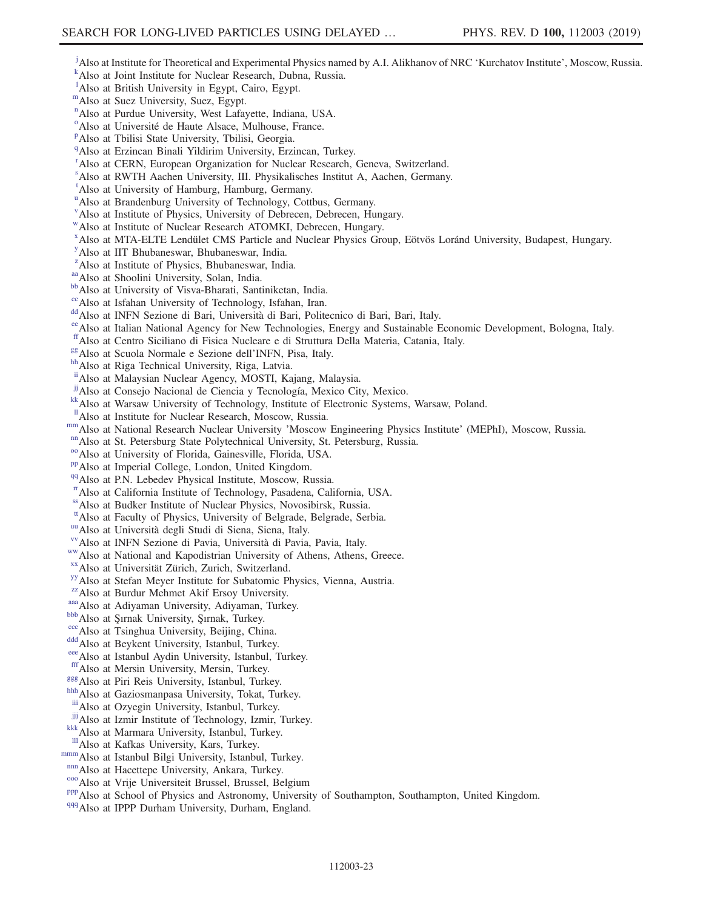- <span id="page-22-0"></span><sup>[j](#page-12-1)</sup>Also at Institute for Theoretical and Experimental Physics named by A.I. Ali[k](#page-12-2)hanov of NRC 'Kurchatov Institute', Moscow, Russia.
- <span id="page-22-1"></span>Also at Joint Institute for Nuclear Research, Dubna, Russia.
- <span id="page-22-2"></span><sup>1</sup>A[l](#page-12-3)so at British University in Egypt, Cairo, Egypt.
- mAlso at Suez University, Suez, Egypt.
- <span id="page-22-3"></span>[n](#page-12-4) Also at Purdue University, West Lafayette, Indiana, USA.
- <span id="page-22-4"></span><sup>[o](#page-12-5)</su[p](#page-12-2)> Also at Université de Haute Alsace, Mulhouse, France.
- <span id="page-22-5"></span><sup>P</sup>Also at Tbilisi State University, Tbilisi, Georgia.
- <span id="page-22-6"></span><sup>[q](#page-12-6)</sup>Also at Erzincan Binali Yildirim University, Erzincan, Turkey.
- <span id="page-22-7"></span><sup>[r](#page-12-7)</sup> Also at CERN, European Organization for Nuclear Research, Geneva, Switzerland.
- <span id="page-22-8"></span>[s](#page-12-8) Also at RWTH Aachen University, III. Physikalisches Institut A, Aachen, Germany.
- <span id="page-22-9"></span>[t](#page-12-9) Also at University of Hamburg, Hamburg, Germany.
- <span id="page-22-10"></span><s[u](#page-12-10)p>u</sup>Also at Brandenburg University of Technology, Cottbus, Germany.
- <span id="page-22-11"></span>[v](#page-13-0) Also at Institute of Physics, University of Debrecen, Debrecen, Hungary.
- <span id="page-22-12"></span>[w](#page-13-1)Also at Institute of Nuclear Research ATOMKI, Debrecen, Hungary.
- x Also at MTA-ELTE Lendület CMS Particle and Nuclear Physics Group, Eötvös Loránd University, Budapest, Hungary.
- <span id="page-22-13"></span>[y](#page-13-2) Also at IIT Bhubaneswar, Bhubaneswar, India.
- <span id="page-22-14"></span><sup>[z](#page-13-2)</sup>Also at Institute of Physics, Bhubaneswar, India.
- 
- <span id="page-22-16"></span><span id="page-22-15"></span><sup>[aa](#page-13-3)</sup>Also at Shoolini University, Solan, India.<br><sup>[bb](#page-13-3)</sup>Also at University of Visva-Bharati, Santiniketan, India.<br><sup>cc</sup>Also at Isfahan University of Technology, Isfahan, Iran.
- <span id="page-22-17"></span>
- 
- <span id="page-22-19"></span><span id="page-22-18"></span>[dd](#page-13-5) Also at INFN Sezione di Bari, Università di Bari, Politecnico di Bari, Bari, Italy.<br><sup>[ee](#page-13-6)</sup> Also at Italian National Agency for New Technologies, Energy and Sustainable Economic Development, Bologna, Italy.
- <span id="page-22-20"></span>[ff](#page-13-7)Also at Centro Siciliano di Fisica Nucleare e di Struttura Della Materia, Catania, Italy. [gg](#page-13-8)Also at Scuola Normale e Sezione dell'INFN, Pisa, Italy. [hh](#page-14-0)Also at Riga Technical University, Riga, Latvia.
- <span id="page-22-21"></span>
- <span id="page-22-22"></span>
- <span id="page-22-24"></span>
- <span id="page-22-23"></span>[ii](#page-14-1) Also at Malaysian Nuclear Agency, MOSTI, Kajang, Malaysia.<br><sup>ji</sup> Also at Consejo Nacional de Ciencia y Tecnología, Mexico City, Mexico.
- <span id="page-22-25"></span><sup>[kk](#page-14-3)</sup>Also at Warsaw University of Technology, Institute of Electronic Systems, Warsaw, Poland. <sup>11</sup>Also at Institute for Nuclear Research, Moscow, Russia.
- <span id="page-22-26"></span>
- mm Also at National Research Nuclear University 'Moscow Engineering Physics Institute' (MEPhI), Moscow, Russia.<br>
"Also at St. Petersburg State Polytechnical University, St. Petersburg, Russia.<br>
"Also at University of Flor
- <span id="page-22-27"></span>
- <span id="page-22-28"></span>
- <span id="page-22-29"></span>
- <span id="page-22-30"></span>
- <span id="page-22-31"></span>[rr](#page-14-8)Also at California Institute of Technology, Pasadena, California, USA.
- <span id="page-22-33"></span>
- <span id="page-22-32"></span><sup>[ss](#page-14-9)</sup>Also at Budker Institute of Nuclear Physics, Novosibirsk, Russia.<br><sup>tt</sup>Also at Faculty of Physics, University of Belgrade, Belgrade, Serbia.
- 
- <span id="page-22-36"></span><span id="page-22-35"></span>
- <span id="page-22-34"></span><sup>[uu](#page-15-0)</sup> Also at Università degli Studi di Siena, Siena, Italy.<br><sup>[vv](#page-15-1)</sup> Also at INFN Sezione di Pavia, Università di Pavia, Pavia, Italy.<br><sup>[ww](#page-15-2)</sup> Also at National and Kapodistrian University of Athens, Athens, Greece.<br><sup>[xx](#page-15-3)</sup> Also at U
- <span id="page-22-37"></span>
- <span id="page-22-38"></span>
- <span id="page-22-39"></span>
- <span id="page-22-40"></span><sup>[aaa](#page-15-6)</sup> Also at Adiyaman University, Adiyaman, Turkey.<br>
<sup>[bbb](#page-15-5)</sup> Also at Şırnak University, Şırnak, Turkey.<br>
<sup>[ccc](#page-15-5)</sup> Also at Tsinghua University, Beijing, China.<br>
<sup>dd</sup> Also at Beykent University, Istanbul, Turkey.<br>
<sup>ecc</sup> Also at
- <span id="page-22-41"></span>
- <span id="page-22-42"></span>
- <span id="page-22-43"></span>
- <span id="page-22-44"></span>
- <span id="page-22-45"></span>
- <span id="page-22-47"></span>
- <span id="page-22-46"></span><sup>[ggg](#page-15-8)</sup>Also at Piri Reis University, Istanbul, Turkey.<br>[hhh](#page-15-8)<sub>Also</sub> at Gaziosmanpasa University, Tokat, Turkey.
- <span id="page-22-48"></span>[iii](#page-15-6) Also at Ozyegin University, Istanbul, Turkey.
- <span id="page-22-49"></span> $\frac{1}{10}$  Also at Izmir Institute of Technology, Izmir, Turkey.<br>
<sup>[kkk](#page-15-9)</sup>Also at Marmara University, Istanbul, Turkey.<br>
<sup>III</sup> Also at Kafkas University, Kars, Turkey.
- <span id="page-22-50"></span>
- <span id="page-22-51"></span>
- 
- <span id="page-22-53"></span>
- <span id="page-22-55"></span><span id="page-22-54"></span>
- <span id="page-22-52"></span>[mmm](#page-15-9) Also at Istanbul Bilgi University, Istanbul, Turkey.<br> [nnn](#page-15-10) Also at Hacettepe University, Ankara, Turkey.<br>
<sup>000</sup> Also at Vrije Universiteit Brussel, Brussel, Belgium<br>
<sup>000</sup> Also at School of Physics and Astronomy, Univer
- <span id="page-22-56"></span>